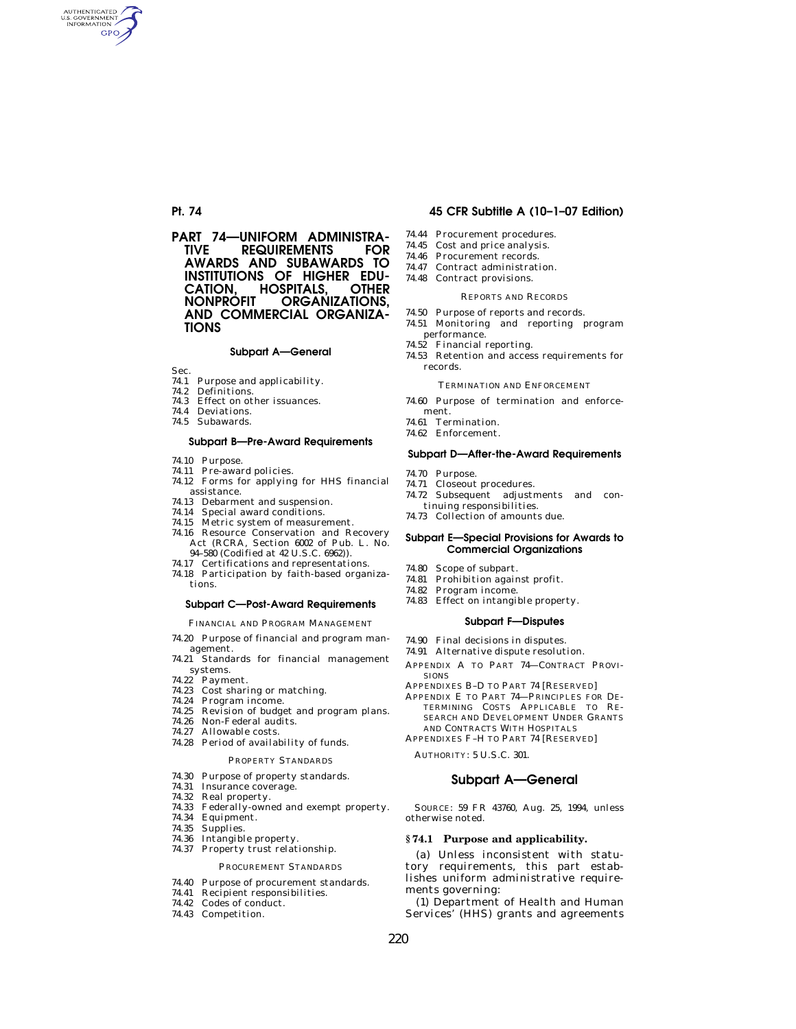AUTHENTICATED **GPO** 

> **PART 74—UNIFORM ADMINISTRA-REQUIREMENTS AWARDS AND SUBAWARDS TO INSTITUTIONS OF HIGHER EDU-HOSPITALS. NONPROFIT ORGANIZATIONS, AND COMMERCIAL ORGANIZA-TIONS**

# **Subpart A—General**

Sec.

- 74.1 Purpose and applicability.
- 74.2 Definitions.
- 74.3 Effect on other issuances.
- 74.4 Deviations.
- 74.5 Subawards.

## **Subpart B—Pre-Award Requirements**

- 74.10 Purpose.
- 74.11 Pre-award policies.
- 74.12 Forms for applying for HHS financial assistance.
- 74.13 Debarment and suspension.
- 74.14 Special award conditions.
- 74.15 Metric system of measurement.
- 74.16 Resource Conservation and Recovery Act (RCRA, Section 6002 of Pub. L. No. 94–580 (Codified at 42 U.S.C. 6962)).
- 74.17 Certifications and representations. 74.18 Participation by faith-based organiza-
- tions.

### **Subpart C—Post-Award Requirements**

FINANCIAL AND PROGRAM MANAGEMENT

- 74.20 Purpose of financial and program management.
- 74.21 Standards for financial management systems.
- 74.22 Payment.
- 74.23 Cost sharing or matching.
- 74.24 Program income.
- 74.25 Revision of budget and program plans.
- 74.26 Non-Federal audits.
- 74.27 Allowable costs.
- 74.28 Period of availability of funds.

## PROPERTY STANDARDS

- 74.30 Purpose of property standards.
- 74.31 Insurance coverage.
- 74.32 Real property.
- 74.33 Federally-owned and exempt property.
- 74.34 Equipment.
- 74.35 Supplies.
- 74.36 Intangible property. 74.37 Property trust relationship.

# PROCUREMENT STANDARDS

- 74.40 Purpose of procurement standards.
- 74.41 Recipient responsibilities.
- 74.42 Codes of conduct.
- 74.43 Competition.

# **Pt. 74 45 CFR Subtitle A (10–1–07 Edition)**

- 74.44 Procurement procedures.
- 74.45 Cost and price analysis.
- 74.46 Procurement records. 74.47 Contract administration.
- 74.48 Contract provisions.
	- REPORTS AND RECORDS
- 74.50 Purpose of reports and records.
- 74.51 Monitoring and reporting program performance.
- 74.52 Financial reporting.
- 74.53 Retention and access requirements for records.
	- TERMINATION AND ENFORCEMENT
- 74.60 Purpose of termination and enforce-
- ment. 74.61 Termination.
- 74.62 Enforcement.
- 

#### **Subpart D—After-the-Award Requirements**

- 74.70 Purpose.
- 74.71 Closeout procedures.
- 74.72 Subsequent adjustments and continuing responsibilities.
- 74.73 Collection of amounts due.

#### **Subpart E—Special Provisions for Awards to Commercial Organizations**

- 74.80 Scope of subpart.
- 74.81 Prohibition against profit.
- 74.82 Program income.
- 74.83 Effect on intangible property.

### **Subpart F—Disputes**

- 74.90 Final decisions in disputes.
- 74.91 Alternative dispute resolution.
- APPENDIX A TO PART 74—CONTRACT PROVI-SIONS
- APPENDIXES B–D TO PART 74 [RESERVED]
- APPENDIX E TO PART 74—PRINCIPLES FOR DE-TERMINING COSTS APPLICABLE TO RE-SEARCH AND DEVELOPMENT UNDER GRANTS AND CONTRACTS WITH HOSPITALS
- APPENDIXES F–H TO PART 74 [RESERVED] AUTHORITY: 5 U.S.C. 301.

## **Subpart A—General**

SOURCE: 59 FR 43760, Aug. 25, 1994, unless otherwise noted.

#### **§ 74.1 Purpose and applicability.**

(a) Unless inconsistent with statutory requirements, this part establishes uniform administrative requirements governing:

(1) Department of Health and Human Services' (HHS) grants and agreements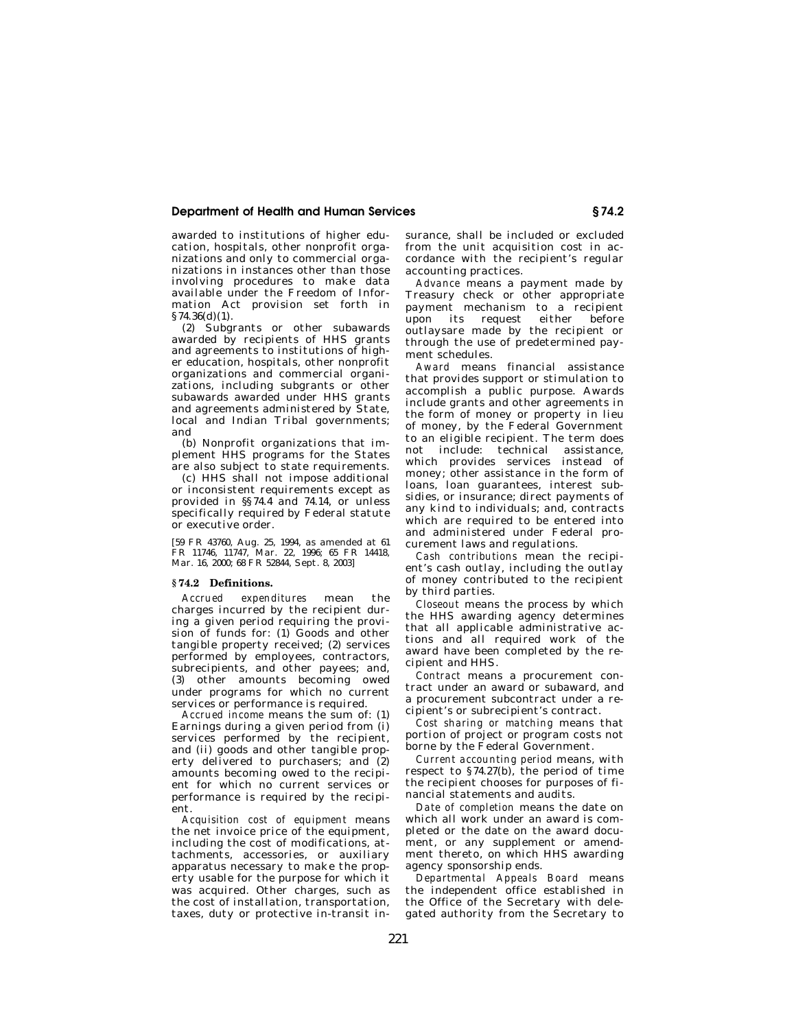awarded to institutions of higher education, hospitals, other nonprofit organizations and only to commercial organizations in instances other than those involving procedures to make data available under the Freedom of Information Act provision set forth in  $§74.36(d)(1)$ .

(2) Subgrants or other subawards awarded by recipients of HHS grants and agreements to institutions of higher education, hospitals, other nonprofit organizations and commercial organizations, including subgrants or other subawards awarded under HHS grants and agreements administered by State, local and Indian Tribal governments; and

(b) Nonprofit organizations that implement HHS programs for the States are also subject to state requirements.

(c) HHS shall not impose additional or inconsistent requirements except as provided in §§74.4 and 74.14, or unless specifically required by Federal statute or executive order.

[59 FR 43760, Aug. 25, 1994, as amended at 61 FR 11746, 11747, Mar. 22, 1996; 65 FR 14418, Mar. 16, 2000; 68 FR 52844, Sept. 8, 2003]

#### **§ 74.2 Definitions.**

*Accrued expenditures* mean the charges incurred by the recipient during a given period requiring the provision of funds for: (1) Goods and other tangible property received; (2) services performed by employees, contractors, subrecipients, and other payees; and, (3) other amounts becoming owed under programs for which no current services or performance is required.

*Accrued income* means the sum of: (1) Earnings during a given period from (i) services performed by the recipient, and (ii) goods and other tangible property delivered to purchasers; and (2) amounts becoming owed to the recipient for which no current services or performance is required by the recipient.

*Acquisition cost of equipment* means the net invoice price of the equipment, including the cost of modifications, attachments, accessories, or auxiliary apparatus necessary to make the property usable for the purpose for which it was acquired. Other charges, such as the cost of installation, transportation, taxes, duty or protective in-transit insurance, shall be included or excluded from the unit acquisition cost in accordance with the recipient's regular accounting practices.

*Advance* means a payment made by Treasury check or other appropriate payment mechanism to a recipient upon its request either before outlaysare made by the recipient or through the use of predetermined payment schedules.

*Award* means financial assistance that provides support or stimulation to accomplish a public purpose. Awards include grants and other agreements in the form of money or property in lieu of money, by the Federal Government to an eligible recipient. The term does not include: technical assistance, which provides services instead of money; other assistance in the form of loans, loan guarantees, interest subsidies, or insurance; direct payments of any kind to individuals; and, contracts which are required to be entered into and administered under Federal procurement laws and regulations.

*Cash contributions* mean the recipient's cash outlay, including the outlay of money contributed to the recipient by third parties.

*Closeout* means the process by which the HHS awarding agency determines that all applicable administrative actions and all required work of the award have been completed by the recipient and HHS.

*Contract* means a procurement contract under an award or subaward, and a procurement subcontract under a recipient's or subrecipient's contract.

*Cost sharing or matching* means that portion of project or program costs not borne by the Federal Government.

*Current accounting period* means, with respect to §74.27(b), the period of time the recipient chooses for purposes of financial statements and audits.

*Date of completion* means the date on which all work under an award is completed or the date on the award document, or any supplement or amendment thereto, on which HHS awarding agency sponsorship ends.

*Departmental Appeals Board* means the independent office established in the Office of the Secretary with delegated authority from the Secretary to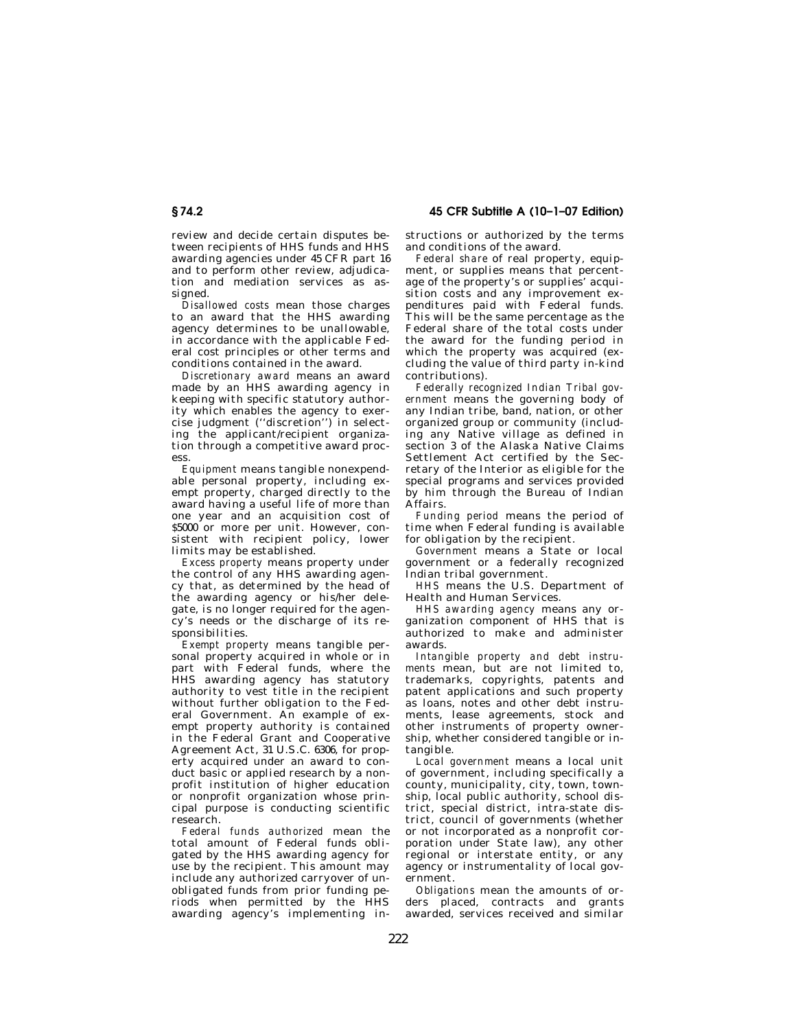review and decide certain disputes between recipients of HHS funds and HHS awarding agencies under 45 CFR part 16 and to perform other review, adjudication and mediation services as assigned.

*Disallowed costs* mean those charges to an award that the HHS awarding agency determines to be unallowable, in accordance with the applicable Federal cost principles or other terms and conditions contained in the award.

*Discretionary award* means an award made by an HHS awarding agency in keeping with specific statutory authority which enables the agency to exercise judgment (''discretion'') in selecting the applicant/recipient organization through a competitive award process.

*Equipment* means tangible nonexpendable personal property, including exempt property, charged directly to the award having a useful life of more than one year and an acquisition cost of \$5000 or more per unit. However, consistent with recipient policy, lower limits may be established.

*Excess property* means property under the control of any HHS awarding agency that, as determined by the head of the awarding agency or his/her delegate, is no longer required for the agency's needs or the discharge of its responsibilities.

*Exempt property* means tangible personal property acquired in whole or in part with Federal funds, where the HHS awarding agency has statutory authority to vest title in the recipient without further obligation to the Federal Government. An example of exempt property authority is contained in the Federal Grant and Cooperative Agreement Act, 31 U.S.C. 6306, for property acquired under an award to conduct basic or applied research by a nonprofit institution of higher education or nonprofit organization whose principal purpose is conducting scientific research.

*Federal funds authorized* mean the total amount of Federal funds obligated by the HHS awarding agency for use by the recipient. This amount may include any authorized carryover of unobligated funds from prior funding periods when permitted by the HHS awarding agency's implementing instructions or authorized by the terms and conditions of the award.

*Federal share* of real property, equipment, or supplies means that percentage of the property's or supplies' acquisition costs and any improvement expenditures paid with Federal funds. This will be the same percentage as the Federal share of the total costs under the award for the funding period in which the property was acquired (excluding the value of third party in-kind contributions).

*Federally recognized Indian Tribal government* means the governing body of any Indian tribe, band, nation, or other organized group or community (including any Native village as defined in section 3 of the Alaska Native Claims Settlement Act certified by the Secretary of the Interior as eligible for the special programs and services provided by him through the Bureau of Indian Affairs.

*Funding period* means the period of time when Federal funding is available for obligation by the recipient.

*Government* means a State or local government or a federally recognized Indian tribal government.

*HHS* means the U.S. Department of Health and Human Services.

*HHS awarding agency* means any organization component of HHS that is authorized to make and administer awards.

*Intangible property and debt instruments* mean, but are not limited to, trademarks, copyrights, patents and patent applications and such property as loans, notes and other debt instruments, lease agreements, stock and other instruments of property ownership, whether considered tangible or intangible.

*Local government* means a local unit of government, including specifically a county, municipality, city, town, township, local public authority, school district, special district, intra-state district, council of governments (whether or not incorporated as a nonprofit corporation under State law), any other regional or interstate entity, or any agency or instrumentality of local government.

*Obligations* mean the amounts of orders placed, contracts and grants awarded, services received and similar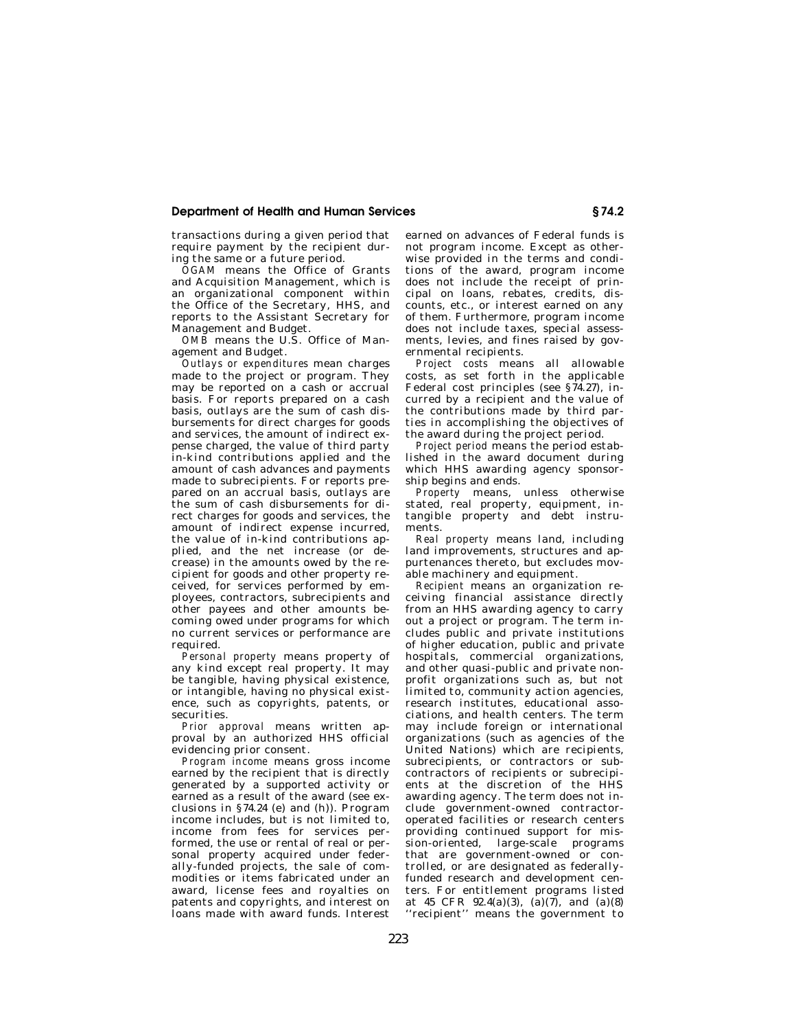transactions during a given period that require payment by the recipient during the same or a future period.

*OGAM* means the Office of Grants and Acquisition Management, which is an organizational component within the Office of the Secretary, HHS, and reports to the Assistant Secretary for Management and Budget.

*OMB* means the U.S. Office of Management and Budget.

*Outlays or expenditures* mean charges made to the project or program. They may be reported on a cash or accrual basis. For reports prepared on a cash basis, outlays are the sum of cash disbursements for direct charges for goods and services, the amount of indirect expense charged, the value of third party in-kind contributions applied and the amount of cash advances and payments made to subrecipients. For reports prepared on an accrual basis, outlays are the sum of cash disbursements for direct charges for goods and services, the amount of indirect expense incurred, the value of in-kind contributions applied, and the net increase (or decrease) in the amounts owed by the recipient for goods and other property received, for services performed by employees, contractors, subrecipients and other payees and other amounts becoming owed under programs for which no current services or performance are required.

*Personal property* means property of any kind except real property. It may be tangible, having physical existence, or intangible, having no physical existence, such as copyrights, patents, or securities.

*Prior approval* means written approval by an authorized HHS official evidencing prior consent.

*Program income* means gross income earned by the recipient that is directly generated by a supported activity or earned as a result of the award (see exclusions in §74.24 (e) and (h)). Program income includes, but is not limited to, income from fees for services performed, the use or rental of real or personal property acquired under federally-funded projects, the sale of commodities or items fabricated under an award, license fees and royalties on patents and copyrights, and interest on loans made with award funds. Interest

earned on advances of Federal funds is not program income. Except as otherwise provided in the terms and conditions of the award, program income does not include the receipt of principal on loans, rebates, credits, discounts, etc., or interest earned on any of them. Furthermore, program income does not include taxes, special assessments, levies, and fines raised by governmental recipients.

*Project costs* means all allowable costs, as set forth in the applicable Federal cost principles (see  $\S$ 74.27), incurred by a recipient and the value of the contributions made by third parties in accomplishing the objectives of the award during the project period.

*Project period* means the period established in the award document during which HHS awarding agency sponsorship begins and ends.

*Property* means, unless otherwise stated, real property, equipment, intangible property and debt instruments.

*Real property* means land, including land improvements, structures and appurtenances thereto, but excludes movable machinery and equipment.

*Recipient* means an organization receiving financial assistance directly from an HHS awarding agency to carry out a project or program. The term includes public and private institutions of higher education, public and private hospitals, commercial organizations, and other quasi-public and private nonprofit organizations such as, but not limited to, community action agencies, research institutes, educational associations, and health centers. The term may include foreign or international organizations (such as agencies of the United Nations) which are recipients, subrecipients, or contractors or subcontractors of recipients or subrecipients at the discretion of the HHS awarding agency. The term does not include government-owned contractoroperated facilities or research centers providing continued support for mission-oriented, large-scale programs that are government-owned or controlled, or are designated as federallyfunded research and development centers. For entitlement programs listed at 45 CFR 92.4(a)(3),  $(a)(7)$ , and  $(a)(8)$ ''recipient'' means the government to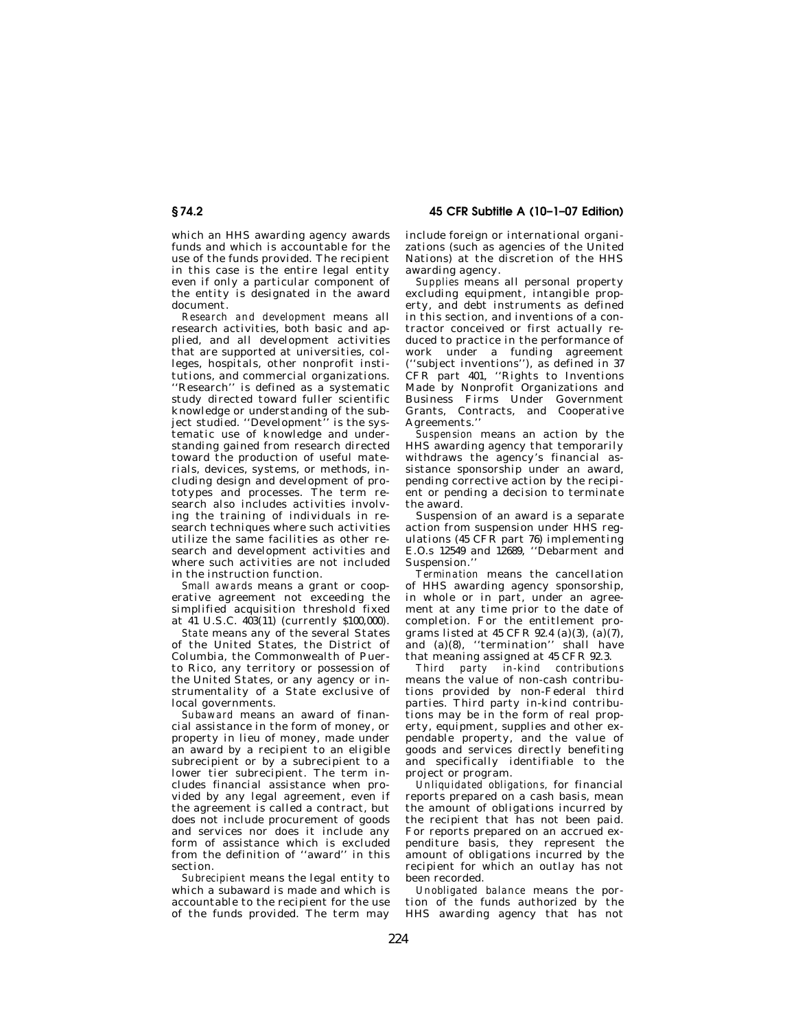which an HHS awarding agency awards funds and which is accountable for the use of the funds provided. The recipient in this case is the entire legal entity even if only a particular component of the entity is designated in the award document.

*Research and development* means all research activities, both basic and applied, and all development activities that are supported at universities, colleges, hospitals, other nonprofit institutions, and commercial organizations. "Research" is defined as a systematic study directed toward fuller scientific knowledge or understanding of the subject studied. ''Development'' is the systematic use of knowledge and understanding gained from research directed toward the production of useful materials, devices, systems, or methods, including design and development of prototypes and processes. The term research also includes activities involving the training of individuals in research techniques where such activities utilize the same facilities as other research and development activities and where such activities are not included in the instruction function.

*Small awards* means a grant or cooperative agreement not exceeding the simplified acquisition threshold fixed at 41 U.S.C. 403(11) (currently \$100,000).

*State* means any of the several States of the United States, the District of Columbia, the Commonwealth of Puerto Rico, any territory or possession of the United States, or any agency or instrumentality of a State exclusive of local governments.

*Subaward* means an award of financial assistance in the form of money, or property in lieu of money, made under an award by a recipient to an eligible subrecipient or by a subrecipient to a lower tier subrecipient. The term includes financial assistance when provided by any legal agreement, even if the agreement is called a contract, but does not include procurement of goods and services nor does it include any form of assistance which is excluded from the definition of ''award'' in this section.

*Subrecipient* means the legal entity to which a subaward is made and which is accountable to the recipient for the use of the funds provided. The term may

**§ 74.2 45 CFR Subtitle A (10–1–07 Edition)** 

include foreign or international organizations (such as agencies of the United Nations) at the discretion of the HHS awarding agency.

*Supplies* means all personal property excluding equipment, intangible property, and debt instruments as defined in this section, and inventions of a contractor conceived or first actually reduced to practice in the performance of work under a funding agreement (''subject inventions''), as defined in 37 CFR part 401, ''Rights to Inventions Made by Nonprofit Organizations and Business Firms Under Government Grants, Contracts, and Cooperative Agreements.''

*Suspension* means an action by the HHS awarding agency that temporarily withdraws the agency's financial assistance sponsorship under an award, pending corrective action by the recipient or pending a decision to terminate the award.

Suspension of an award is a separate action from suspension under HHS regulations (45 CFR part 76) implementing E.O.s 12549 and 12689, ''Debarment and Suspension.''

*Termination* means the cancellation of HHS awarding agency sponsorship, in whole or in part, under an agreement at any time prior to the date of completion. For the entitlement programs listed at 45 CFR 92.4 (a)(3), (a)(7), and (a)(8), ''termination'' shall have that meaning assigned at 45 CFR 92.3.

*Third party in-kind contributions*  means the value of non-cash contributions provided by non-Federal third parties. Third party in-kind contributions may be in the form of real property, equipment, supplies and other expendable property, and the value of goods and services directly benefiting and specifically identifiable to the project or program.

*Unliquidated obligations,* for financial reports prepared on a cash basis, mean the amount of obligations incurred by the recipient that has not been paid. For reports prepared on an accrued expenditure basis, they represent the amount of obligations incurred by the recipient for which an outlay has not been recorded.

*Unobligated balance* means the portion of the funds authorized by the HHS awarding agency that has not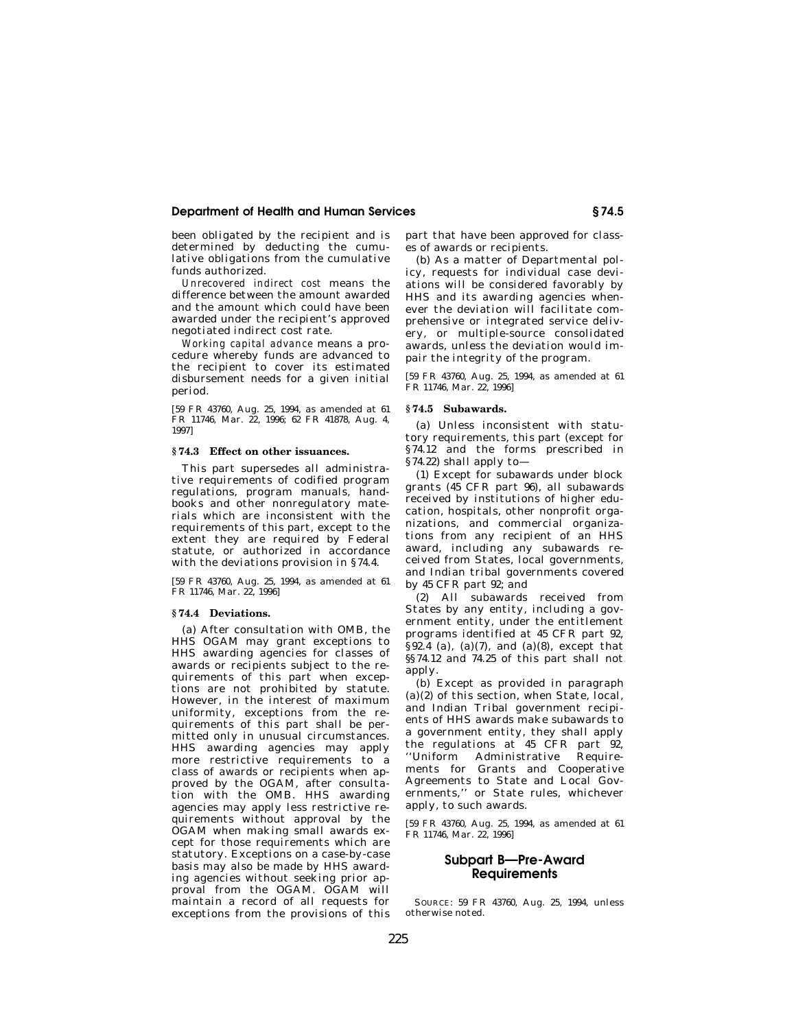been obligated by the recipient and is determined by deducting the cumulative obligations from the cumulative funds authorized.

*Unrecovered indirect cost* means the difference between the amount awarded and the amount which could have been awarded under the recipient's approved negotiated indirect cost rate.

*Working capital advance* means a procedure whereby funds are advanced to the recipient to cover its estimated disbursement needs for a given initial period.

[59 FR 43760, Aug. 25, 1994, as amended at 61 FR 11746, Mar. 22, 1996; 62 FR 41878, Aug. 4, 1997]

### **§ 74.3 Effect on other issuances.**

This part supersedes all administrative requirements of codified program regulations, program manuals, handbooks and other nonregulatory materials which are inconsistent with the requirements of this part, except to the extent they are required by Federal statute, or authorized in accordance with the deviations provision in §74.4.

[59 FR 43760, Aug. 25, 1994, as amended at 61 FR 11746, Mar. 22, 1996]

### **§ 74.4 Deviations.**

(a) After consultation with OMB, the HHS OGAM may grant exceptions to HHS awarding agencies for classes of awards or recipients subject to the requirements of this part when exceptions are not prohibited by statute. However, in the interest of maximum uniformity, exceptions from the requirements of this part shall be permitted only in unusual circumstances. HHS awarding agencies may apply more restrictive requirements to a class of awards or recipients when approved by the OGAM, after consultation with the OMB. HHS awarding agencies may apply less restrictive requirements without approval by the OGAM when making small awards except for those requirements which are statutory. Exceptions on a case-by-case basis may also be made by HHS awarding agencies without seeking prior approval from the OGAM. OGAM will maintain a record of all requests for exceptions from the provisions of this

part that have been approved for classes of awards or recipients.

(b) As a matter of Departmental policy, requests for individual case deviations will be considered favorably by HHS and its awarding agencies whenever the deviation will facilitate comprehensive or integrated service delivery, or multiple-source consolidated awards, unless the deviation would impair the integrity of the program.

[59 FR 43760, Aug. 25, 1994, as amended at 61 FR 11746, Mar. 22, 1996]

## **§ 74.5 Subawards.**

(a) Unless inconsistent with statutory requirements, this part (except for §74.12 and the forms prescribed in §74.22) shall apply to—

(1) Except for subawards under block grants (45 CFR part 96), all subawards received by institutions of higher education, hospitals, other nonprofit organizations, and commercial organizations from any recipient of an HHS award, including any subawards received from States, local governments, and Indian tribal governments covered by 45 CFR part 92; and

(2) All subawards received from States by any entity, including a government entity, under the entitlement programs identified at 45 CFR part 92,  $§92.4$  (a), (a)(7), and (a)(8), except that §§74.12 and 74.25 of this part shall not apply.

(b) Except as provided in paragraph (a)(2) of this section, when State, local, and Indian Tribal government recipients of HHS awards make subawards to a government entity, they shall apply the regulations at 45 CFR part 92, ''Uniform Administrative Requirements for Grants and Cooperative Agreements to State and Local Governments,'' or State rules, whichever apply, to such awards.

[59 FR 43760, Aug. 25, 1994, as amended at 61 FR 11746, Mar. 22, 1996]

## **Subpart B—Pre-Award Requirements**

SOURCE: 59 FR 43760, Aug. 25, 1994, unless otherwise noted.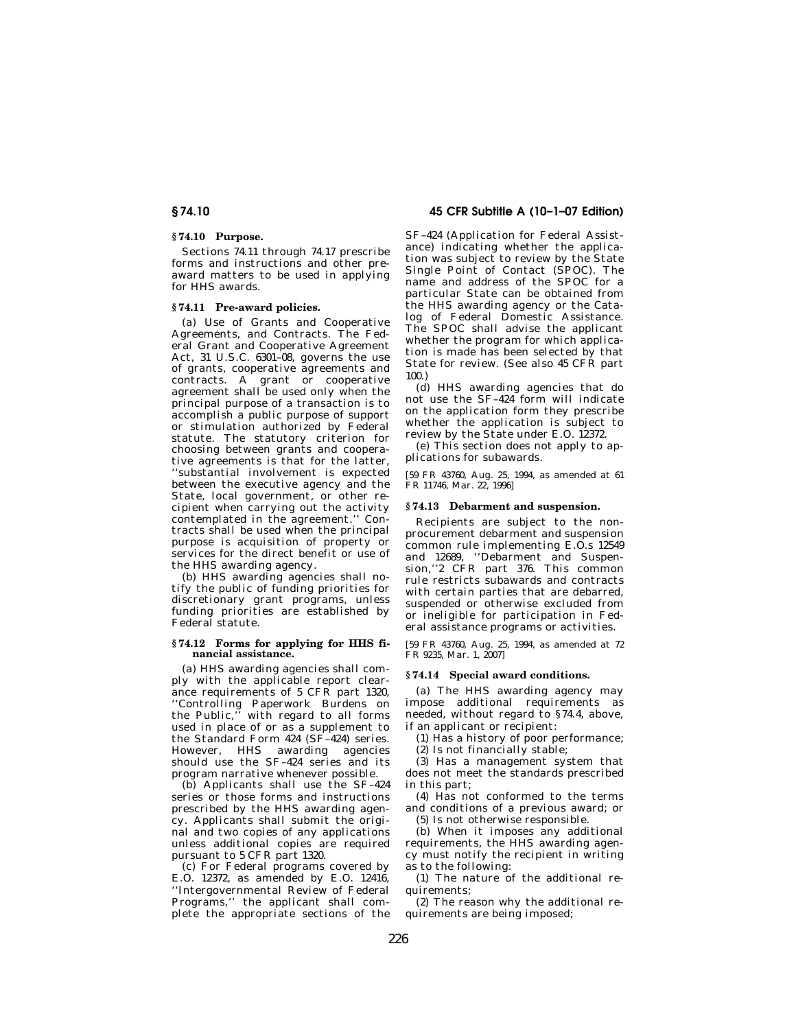## **§ 74.10 Purpose.**

Sections 74.11 through 74.17 prescribe forms and instructions and other preaward matters to be used in applying for HHS awards.

#### **§ 74.11 Pre-award policies.**

(a) Use of Grants and Cooperative Agreements, and Contracts. The Federal Grant and Cooperative Agreement Act, 31 U.S.C. 6301–08, governs the use of grants, cooperative agreements and contracts. A grant or cooperative agreement shall be used only when the principal purpose of a transaction is to accomplish a public purpose of support or stimulation authorized by Federal statute. The statutory criterion for choosing between grants and cooperative agreements is that for the latter, ''substantial involvement is expected between the executive agency and the State, local government, or other recipient when carrying out the activity contemplated in the agreement.'' Contracts shall be used when the principal purpose is acquisition of property or services for the direct benefit or use of the HHS awarding agency.

(b) HHS awarding agencies shall notify the public of funding priorities for discretionary grant programs, unless funding priorities are established by Federal statute.

#### **§ 74.12 Forms for applying for HHS financial assistance.**

(a) HHS awarding agencies shall comply with the applicable report clearance requirements of 5 CFR part 1320, ''Controlling Paperwork Burdens on the Public,'' with regard to all forms used in place of or as a supplement to the Standard Form 424 (SF–424) series. However, HHS awarding agencies should use the SF–424 series and its program narrative whenever possible.

(b) Applicants shall use the SF–424 series or those forms and instructions prescribed by the HHS awarding agency. Applicants shall submit the original and two copies of any applications unless additional copies are required pursuant to 5 CFR part 1320.

(c) For Federal programs covered by E.O. 12372, as amended by E.O. 12416, ''Intergovernmental Review of Federal Programs,'' the applicant shall complete the appropriate sections of the

**§ 74.10 45 CFR Subtitle A (10–1–07 Edition)** 

SF–424 (Application for Federal Assistance) indicating whether the application was subject to review by the State Single Point of Contact (SPOC). The name and address of the SPOC for a particular State can be obtained from the HHS awarding agency or the Catalog of Federal Domestic Assistance. The SPOC shall advise the applicant whether the program for which application is made has been selected by that State for review. (See also 45 CFR part 100.)

(d) HHS awarding agencies that do not use the SF–424 form will indicate on the application form they prescribe whether the application is subject to review by the State under E.O. 12372.

(e) This section does not apply to applications for subawards.

[59 FR 43760, Aug. 25, 1994, as amended at 61 FR 11746, Mar. 22, 1996]

#### **§ 74.13 Debarment and suspension.**

Recipients are subject to the nonprocurement debarment and suspension common rule implementing E.O.s 12549 and 12689, ''Debarment and Suspension,''2 CFR part 376. This common rule restricts subawards and contracts with certain parties that are debarred, suspended or otherwise excluded from or ineligible for participation in Federal assistance programs or activities.

[59 FR 43760, Aug. 25, 1994, as amended at 72 FR 9235, Mar. 1, 2007]

#### **§ 74.14 Special award conditions.**

(a) The HHS awarding agency may impose additional requirements as needed, without regard to §74.4, above, if an applicant or recipient:

(1) Has a history of poor performance; (2) Is not financially stable;

(3) Has a management system that does not meet the standards prescribed in this part;

(4) Has not conformed to the terms and conditions of a previous award; or (5) Is not otherwise responsible.

(b) When it imposes any additional requirements, the HHS awarding agency must notify the recipient in writing as to the following:

(1) The nature of the additional requirements;

(2) The reason why the additional requirements are being imposed;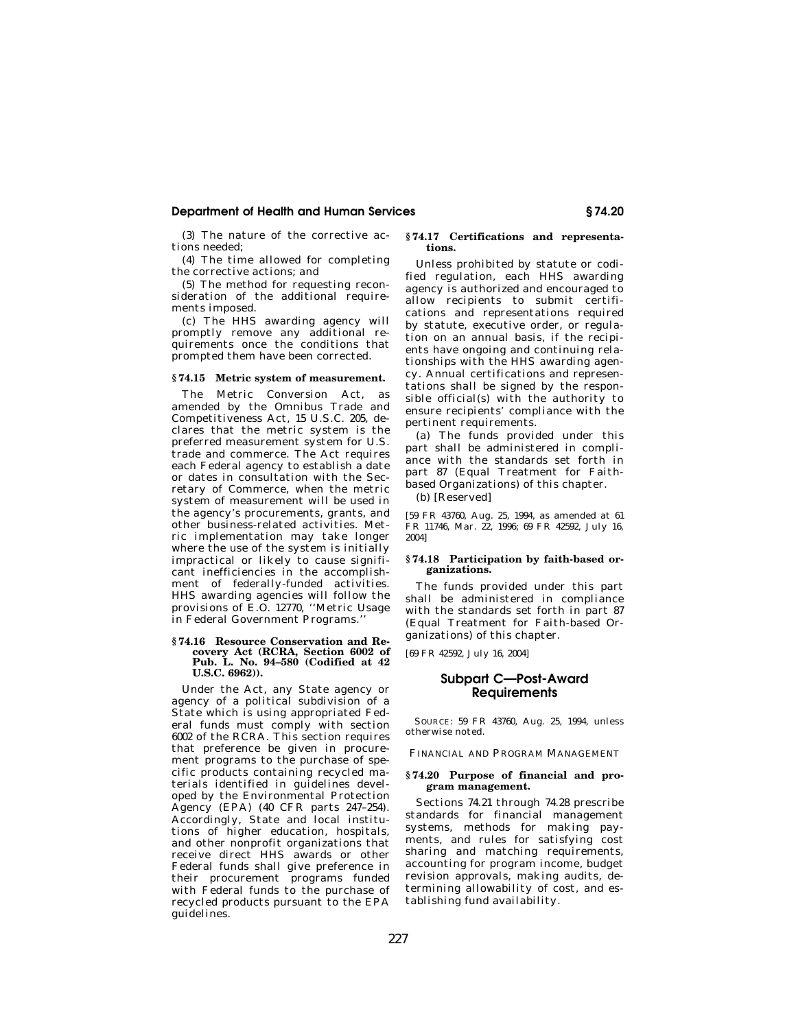(3) The nature of the corrective actions needed;

(4) The time allowed for completing the corrective actions; and

(5) The method for requesting reconsideration of the additional requirements imposed.

(c) The HHS awarding agency will promptly remove any additional requirements once the conditions that prompted them have been corrected.

#### **§ 74.15 Metric system of measurement.**

The Metric Conversion Act, as amended by the Omnibus Trade and Competitiveness Act, 15 U.S.C. 205, declares that the metric system is the preferred measurement system for U.S. trade and commerce. The Act requires each Federal agency to establish a date or dates in consultation with the Secretary of Commerce, when the metric system of measurement will be used in the agency's procurements, grants, and other business-related activities. Metric implementation may take longer where the use of the system is initially impractical or likely to cause significant inefficiencies in the accomplishment of federally-funded activities. HHS awarding agencies will follow the provisions of E.O. 12770, ''Metric Usage in Federal Government Programs.''

#### **§ 74.16 Resource Conservation and Recovery Act (RCRA, Section 6002 of Pub. L. No. 94–580 (Codified at 42 U.S.C. 6962)).**

Under the Act, any State agency or agency of a political subdivision of a State which is using appropriated Federal funds must comply with section 6002 of the RCRA. This section requires that preference be given in procurement programs to the purchase of specific products containing recycled materials identified in guidelines developed by the Environmental Protection Agency (EPA) (40 CFR parts 247–254). Accordingly, State and local institutions of higher education, hospitals, and other nonprofit organizations that receive direct HHS awards or other Federal funds shall give preference in their procurement programs funded with Federal funds to the purchase of recycled products pursuant to the EPA guidelines.

### **§ 74.17 Certifications and representations.**

Unless prohibited by statute or codified regulation, each HHS awarding agency is authorized and encouraged to allow recipients to submit certifications and representations required by statute, executive order, or regulation on an annual basis, if the recipients have ongoing and continuing relationships with the HHS awarding agency. Annual certifications and representations shall be signed by the responsible official(s) with the authority to ensure recipients' compliance with the pertinent requirements.

(a) The funds provided under this part shall be administered in compliance with the standards set forth in part 87 (Equal Treatment for Faithbased Organizations) of this chapter.

(b) [Reserved]

[59 FR 43760, Aug. 25, 1994, as amended at 61 FR 11746, Mar. 22, 1996; 69 FR 42592, July 16, 2004]

### **§ 74.18 Participation by faith-based organizations.**

The funds provided under this part shall be administered in compliance with the standards set forth in part 87 (Equal Treatment for Faith-based Organizations) of this chapter.

[69 FR 42592, July 16, 2004]

# **Subpart C—Post-Award Requirements**

SOURCE: 59 FR 43760, Aug. 25, 1994, unless otherwise noted.

FINANCIAL AND PROGRAM MANAGEMENT

## **§ 74.20 Purpose of financial and program management.**

Sections 74.21 through 74.28 prescribe standards for financial management systems, methods for making payments, and rules for satisfying cost sharing and matching requirements, accounting for program income, budget revision approvals, making audits, determining allowability of cost, and establishing fund availability.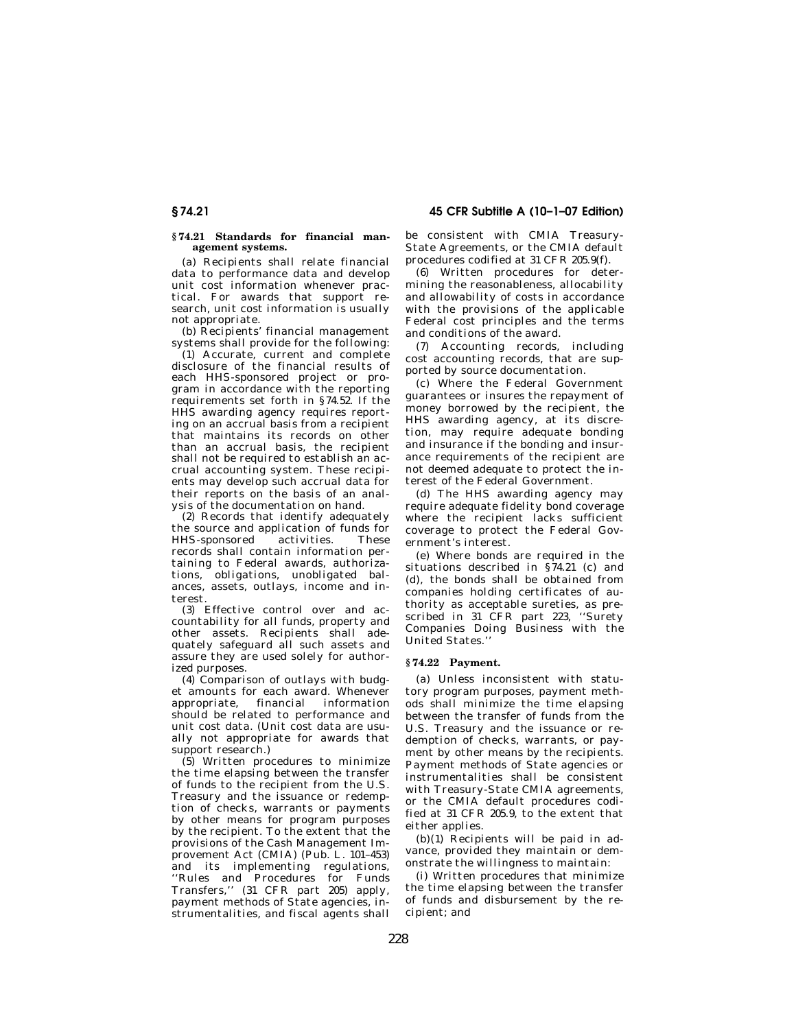## **§ 74.21 45 CFR Subtitle A (10–1–07 Edition)**

#### **§ 74.21 Standards for financial management systems.**

(a) Recipients shall relate financial data to performance data and develop unit cost information whenever practical. For awards that support research, unit cost information is usually not appropriate.

(b) Recipients' financial management systems shall provide for the following:

(1) Accurate, current and complete disclosure of the financial results of each HHS-sponsored project or program in accordance with the reporting requirements set forth in §74.52. If the HHS awarding agency requires reporting on an accrual basis from a recipient that maintains its records on other than an accrual basis, the recipient shall not be required to establish an accrual accounting system. These recipients may develop such accrual data for their reports on the basis of an analysis of the documentation on hand.

(2) Records that identify adequately the source and application of funds for HHS-sponsored activities. These records shall contain information pertaining to Federal awards, authorizations, obligations, unobligated balances, assets, outlays, income and interest.

(3) Effective control over and accountability for all funds, property and other assets. Recipients shall adequately safeguard all such assets and assure they are used solely for authorized purposes.

(4) Comparison of outlays with budget amounts for each award. Whenever appropriate, financial information should be related to performance and unit cost data. (Unit cost data are usually not appropriate for awards that support research.)

(5) Written procedures to minimize the time elapsing between the transfer of funds to the recipient from the U.S. Treasury and the issuance or redemption of checks, warrants or payments by other means for program purposes by the recipient. To the extent that the provisions of the Cash Management Improvement Act (CMIA) (Pub. L. 101–453) and its implementing regulations, ''Rules and Procedures for Funds Transfers,'' (31 CFR part 205) apply, payment methods of State agencies, instrumentalities, and fiscal agents shall

be consistent with CMIA Treasury-State Agreements, or the CMIA default procedures codified at 31 CFR 205.9(f).

(6) Written procedures for determining the reasonableness, allocability and allowability of costs in accordance with the provisions of the applicable Federal cost principles and the terms and conditions of the award.

(7) Accounting records, including cost accounting records, that are supported by source documentation.

(c) Where the Federal Government guarantees or insures the repayment of money borrowed by the recipient, the HHS awarding agency, at its discretion, may require adequate bonding and insurance if the bonding and insurance requirements of the recipient are not deemed adequate to protect the interest of the Federal Government.

(d) The HHS awarding agency may require adequate fidelity bond coverage where the recipient lacks sufficient coverage to protect the Federal Government's interest.

(e) Where bonds are required in the situations described in §74.21 (c) and (d), the bonds shall be obtained from companies holding certificates of authority as acceptable sureties, as prescribed in 31 CFR part 223, ''Surety Companies Doing Business with the United States.''

# **§ 74.22 Payment.**

(a) Unless inconsistent with statutory program purposes, payment methods shall minimize the time elapsing between the transfer of funds from the U.S. Treasury and the issuance or redemption of checks, warrants, or payment by other means by the recipients. Payment methods of State agencies or instrumentalities shall be consistent with Treasury-State CMIA agreements, or the CMIA default procedures codified at 31 CFR 205.9, to the extent that either applies.

(b)(1) Recipients will be paid in advance, provided they maintain or demonstrate the willingness to maintain:

(i) Written procedures that minimize the time elapsing between the transfer of funds and disbursement by the recipient; and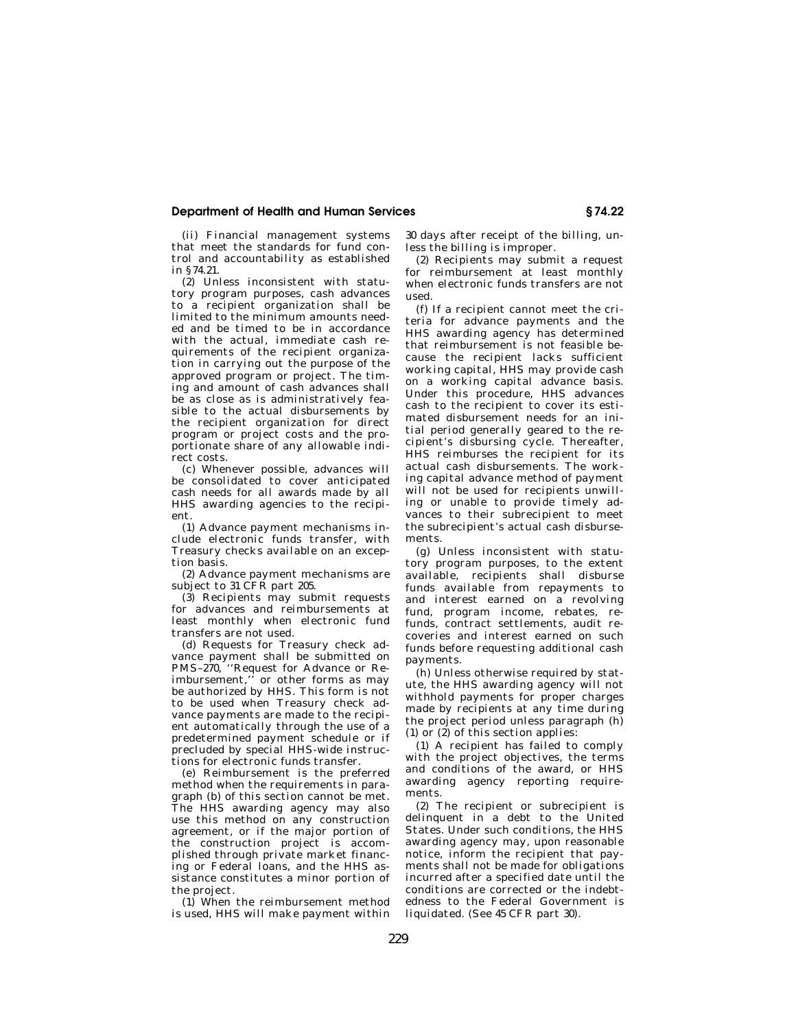(ii) Financial management systems that meet the standards for fund control and accountability as established in §74.21.

(2) Unless inconsistent with statutory program purposes, cash advances to a recipient organization shall be limited to the minimum amounts needed and be timed to be in accordance with the actual, immediate cash requirements of the recipient organization in carrying out the purpose of the approved program or project. The timing and amount of cash advances shall be as close as is administratively feasible to the actual disbursements by the recipient organization for direct program or project costs and the proportionate share of any allowable indirect costs.

(c) Whenever possible, advances will be consolidated to cover anticipated cash needs for all awards made by all HHS awarding agencies to the recipient.

(1) Advance payment mechanisms include electronic funds transfer, with Treasury checks available on an exception basis.

(2) Advance payment mechanisms are subject to 31 CFR part 205.

(3) Recipients may submit requests for advances and reimbursements at least monthly when electronic fund transfers are not used.

(d) Requests for Treasury check advance payment shall be submitted on PMS–270, ''Request for Advance or Reimbursement,'' or other forms as may be authorized by HHS. This form is not to be used when Treasury check advance payments are made to the recipient automatically through the use of a predetermined payment schedule or if precluded by special HHS-wide instructions for electronic funds transfer.

(e) Reimbursement is the preferred method when the requirements in paragraph (b) of this section cannot be met. The HHS awarding agency may also use this method on any construction agreement, or if the major portion of the construction project is accomplished through private market financing or Federal loans, and the HHS assistance constitutes a minor portion of the project.

(1) When the reimbursement method is used, HHS will make payment within 30 days after receipt of the billing, unless the billing is improper.

(2) Recipients may submit a request for reimbursement at least monthly when electronic funds transfers are not used.

(f) If a recipient cannot meet the criteria for advance payments and the HHS awarding agency has determined that reimbursement is not feasible because the recipient lacks sufficient working capital, HHS may provide cash on a working capital advance basis. Under this procedure, HHS advances cash to the recipient to cover its estimated disbursement needs for an initial period generally geared to the recipient's disbursing cycle. Thereafter, HHS reimburses the recipient for its actual cash disbursements. The working capital advance method of payment will not be used for recipients unwilling or unable to provide timely advances to their subrecipient to meet the subrecipient's actual cash disbursements.

(g) Unless inconsistent with statutory program purposes, to the extent available, recipients shall disburse funds available from repayments to and interest earned on a revolving fund, program income, rebates, refunds, contract settlements, audit recoveries and interest earned on such funds before requesting additional cash payments.

(h) Unless otherwise required by statute, the HHS awarding agency will not withhold payments for proper charges made by recipients at any time during the project period unless paragraph (h) (1) or (2) of this section applies:

(1) A recipient has failed to comply with the project objectives, the terms and conditions of the award, or HHS awarding agency reporting requirements.

(2) The recipient or subrecipient is delinquent in a debt to the United States. Under such conditions, the HHS awarding agency may, upon reasonable notice, inform the recipient that payments shall not be made for obligations incurred after a specified date until the conditions are corrected or the indebtedness to the Federal Government is liquidated. (See 45 CFR part 30).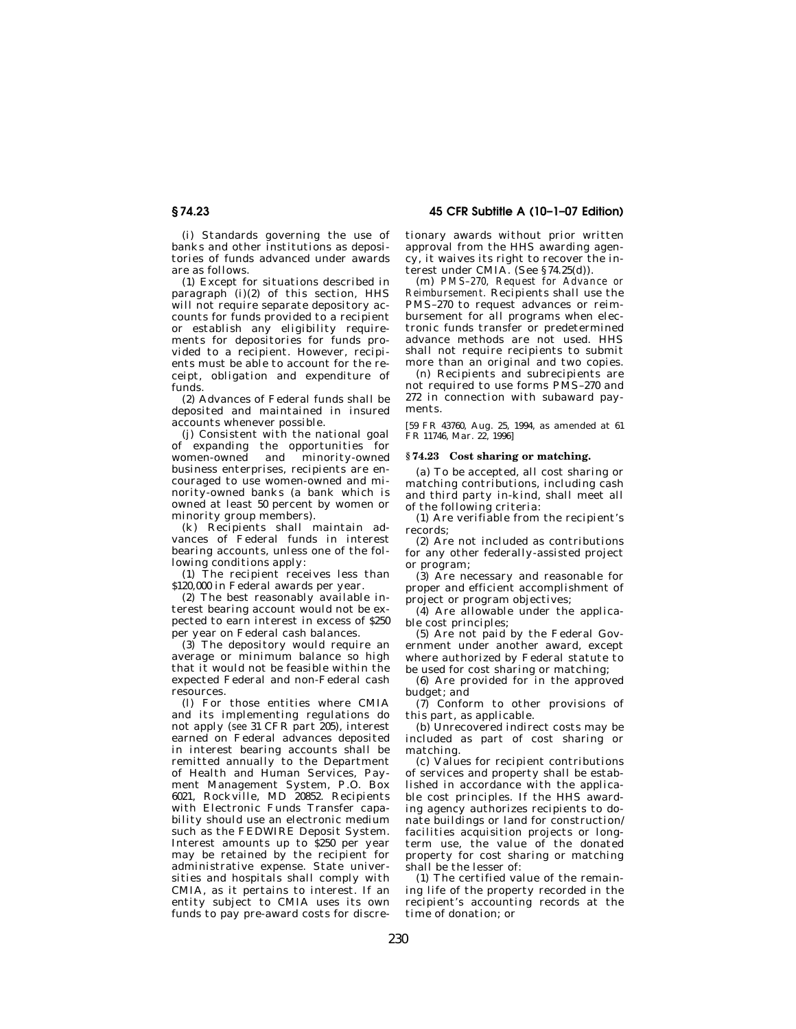**§ 74.23 45 CFR Subtitle A (10–1–07 Edition)** 

(i) Standards governing the use of banks and other institutions as depositories of funds advanced under awards are as follows.

(1) Except for situations described in paragraph (i)(2) of this section, HHS will not require separate depository accounts for funds provided to a recipient or establish any eligibility requirements for depositories for funds provided to a recipient. However, recipients must be able to account for the receipt, obligation and expenditure of funds.

(2) Advances of Federal funds shall be deposited and maintained in insured accounts whenever possible.

(j) Consistent with the national goal of expanding the opportunities for women-owned and minority-owned business enterprises, recipients are encouraged to use women-owned and minority-owned banks (a bank which is owned at least 50 percent by women or minority group members).

(k) Recipients shall maintain advances of Federal funds in interest bearing accounts, unless one of the following conditions apply:

(1) The recipient receives less than \$120,000 in Federal awards per year.

(2) The best reasonably available interest bearing account would not be expected to earn interest in excess of \$250 per year on Federal cash balances.

(3) The depository would require an average or minimum balance so high that it would not be feasible within the expected Federal and non-Federal cash resources.

(l) For those entities where CMIA and its implementing regulations do not apply (*see* 31 CFR part 205), interest earned on Federal advances deposited in interest bearing accounts shall be remitted annually to the Department of Health and Human Services, Payment Management System, P.O. Box 6021, Rockville, MD 20852. Recipients with Electronic Funds Transfer capability should use an electronic medium such as the FEDWIRE Deposit System. Interest amounts up to \$250 per year may be retained by the recipient for administrative expense. State universities and hospitals shall comply with CMIA, as it pertains to interest. If an entity subject to CMIA uses its own funds to pay pre-award costs for discretionary awards without prior written approval from the HHS awarding agency, it waives its right to recover the interest under CMIA. (See §74.25(d)).

(m) *PMS–270, Request for Advance or Reimbursement.* Recipients shall use the PMS–270 to request advances or reimbursement for all programs when electronic funds transfer or predetermined advance methods are not used. HHS shall not require recipients to submit more than an original and two copies.

(n) Recipients and subrecipients are not required to use forms PMS–270 and 272 in connection with subaward payments.

[59 FR 43760, Aug. 25, 1994, as amended at 61 FR 11746, Mar. 22, 1996]

### **§ 74.23 Cost sharing or matching.**

(a) To be accepted, all cost sharing or matching contributions, including cash and third party in-kind, shall meet all of the following criteria:

(1) Are verifiable from the recipient's records;

(2) Are not included as contributions for any other federally-assisted project or program;

(3) Are necessary and reasonable for proper and efficient accomplishment of project or program objectives;

(4) Are allowable under the applicable cost principles;

(5) Are not paid by the Federal Government under another award, except where authorized by Federal statute to be used for cost sharing or matching;

(6) Are provided for in the approved budget; and

(7) Conform to other provisions of this part, as applicable.

(b) Unrecovered indirect costs may be included as part of cost sharing or matching.

(c) Values for recipient contributions of services and property shall be established in accordance with the applicable cost principles. If the HHS awarding agency authorizes recipients to donate buildings or land for construction/ facilities acquisition projects or longterm use, the value of the donated property for cost sharing or matching shall be the lesser of:

(1) The certified value of the remaining life of the property recorded in the recipient's accounting records at the time of donation; or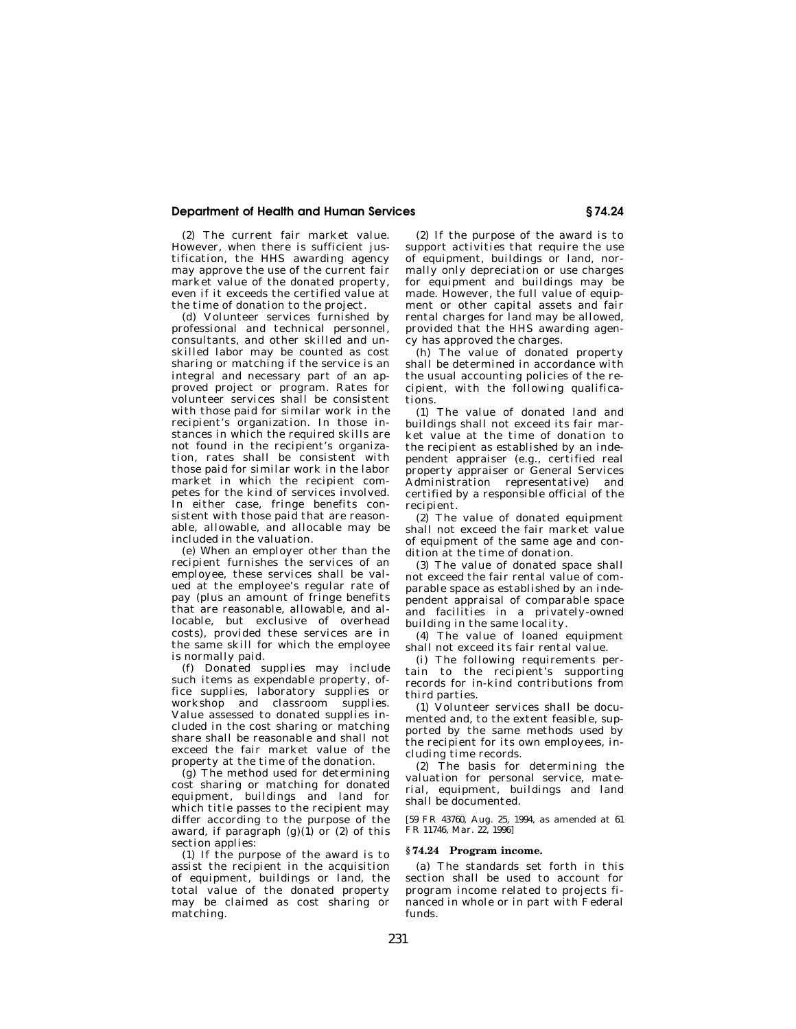(2) The current fair market value. However, when there is sufficient justification, the HHS awarding agency may approve the use of the current fair market value of the donated property. even if it exceeds the certified value at the time of donation to the project.

(d) Volunteer services furnished by professional and technical personnel, consultants, and other skilled and unskilled labor may be counted as cost sharing or matching if the service is an integral and necessary part of an approved project or program. Rates for volunteer services shall be consistent with those paid for similar work in the recipient's organization. In those instances in which the required skills are not found in the recipient's organization, rates shall be consistent with those paid for similar work in the labor market in which the recipient competes for the kind of services involved. .<br>In either case, fringe benefits consistent with those paid that are reasonable, allowable, and allocable may be included in the valuation.

(e) When an employer other than the recipient furnishes the services of an employee, these services shall be valued at the employee's regular rate of pay (plus an amount of fringe benefits that are reasonable, allowable, and allocable, but exclusive of overhead costs), provided these services are in the same skill for which the employee is normally paid.

(f) Donated supplies may include such items as expendable property, office supplies, laboratory supplies or workshop and classroom supplies. Value assessed to donated supplies included in the cost sharing or matching share shall be reasonable and shall not exceed the fair market value of the property at the time of the donation.

(g) The method used for determining cost sharing or matching for donated equipment, buildings and land for which title passes to the recipient may differ according to the purpose of the award, if paragraph  $(g)(1)$  or  $(2)$  of this section applies:

(1) If the purpose of the award is to assist the recipient in the acquisition of equipment, buildings or land, the total value of the donated property may be claimed as cost sharing or matching.

(2) If the purpose of the award is to support activities that require the use of equipment, buildings or land, normally only depreciation or use charges for equipment and buildings may be made. However, the full value of equipment or other capital assets and fair rental charges for land may be allowed, provided that the HHS awarding agency has approved the charges.

(h) The value of donated property shall be determined in accordance with the usual accounting policies of the recipient, with the following qualifications.

(1) The value of donated land and buildings shall not exceed its fair market value at the time of donation to the recipient as established by an independent appraiser (e.g., certified real property appraiser or General Services Administration representative) and certified by a responsible official of the recipient.

(2) The value of donated equipment shall not exceed the fair market value of equipment of the same age and condition at the time of donation.

(3) The value of donated space shall not exceed the fair rental value of comparable space as established by an independent appraisal of comparable space and facilities in a privately-owned building in the same locality.

(4) The value of loaned equipment shall not exceed its fair rental value.

(i) The following requirements pertain to the recipient's supporting records for in-kind contributions from third parties.

(1) Volunteer services shall be documented and, to the extent feasible, supported by the same methods used by the recipient for its own employees, including time records.

(2) The basis for determining the valuation for personal service, material, equipment, buildings and land shall be documented.

[59 FR 43760, Aug. 25, 1994, as amended at 61 FR 11746, Mar. 22, 1996]

## **§ 74.24 Program income.**

(a) The standards set forth in this section shall be used to account for program income related to projects financed in whole or in part with Federal funds.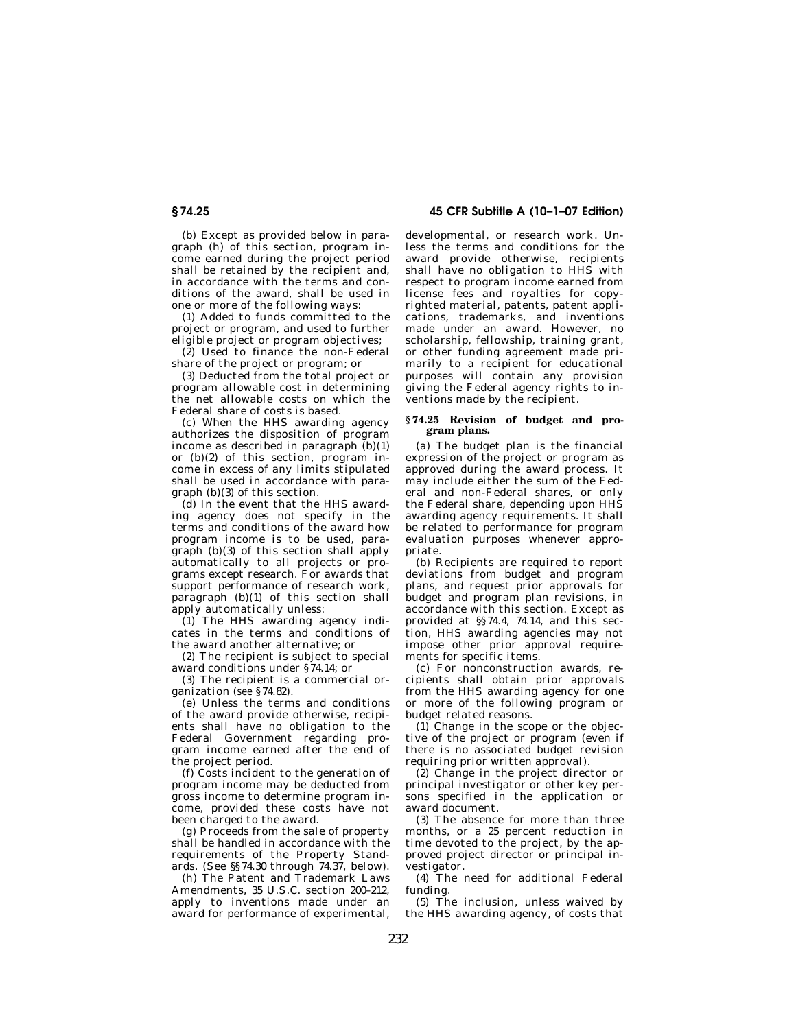(b) Except as provided below in paragraph (h) of this section, program income earned during the project period shall be retained by the recipient and, in accordance with the terms and conditions of the award, shall be used in one or more of the following ways:

(1) Added to funds committed to the project or program, and used to further eligible project or program objectives;

(2) Used to finance the non-Federal share of the project or program; or

(3) Deducted from the total project or program allowable cost in determining the net allowable costs on which the Federal share of costs is based.

(c) When the HHS awarding agency authorizes the disposition of program income as described in paragraph (b)(1) or (b)(2) of this section, program income in excess of any limits stipulated shall be used in accordance with paragraph (b)(3) of this section.

(d) In the event that the HHS awarding agency does not specify in the terms and conditions of the award how program income is to be used, paragraph (b)(3) of this section shall apply automatically to all projects or programs except research. For awards that support performance of research work, paragraph (b)(1) of this section shall apply automatically unless:

 $(1)$  The HHS awarding agency indicates in the terms and conditions of the award another alternative; or

(2) The recipient is subject to special award conditions under §74.14; or

(3) The recipient is a commercial organization (*see* §74.82).

(e) Unless the terms and conditions of the award provide otherwise, recipients shall have no obligation to the Federal Government regarding program income earned after the end of the project period.

(f) Costs incident to the generation of program income may be deducted from gross income to determine program income, provided these costs have not been charged to the award.

(g) Proceeds from the sale of property shall be handled in accordance with the requirements of the Property Standards. (See §§74.30 through 74.37, below).

(h) The Patent and Trademark Laws Amendments, 35 U.S.C. section 200–212, apply to inventions made under an award for performance of experimental,

**§ 74.25 45 CFR Subtitle A (10–1–07 Edition)** 

developmental, or research work. Unless the terms and conditions for the award provide otherwise, recipients shall have no obligation to HHS with respect to program income earned from license fees and royalties for copyrighted material, patents, patent applications, trademarks, and inventions made under an award. However, no scholarship, fellowship, training grant, or other funding agreement made primarily to a recipient for educational purposes will contain any provision giving the Federal agency rights to inventions made by the recipient.

## **§ 74.25 Revision of budget and program plans.**

(a) The budget plan is the financial expression of the project or program as approved during the award process. It may include either the sum of the Federal and non-Federal shares, or only the Federal share, depending upon HHS awarding agency requirements. It shall be related to performance for program evaluation purposes whenever appropriate.

(b) Recipients are required to report deviations from budget and program plans, and request prior approvals for budget and program plan revisions, in accordance with this section. Except as provided at  $\S$ §74.4, 74.14, and this section, HHS awarding agencies may not impose other prior approval requirements for specific items.

(c) For nonconstruction awards, recipients shall obtain prior approvals from the HHS awarding agency for one or more of the following program or budget related reasons.

(1) Change in the scope or the objective of the project or program (even if there is no associated budget revision requiring prior written approval).

(2) Change in the project director or principal investigator or other key persons specified in the application or award document.

(3) The absence for more than three months, or a 25 percent reduction in time devoted to the project, by the approved project director or principal investigator.

(4) The need for additional Federal funding.

(5) The inclusion, unless waived by the HHS awarding agency, of costs that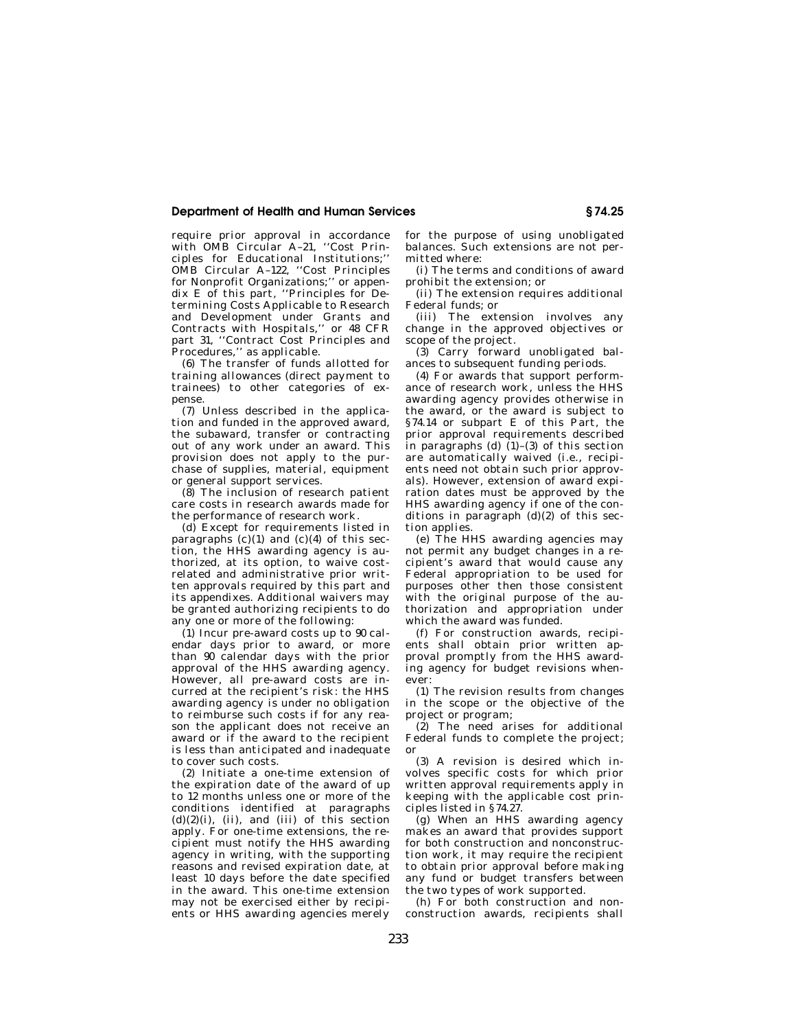require prior approval in accordance with OMB Circular A–21, ''Cost Principles for Educational Institutions;'' OMB Circular A–122, ''Cost Principles for Nonprofit Organizations;'' or appendix E of this part, ''Principles for Determining Costs Applicable to Research and Development under Grants and Contracts with Hospitals,'' or 48 CFR part 31, ''Contract Cost Principles and Procedures,'' as applicable.

(6) The transfer of funds allotted for training allowances (direct payment to trainees) to other categories of expense.

(7) Unless described in the application and funded in the approved award, the subaward, transfer or contracting out of any work under an award. This provision does not apply to the purchase of supplies, material, equipment or general support services.

(8) The inclusion of research patient care costs in research awards made for the performance of research work.

(d) Except for requirements listed in paragraphs  $(c)(1)$  and  $(c)(4)$  of this section, the HHS awarding agency is authorized, at its option, to waive costrelated and administrative prior written approvals required by this part and its appendixes. Additional waivers may be granted authorizing recipients to do any one or more of the following:

(1) Incur pre-award costs up to 90 calendar days prior to award, or more than 90 calendar days with the prior approval of the HHS awarding agency. However, all pre-award costs are incurred at the recipient's risk: the HHS awarding agency is under no obligation to reimburse such costs if for any reason the applicant does not receive an award or if the award to the recipient is less than anticipated and inadequate to cover such costs.

(2) Initiate a one-time extension of the expiration date of the award of up to 12 months unless one or more of the conditions identified at paragraphs  $(d)(2)(i)$ , (ii), and (iii) of this section apply. For one-time extensions, the recipient must notify the HHS awarding agency in writing, with the supporting reasons and revised expiration date, at least 10 days before the date specified in the award. This one-time extension may not be exercised either by recipients or HHS awarding agencies merely

for the purpose of using unobligated balances. Such extensions are not permitted where:

(i) The terms and conditions of award prohibit the extension; or

(ii) The extension requires additional Federal funds; or

(iii) The extension involves any change in the approved objectives or scope of the project.

(3) Carry forward unobligated balances to subsequent funding periods.

(4) For awards that support performance of research work, unless the HHS awarding agency provides otherwise in the award, or the award is subject to §74.14 or subpart E of this Part, the prior approval requirements described in paragraphs (d)  $(1)$ – $(3)$  of this section are automatically waived (i.e., recipients need not obtain such prior approvals). However, extension of award expiration dates must be approved by the HHS awarding agency if one of the conditions in paragraph  $(d)(2)$  of this section applies.

(e) The HHS awarding agencies may not permit any budget changes in a recipient's award that would cause any Federal appropriation to be used for purposes other then those consistent with the original purpose of the authorization and appropriation under which the award was funded.

(f) For construction awards, recipients shall obtain prior written approval promptly from the HHS awarding agency for budget revisions whenever:

(1) The revision results from changes in the scope or the objective of the project or program;

(2) The need arises for additional Federal funds to complete the project; or

(3) A revision is desired which involves specific costs for which prior written approval requirements apply in keeping with the applicable cost principles listed in §74.27.

(g) When an HHS awarding agency makes an award that provides support for both construction and nonconstruction work, it may require the recipient to obtain prior approval before making any fund or budget transfers between the two types of work supported.

(h) For both construction and nonconstruction awards, recipients shall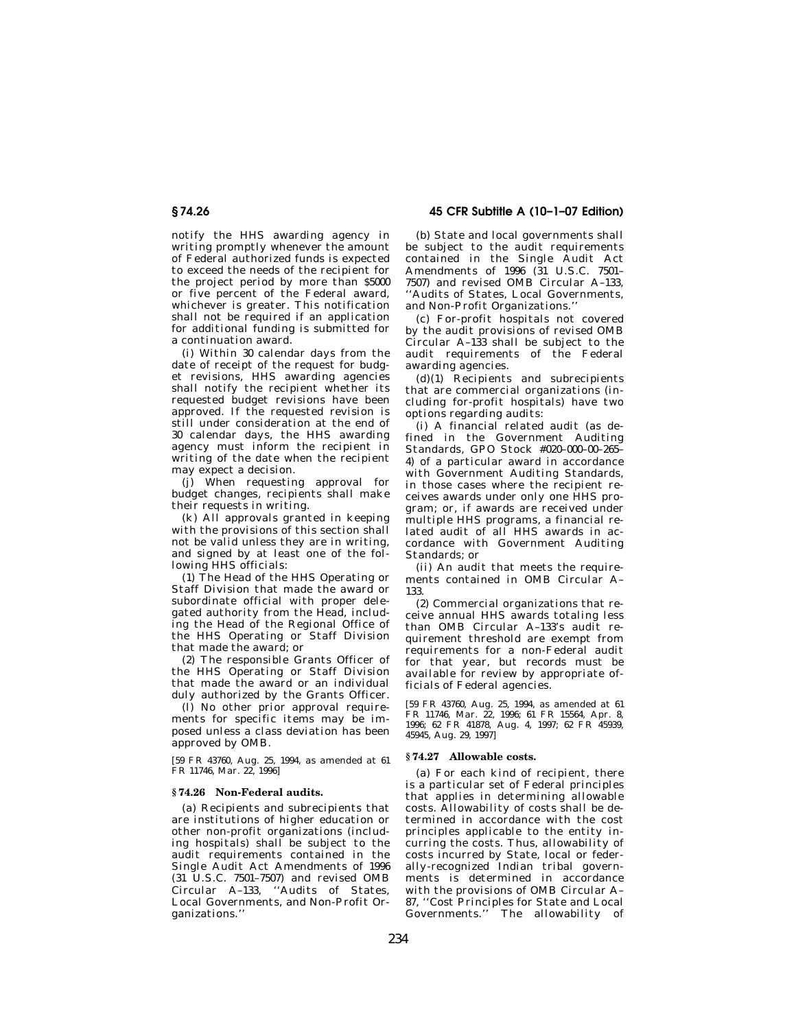**§ 74.26 45 CFR Subtitle A (10–1–07 Edition)** 

notify the HHS awarding agency in writing promptly whenever the amount of Federal authorized funds is expected to exceed the needs of the recipient for the project period by more than \$5000 or five percent of the Federal award, whichever is greater. This notification shall not be required if an application for additional funding is submitted for a continuation award.

(i) Within 30 calendar days from the date of receipt of the request for budget revisions, HHS awarding agencies shall notify the recipient whether its requested budget revisions have been approved. If the requested revision is still under consideration at the end of 30 calendar days, the HHS awarding agency must inform the recipient in writing of the date when the recipient may expect a decision.

(j) When requesting approval for budget changes, recipients shall make their requests in writing.

(k) All approvals granted in keeping with the provisions of this section shall not be valid unless they are in writing, and signed by at least one of the following HHS officials:

(1) The Head of the HHS Operating or Staff Division that made the award or subordinate official with proper delegated authority from the Head, including the Head of the Regional Office of the HHS Operating or Staff Division that made the award; or

(2) The responsible Grants Officer of the HHS Operating or Staff Division that made the award or an individual duly authorized by the Grants Officer.

(l) No other prior approval requirements for specific items may be imposed unless a class deviation has been approved by OMB.

[59 FR 43760, Aug. 25, 1994, as amended at 61 FR 11746, Mar. 22, 1996]

## **§ 74.26 Non-Federal audits.**

(a) Recipients and subrecipients that are institutions of higher education or other non-profit organizations (including hospitals) shall be subject to the audit requirements contained in the Single Audit Act Amendments of 1996 (31 U.S.C. 7501–7507) and revised OMB Circular A–133, ''Audits of States, Local Governments, and Non-Profit Organizations.''

(b) State and local governments shall be subject to the audit requirements contained in the Single Audit Act Amendments of 1996 (31 U.S.C. 7501– 7507) and revised OMB Circular A–133, ''Audits of States, Local Governments, and Non-Profit Organizations.''

(c) For-profit hospitals not covered by the audit provisions of revised OMB Circular A–133 shall be subject to the audit requirements of the Federal awarding agencies.

(d)(1) Recipients and subrecipients that are commercial organizations (including for-profit hospitals) have two options regarding audits:

(i) A financial related audit (as defined in the Government Auditing Standards, GPO Stock #020–000–00–265– 4) of a particular award in accordance with Government Auditing Standards, in those cases where the recipient receives awards under only one HHS program; or, if awards are received under multiple HHS programs, a financial related audit of all HHS awards in accordance with Government Auditing Standards; or

(ii) An audit that meets the requirements contained in OMB Circular A– 133.

(2) Commercial organizations that receive annual HHS awards totaling less than OMB Circular A–133's audit requirement threshold are exempt from requirements for a non-Federal audit for that year, but records must be available for review by appropriate officials of Federal agencies.

[59 FR 43760, Aug. 25, 1994, as amended at 61 FR 11746, Mar. 22, 1996; 61 FR 15564, Apr. 8, 1996; 62 FR 41878, Aug. 4, 1997; 62 FR 45939, 45945, Aug. 29, 1997]

### **§ 74.27 Allowable costs.**

(a) For each kind of recipient, there is a particular set of Federal principles that applies in determining allowable costs. Allowability of costs shall be determined in accordance with the cost principles applicable to the entity incurring the costs. Thus, allowability of costs incurred by State, local or federally-recognized Indian tribal governments is determined in accordance with the provisions of OMB Circular A– 87, ''Cost Principles for State and Local Governments.'' The allowability of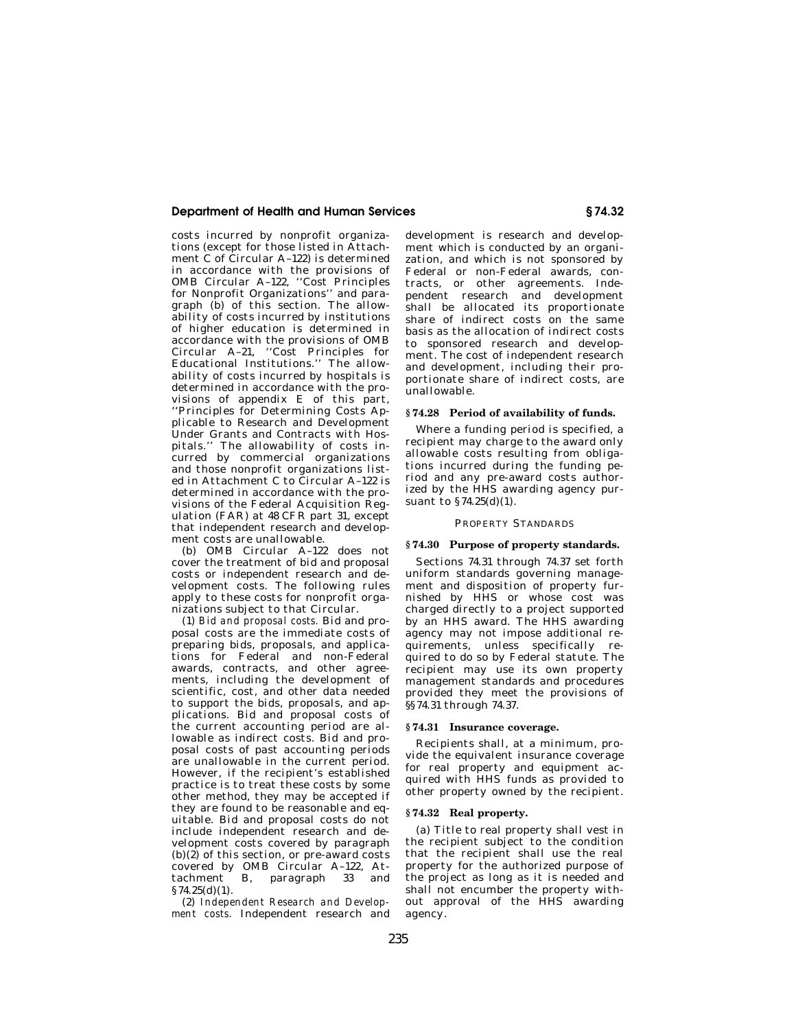costs incurred by nonprofit organizations (except for those listed in Attachment C of Circular A–122) is determined in accordance with the provisions of OMB Circular A–122, ''Cost Principles for Nonprofit Organizations'' and paragraph (b) of this section. The allowability of costs incurred by institutions of higher education is determined in accordance with the provisions of OMB Circular A–21, ''Cost Principles for Educational Institutions.'' The allowability of costs incurred by hospitals is determined in accordance with the provisions of appendix E of this part, ''Principles for Determining Costs Applicable to Research and Development Under Grants and Contracts with Hospitals.'' The allowability of costs incurred by commercial organizations and those nonprofit organizations listed in Attachment C to Circular A–122 is determined in accordance with the provisions of the Federal Acquisition Regulation (FAR) at 48 CFR part 31, except that independent research and development costs are unallowable.

(b) OMB Circular A–122 does not cover the treatment of bid and proposal costs or independent research and development costs. The following rules apply to these costs for nonprofit organizations subject to that Circular.

(1) *Bid and proposal costs.* Bid and proposal costs are the immediate costs of preparing bids, proposals, and applications for Federal and non-Federal awards, contracts, and other agreements, including the development of scientific, cost, and other data needed to support the bids, proposals, and applications. Bid and proposal costs of the current accounting period are allowable as indirect costs. Bid and proposal costs of past accounting periods are unallowable in the current period. However, if the recipient's established practice is to treat these costs by some other method, they may be accepted if they are found to be reasonable and equitable. Bid and proposal costs do not include independent research and development costs covered by paragraph  $(b)(2)$  of this section, or pre-award costs covered by OMB Circular A–122, Atparagraph 33  $§74.25(d)(1)$ .

(2) *Independent Research and Development costs.* Independent research and

development is research and development which is conducted by an organization, and which is not sponsored by Federal or non-Federal awards, contracts, or other agreements. Independent research and development shall be allocated its proportionate share of indirect costs on the same basis as the allocation of indirect costs to sponsored research and development. The cost of independent research and development, including their proportionate share of indirect costs, are .<br>unallowable

## **§ 74.28 Period of availability of funds.**

Where a funding period is specified, a recipient may charge to the award only allowable costs resulting from obligations incurred during the funding period and any pre-award costs authorized by the HHS awarding agency pursuant to §74.25(d)(1).

## PROPERTY STANDARDS

#### **§ 74.30 Purpose of property standards.**

Sections 74.31 through 74.37 set forth uniform standards governing management and disposition of property furnished by HHS or whose cost was charged directly to a project supported by an HHS award. The HHS awarding agency may not impose additional requirements, unless specifically required to do so by Federal statute. The recipient may use its own property management standards and procedures provided they meet the provisions of §§74.31 through 74.37.

## **§ 74.31 Insurance coverage.**

Recipients shall, at a minimum, provide the equivalent insurance coverage for real property and equipment acquired with HHS funds as provided to other property owned by the recipient.

## **§ 74.32 Real property.**

(a) Title to real property shall vest in the recipient subject to the condition that the recipient shall use the real property for the authorized purpose of the project as long as it is needed and shall not encumber the property without approval of the HHS awarding agency.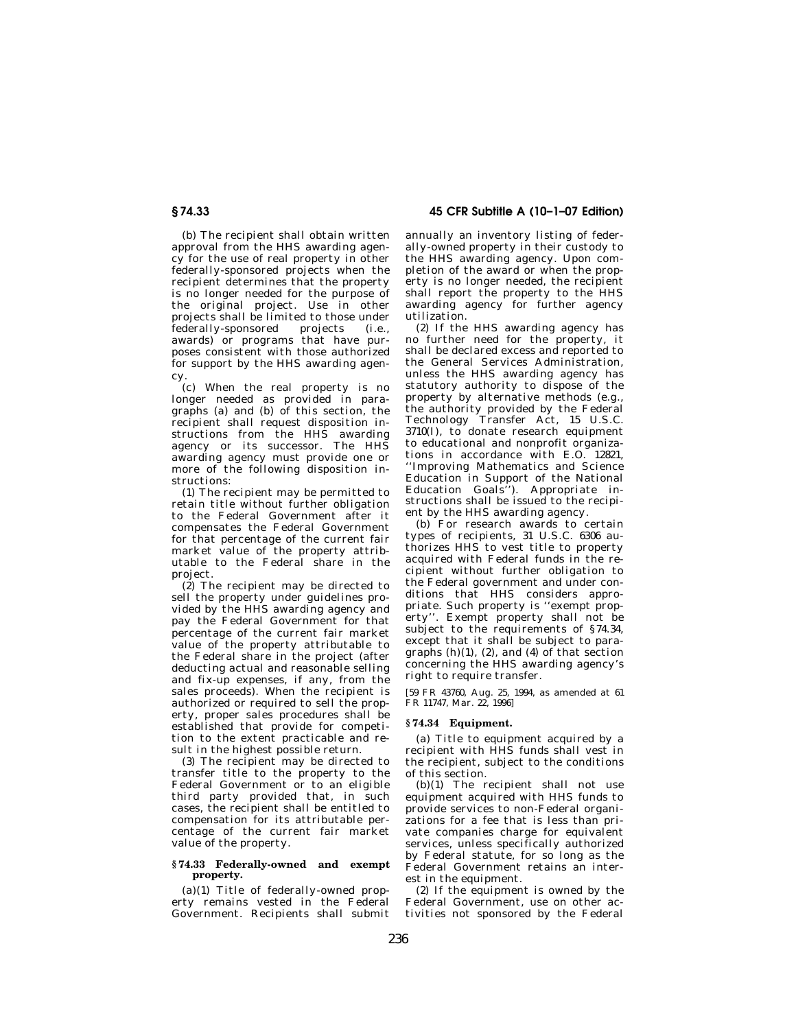(b) The recipient shall obtain written approval from the HHS awarding agency for the use of real property in other federally-sponsored projects when the recipient determines that the property is no longer needed for the purpose of the original project. Use in other projects shall be limited to those under<br>federally-sponsored projects (i.e., .<br>federally-sponsored projects (i.e., awards) or programs that have purposes consistent with those authorized for support by the HHS awarding agency.

(c) When the real property is no longer needed as provided in paragraphs (a) and (b) of this section, the recipient shall request disposition instructions from the HHS awarding agency or its successor. The HHS awarding agency must provide one or more of the following disposition instructions:

(1) The recipient may be permitted to retain title without further obligation to the Federal Government after it compensates the Federal Government for that percentage of the current fair market value of the property attributable to the Federal share in the project.

 $(2)$  The recipient may be directed to sell the property under guidelines provided by the HHS awarding agency and pay the Federal Government for that percentage of the current fair market value of the property attributable to the Federal share in the project (after deducting actual and reasonable selling and fix-up expenses, if any, from the sales proceeds). When the recipient is authorized or required to sell the property, proper sales procedures shall be established that provide for competition to the extent practicable and result in the highest possible return.

(3) The recipient may be directed to transfer title to the property to the Federal Government or to an eligible third party provided that, in such cases, the recipient shall be entitled to compensation for its attributable percentage of the current fair market value of the property.

## **§ 74.33 Federally-owned and exempt property.**

(a)(1) Title of federally-owned property remains vested in the Federal Government. Recipients shall submit

**§ 74.33 45 CFR Subtitle A (10–1–07 Edition)** 

annually an inventory listing of federally-owned property in their custody to the HHS awarding agency. Upon completion of the award or when the property is no longer needed, the recipient shall report the property to the HHS awarding agency for further agency utilization.

(2) If the HHS awarding agency has no further need for the property, it shall be declared excess and reported to the General Services Administration, unless the HHS awarding agency has statutory authority to dispose of the property by alternative methods (e.g., the authority provided by the Federal Technology Transfer Act, 15 U.S.C. 3710(I), to donate research equipment to educational and nonprofit organizations in accordance with E.O. 12821, 'Improving Mathematics and Science Education in Support of the National Education Goals''). Appropriate instructions shall be issued to the recipient by the HHS awarding agency.

(b) For research awards to certain types of recipients, 31 U.S.C. 6306 authorizes HHS to vest title to property acquired with Federal funds in the recipient without further obligation to the Federal government and under conditions that HHS considers appropriate. Such property is ''exempt property". Exempt property shall not be subject to the requirements of §74.34, except that it shall be subject to paragraphs  $(h)(1)$ ,  $(2)$ , and  $(4)$  of that section concerning the HHS awarding agency's right to require transfer.

[59 FR 43760, Aug. 25, 1994, as amended at 61 FR 11747, Mar. 22, 1996]

# **§ 74.34 Equipment.**

(a) Title to equipment acquired by a recipient with HHS funds shall vest in the recipient, subject to the conditions of this section.

(b)(1) The recipient shall not use equipment acquired with HHS funds to provide services to non-Federal organizations for a fee that is less than private companies charge for equivalent services, unless specifically authorized by Federal statute, for so long as the Federal Government retains an interest in the equipment.

(2) If the equipment is owned by the Federal Government, use on other activities not sponsored by the Federal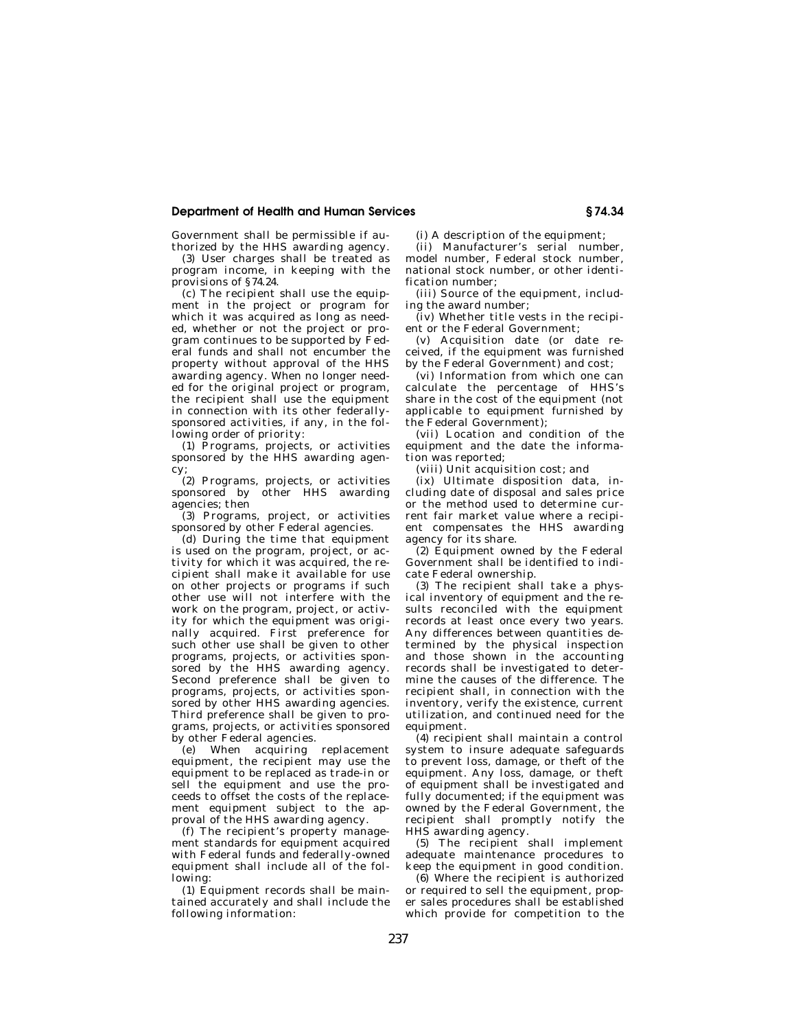Government shall be permissible if authorized by the HHS awarding agency.

(3) User charges shall be treated as program income, in keeping with the provisions of §74.24.

(c) The recipient shall use the equipment in the project or program for which it was acquired as long as needed, whether or not the project or program continues to be supported by Federal funds and shall not encumber the property without approval of the HHS awarding agency. When no longer needed for the original project or program, the recipient shall use the equipment in connection with its other federallysponsored activities, if any, in the following order of priority:

(1) Programs, projects, or activities sponsored by the HHS awarding agency;

(2) Programs, projects, or activities sponsored by other HHS awarding agencies; then

(3) Programs, project, or activities sponsored by other Federal agencies.

(d) During the time that equipment is used on the program, project, or activity for which it was acquired, the recipient shall make it available for use on other projects or programs if such other use will not interfere with the work on the program, project, or activity for which the equipment was originally acquired. First preference for such other use shall be given to other programs, projects, or activities sponsored by the HHS awarding agency. Second preference shall be given to programs, projects, or activities sponsored by other HHS awarding agencies. Third preference shall be given to programs, projects, or activities sponsored by other Federal agencies.

(e) When acquiring replacement equipment, the recipient may use the equipment to be replaced as trade-in or sell the equipment and use the proceeds to offset the costs of the replacement equipment subject to the approval of the HHS awarding agency.

(f) The recipient's property management standards for equipment acquired with Federal funds and federally-owned equipment shall include all of the following:

(1) Equipment records shall be maintained accurately and shall include the following information:

(i) A description of the equipment;

(ii) Manufacturer's serial number, model number, Federal stock number, national stock number, or other identification number;

(iii) Source of the equipment, including the award number;

(iv) Whether title vests in the recipient or the Federal Government;

(v) Acquisition date (or date received, if the equipment was furnished by the Federal Government) and cost;

(vi) Information from which one can calculate the percentage of HHS's share in the cost of the equipment (not applicable to equipment furnished by the Federal Government);

(vii) Location and condition of the equipment and the date the information was reported;

(viii) Unit acquisition cost; and

(ix) Ultimate disposition data, including date of disposal and sales price or the method used to determine current fair market value where a recipient compensates the HHS awarding agency for its share.

(2) Equipment owned by the Federal Government shall be identified to indicate Federal ownership.

(3) The recipient shall take a physical inventory of equipment and the results reconciled with the equipment records at least once every two years. Any differences between quantities determined by the physical inspection and those shown in the accounting records shall be investigated to determine the causes of the difference. The recipient shall, in connection with the inventory, verify the existence, current utilization, and continued need for the equipment.

(4) recipient shall maintain a control system to insure adequate safeguards to prevent loss, damage, or theft of the equipment. Any loss, damage, or theft of equipment shall be investigated and fully documented; if the equipment was owned by the Federal Government, the recipient shall promptly notify the HHS awarding agency.

(5) The recipient shall implement adequate maintenance procedures to keep the equipment in good condition.

(6) Where the recipient is authorized or required to sell the equipment, proper sales procedures shall be established which provide for competition to the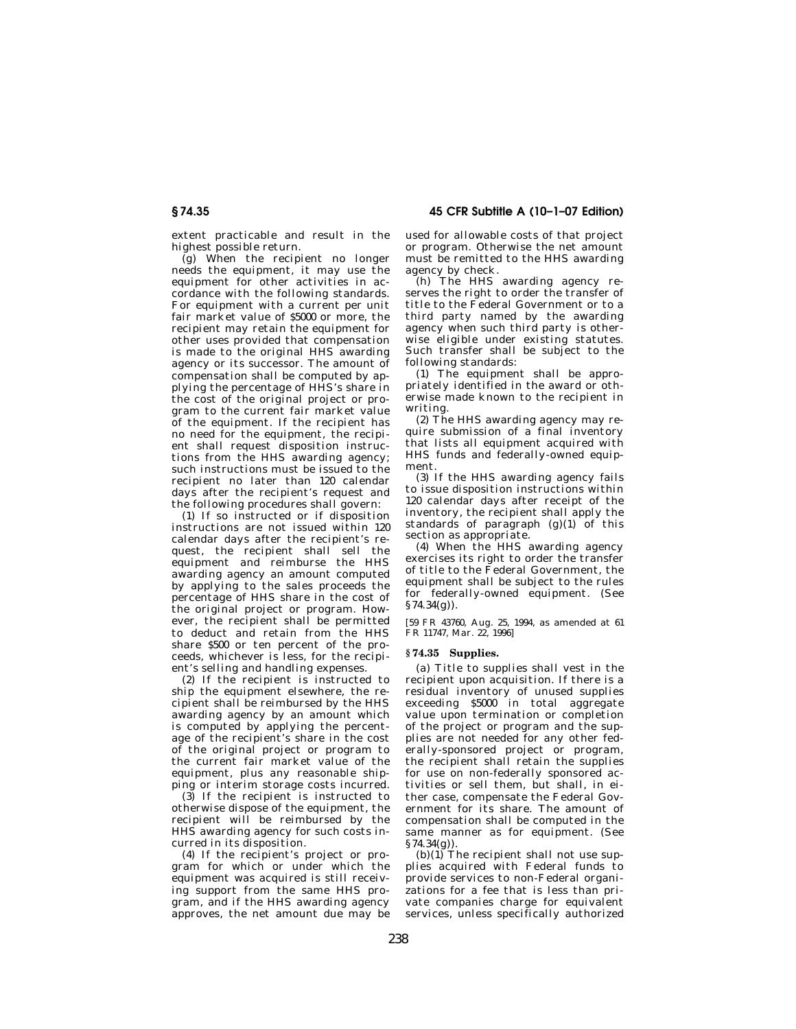extent practicable and result in the highest possible return.

(g) When the recipient no longer needs the equipment, it may use the equipment for other activities in accordance with the following standards. For equipment with a current per unit fair market value of \$5000 or more, the recipient may retain the equipment for other uses provided that compensation is made to the original HHS awarding agency or its successor. The amount of compensation shall be computed by applying the percentage of HHS's share in the cost of the original project or program to the current fair market value of the equipment. If the recipient has no need for the equipment, the recipient shall request disposition instructions from the HHS awarding agency; such instructions must be issued to the recipient no later than 120 calendar days after the recipient's request and the following procedures shall govern:

(1) If so instructed or if disposition instructions are not issued within 120 calendar days after the recipient's request, the recipient shall sell the equipment and reimburse the HHS awarding agency an amount computed by applying to the sales proceeds the percentage of HHS share in the cost of the original project or program. However, the recipient shall be permitted to deduct and retain from the HHS share \$500 or ten percent of the proceeds, whichever is less, for the recipient's selling and handling expenses.

(2) If the recipient is instructed to ship the equipment elsewhere, the recipient shall be reimbursed by the HHS awarding agency by an amount which is computed by applying the percentage of the recipient's share in the cost of the original project or program to the current fair market value of the equipment, plus any reasonable shipping or interim storage costs incurred.

 $(3)$  If the recipient is instructed to otherwise dispose of the equipment, the recipient will be reimbursed by the HHS awarding agency for such costs incurred in its disposition.

(4) If the recipient's project or program for which or under which the equipment was acquired is still receiving support from the same HHS program, and if the HHS awarding agency approves, the net amount due may be used for allowable costs of that project or program. Otherwise the net amount must be remitted to the HHS awarding agency by check.

(h) The HHS awarding agency reserves the right to order the transfer of title to the Federal Government or to a third party named by the awarding agency when such third party is otherwise eligible under existing statutes. Such transfer shall be subject to the following standards:

(1) The equipment shall be appropriately identified in the award or otherwise made known to the recipient in writing.

(2) The HHS awarding agency may require submission of a final inventory that lists all equipment acquired with HHS funds and federally-owned equipment.

(3) If the HHS awarding agency fails to issue disposition instructions within 120 calendar days after receipt of the inventory, the recipient shall apply the standards of paragraph  $(g)(1)$  of this section as appropriate.

(4) When the HHS awarding agency exercises its right to order the transfer of title to the Federal Government, the equipment shall be subject to the rules for federally-owned equipment. (See  $§74.34(g)$ .

[59 FR 43760, Aug. 25, 1994, as amended at 61 FR 11747, Mar. 22, 1996]

## **§ 74.35 Supplies.**

(a) Title to supplies shall vest in the recipient upon acquisition. If there is a residual inventory of unused supplies exceeding \$5000 in total aggregate value upon termination or completion of the project or program and the supplies are not needed for any other federally-sponsored project or program, the recipient shall retain the supplies for use on non-federally sponsored activities or sell them, but shall, in either case, compensate the Federal Government for its share. The amount of compensation shall be computed in the same manner as for equipment. (See §74.34(g)).

 $(b)(1)$  The recipient shall not use supplies acquired with Federal funds to provide services to non-Federal organizations for a fee that is less than private companies charge for equivalent services, unless specifically authorized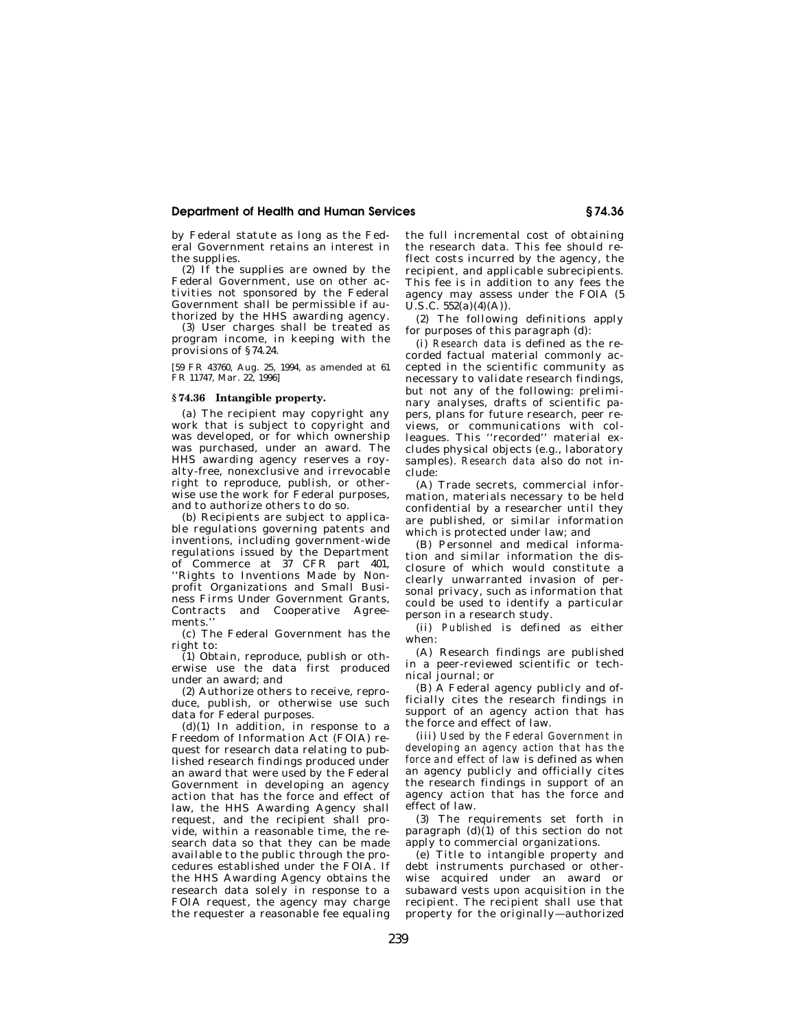by Federal statute as long as the Federal Government retains an interest in the supplies.

(2) If the supplies are owned by the Federal Government, use on other activities not sponsored by the Federal Government shall be permissible if authorized by the HHS awarding agency.

(3) User charges shall be treated as program income, in keeping with the provisions of §74.24.

[59 FR 43760, Aug. 25, 1994, as amended at 61 FR 11747, Mar. 22, 1996]

## **§ 74.36 Intangible property.**

(a) The recipient may copyright any work that is subject to copyright and was developed, or for which ownership was purchased, under an award. The HHS awarding agency reserves a royalty-free, nonexclusive and irrevocable right to reproduce, publish, or otherwise use the work for Federal purposes, and to authorize others to do so.

(b) Recipients are subject to applicable regulations governing patents and inventions, including government-wide regulations issued by the Department of Commerce at 37 CFR part 401, ''Rights to Inventions Made by Nonprofit Organizations and Small Business Firms Under Government Grants, Contracts and Cooperative Agreements.''

(c) The Federal Government has the right to:

(1) Obtain, reproduce, publish or otherwise use the data first produced under an award; and

(2) Authorize others to receive, reproduce, publish, or otherwise use such data for Federal purposes.

 $(d)(1)$  In addition, in response to a Freedom of Information Act (FOIA) request for research data relating to published research findings produced under an award that were used by the Federal Government in developing an agency action that has the force and effect of law, the HHS Awarding Agency shall request, and the recipient shall provide, within a reasonable time, the research data so that they can be made available to the public through the procedures established under the FOIA. If the HHS Awarding Agency obtains the research data solely in response to a FOIA request, the agency may charge the requester a reasonable fee equaling the full incremental cost of obtaining the research data. This fee should reflect costs incurred by the agency, the recipient, and applicable subrecipients. This fee is in addition to any fees the agency may assess under the FOIA (5 U.S.C.  $552(a)(4)(A)$ .

(2) The following definitions apply for purposes of this paragraph (d):

(i) *Research data* is defined as the recorded factual material commonly accepted in the scientific community as necessary to validate research findings, but not any of the following: preliminary analyses, drafts of scientific papers, plans for future research, peer reviews, or communications with colleagues. This ''recorded'' material excludes physical objects (e.g., laboratory samples). *Research data* also do not include:

(A) Trade secrets, commercial information, materials necessary to be held confidential by a researcher until they are published, or similar information which is protected under law; and

(B) Personnel and medical information and similar information the disclosure of which would constitute a clearly unwarranted invasion of personal privacy, such as information that could be used to identify a particular person in a research study.

(ii) *Published* is defined as either when:

(A) Research findings are published in a peer-reviewed scientific or technical journal; or

(B) A Federal agency publicly and officially cites the research findings in support of an agency action that has the force and effect of law.

(iii) *Used by the Federal Government in developing an agency action that has the force and effect of law* is defined as when an agency publicly and officially cites the research findings in support of an agency action that has the force and effect of law.

(3) The requirements set forth in paragraph  $(d)(1)$  of this section do not apply to commercial organizations.

(e) Title to intangible property and debt instruments purchased or otherwise acquired under an award or subaward vests upon acquisition in the recipient. The recipient shall use that property for the originally—authorized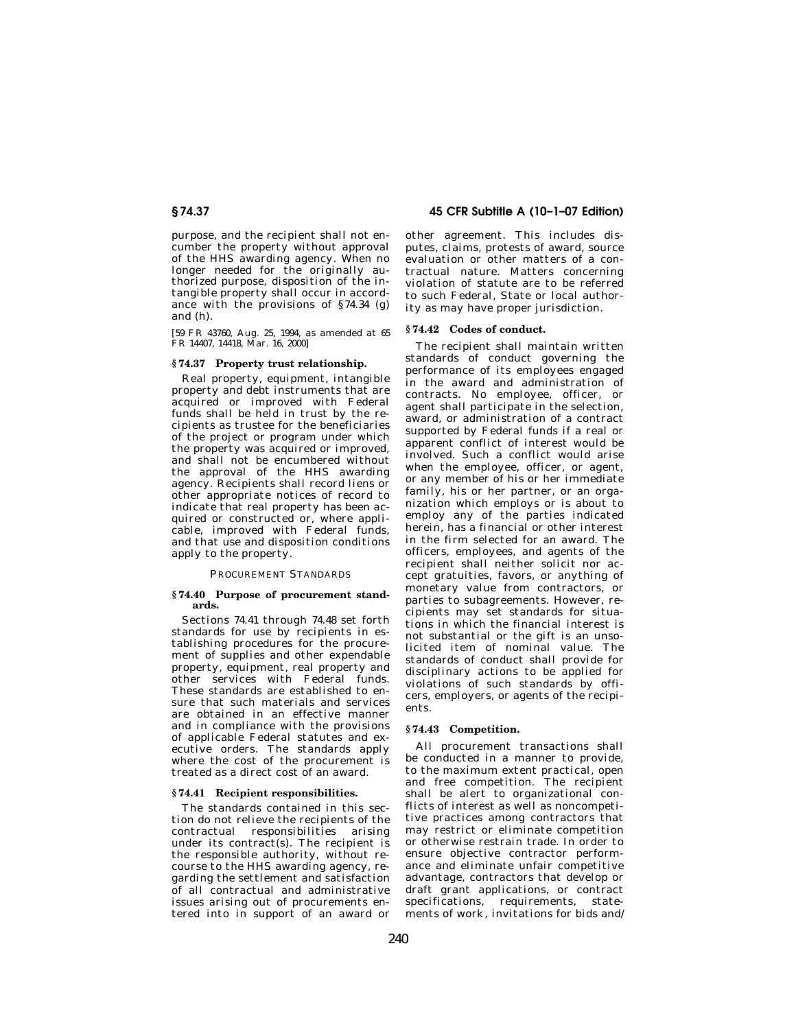purpose, and the recipient shall not encumber the property without approval of the HHS awarding agency. When no longer needed for the originally authorized purpose, disposition of the intangible property shall occur in accordance with the provisions of §74.34 (g) and (h).

[59 FR 43760, Aug. 25, 1994, as amended at 65 FR 14407, 14418, Mar. 16, 2000]

## **§ 74.37 Property trust relationship.**

Real property, equipment, intangible property and debt instruments that are acquired or improved with Federal funds shall be held in trust by the recipients as trustee for the beneficiaries of the project or program under which the property was acquired or improved, and shall not be encumbered without the approval of the HHS awarding agency. Recipients shall record liens or other appropriate notices of record to indicate that real property has been acquired or constructed or, where applicable, improved with Federal funds, and that use and disposition conditions apply to the property.

PROCUREMENT STANDARDS

### **§ 74.40 Purpose of procurement standards.**

Sections 74.41 through 74.48 set forth standards for use by recipients in establishing procedures for the procurement of supplies and other expendable property, equipment, real property and other services with Federal funds. These standards are established to ensure that such materials and services are obtained in an effective manner and in compliance with the provisions of applicable Federal statutes and executive orders. The standards apply where the cost of the procurement is treated as a direct cost of an award.

# **§ 74.41 Recipient responsibilities.**

The standards contained in this section do not relieve the recipients of the contractual responsibilities arising under its contract(s). The recipient is the responsible authority, without recourse to the HHS awarding agency, regarding the settlement and satisfaction of all contractual and administrative issues arising out of procurements entered into in support of an award or

**§ 74.37 45 CFR Subtitle A (10–1–07 Edition)** 

other agreement. This includes disputes, claims, protests of award, source evaluation or other matters of a contractual nature. Matters concerning violation of statute are to be referred to such Federal, State or local authority as may have proper jurisdiction.

## **§ 74.42 Codes of conduct.**

The recipient shall maintain written standards of conduct governing the performance of its employees engaged in the award and administration of contracts. No employee, officer, or agent shall participate in the selection, award, or administration of a contract supported by Federal funds if a real or apparent conflict of interest would be involved. Such a conflict would arise when the employee, officer, or agent, or any member of his or her immediate family, his or her partner, or an organization which employs or is about to employ any of the parties indicated herein, has a financial or other interest in the firm selected for an award. The officers, employees, and agents of the recipient shall neither solicit nor accept gratuities, favors, or anything of monetary value from contractors, or parties to subagreements. However, recipients may set standards for situations in which the financial interest is not substantial or the gift is an unsolicited item of nominal value. The standards of conduct shall provide for disciplinary actions to be applied for violations of such standards by officers, employers, or agents of the recipients.

## **§ 74.43 Competition.**

All procurement transactions shall be conducted in a manner to provide, to the maximum extent practical, open and free competition. The recipient shall be alert to organizational conflicts of interest as well as noncompetitive practices among contractors that may restrict or eliminate competition or otherwise restrain trade. In order to ensure objective contractor performance and eliminate unfair competitive advantage, contractors that develop or draft grant applications, or contract specifications, requirements, statements of work, invitations for bids and/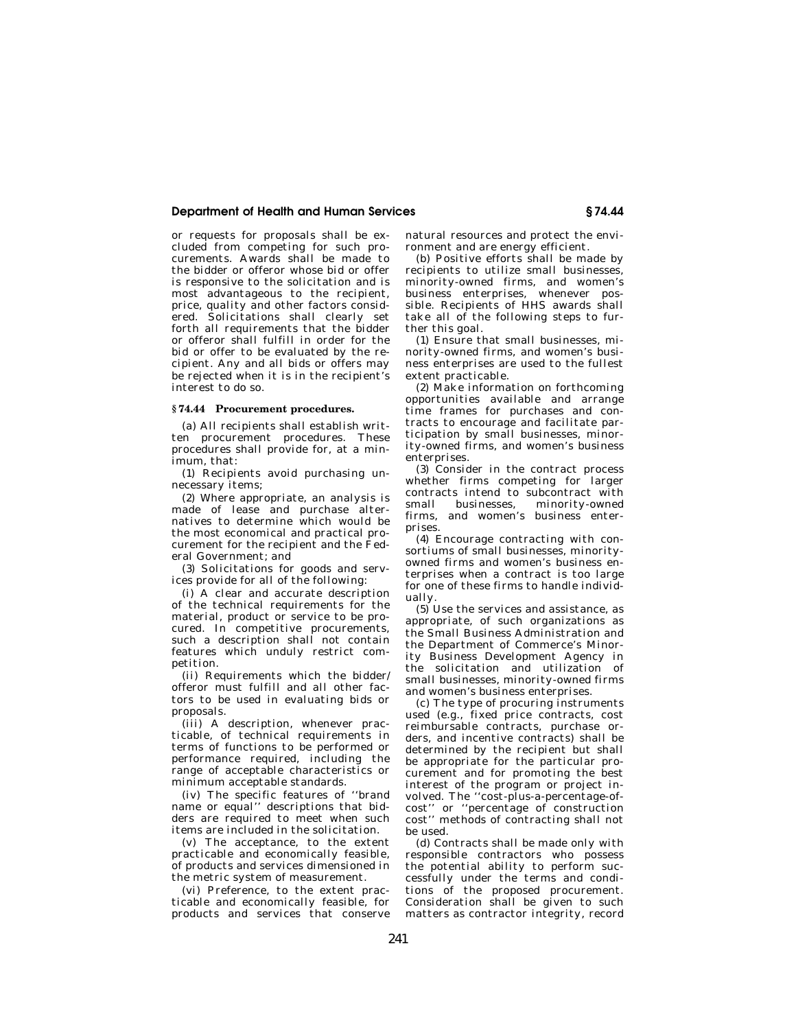or requests for proposals shall be excluded from competing for such procurements. Awards shall be made to the bidder or offeror whose bid or offer is responsive to the solicitation and is most advantageous to the recipient, price, quality and other factors considered. Solicitations shall clearly set forth all requirements that the bidder or offeror shall fulfill in order for the bid or offer to be evaluated by the recipient. Any and all bids or offers may be rejected when it is in the recipient's interest to do so.

#### **§ 74.44 Procurement procedures.**

(a) All recipients shall establish written procurement procedures. These procedures shall provide for, at a minimum, that:

(1) Recipients avoid purchasing unnecessary items;

(2) Where appropriate, an analysis is made of lease and purchase alternatives to determine which would be the most economical and practical procurement for the recipient and the Federal Government; and

(3) Solicitations for goods and services provide for all of the following:

(i) A clear and accurate description of the technical requirements for the material, product or service to be procured. In competitive procurements, such a description shall not contain features which unduly restrict competition.

(ii) Requirements which the bidder/ offeror must fulfill and all other factors to be used in evaluating bids or proposals.

(iii) A description, whenever practicable, of technical requirements in terms of functions to be performed or performance required, including the range of acceptable characteristics or minimum acceptable standards.

(iv) The specific features of ''brand name or equal'' descriptions that bidders are required to meet when such items are included in the solicitation.

(v) The acceptance, to the extent practicable and economically feasible, of products and services dimensioned in the metric system of measurement.

(vi) Preference, to the extent practicable and economically feasible, for products and services that conserve natural resources and protect the environment and are energy efficient.

(b) Positive efforts shall be made by recipients to utilize small businesses, minority-owned firms, and women's business enterprises, whenever possible. Recipients of HHS awards shall take all of the following steps to further this goal.

(1) Ensure that small businesses, minority-owned firms, and women's business enterprises are used to the fullest extent practicable.

(2) Make information on forthcoming opportunities available and arrange time frames for purchases and contracts to encourage and facilitate participation by small businesses, minority-owned firms, and women's business enterprises.

(3) Consider in the contract process whether firms competing for larger contracts intend to subcontract with small businesses, minority-owned firms, and women's business enterprises.

(4) Encourage contracting with consortiums of small businesses, minorityowned firms and women's business enterprises when a contract is too large for one of these firms to handle individually.

(5) Use the services and assistance, as appropriate, of such organizations as the Small Business Administration and the Department of Commerce's Minority Business Development Agency in the solicitation and utilization of small businesses, minority-owned firms and women's business enterprises.

(c) The type of procuring instruments used (e.g., fixed price contracts, cost reimbursable contracts, purchase orders, and incentive contracts) shall be determined by the recipient but shall be appropriate for the particular procurement and for promoting the best interest of the program or project involved. The ''cost-plus-a-percentage-ofcost'' or ''percentage of construction cost'' methods of contracting shall not be used.

(d) Contracts shall be made only with responsible contractors who possess the potential ability to perform successfully under the terms and conditions of the proposed procurement. Consideration shall be given to such matters as contractor integrity, record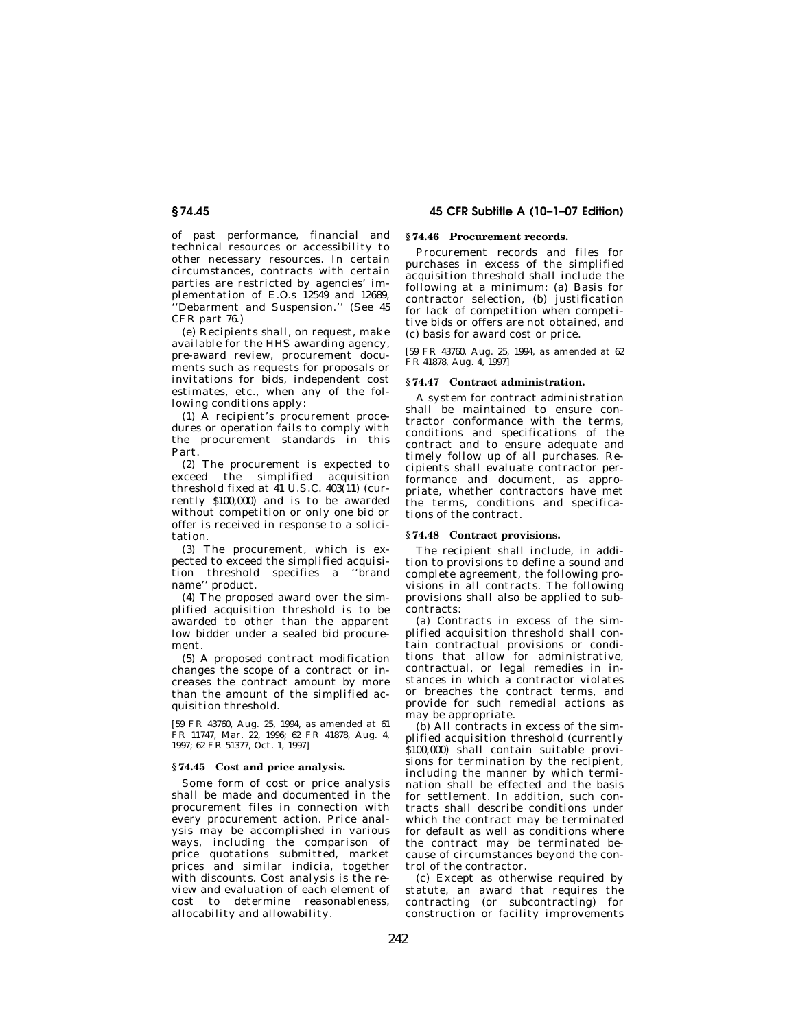of past performance, financial and technical resources or accessibility to other necessary resources. In certain circumstances, contracts with certain parties are restricted by agencies' implementation of E.O.s 12549 and 12689, 'Debarment and Suspension." (See 45 CFR part 76.)

(e) Recipients shall, on request, make available for the HHS awarding agency, pre-award review, procurement documents such as requests for proposals or invitations for bids, independent cost estimates, etc., when any of the following conditions apply:

(1) A recipient's procurement procedures or operation fails to comply with the procurement standards in this Part.

(2) The procurement is expected to exceed the simplified acquisition threshold fixed at  $41$  U.S.C.  $403(11)$  (currently \$100,000) and is to be awarded without competition or only one bid or offer is received in response to a solicitation.

(3) The procurement, which is expected to exceed the simplified acquisition threshold specifies a ''brand name'' product.

(4) The proposed award over the simplified acquisition threshold is to be awarded to other than the apparent low bidder under a sealed bid procurement.

(5) A proposed contract modification changes the scope of a contract or increases the contract amount by more than the amount of the simplified acquisition threshold.

[59 FR 43760, Aug. 25, 1994, as amended at 61 FR 11747, Mar. 22, 1996; 62 FR 41878, Aug. 4, 1997; 62 FR 51377, Oct. 1, 1997]

## **§ 74.45 Cost and price analysis.**

Some form of cost or price analysis shall be made and documented in the procurement files in connection with every procurement action. Price analysis may be accomplished in various ways, including the comparison of price quotations submitted, market prices and similar indicia, together with discounts. Cost analysis is the review and evaluation of each element of cost to determine reasonableness, allocability and allowability.

## **§ 74.45 45 CFR Subtitle A (10–1–07 Edition)**

## **§ 74.46 Procurement records.**

Procurement records and files for purchases in excess of the simplified acquisition threshold shall include the following at a minimum: (a) Basis for contractor selection, (b) justification for lack of competition when competitive bids or offers are not obtained, and (c) basis for award cost or price.

[59 FR 43760, Aug. 25, 1994, as amended at 62 FR 41878, Aug. 4, 1997]

#### **§ 74.47 Contract administration.**

A system for contract administration shall be maintained to ensure contractor conformance with the terms, conditions and specifications of the contract and to ensure adequate and timely follow up of all purchases. Recipients shall evaluate contractor performance and document, as appropriate, whether contractors have met the terms, conditions and specifications of the contract.

#### **§ 74.48 Contract provisions.**

The recipient shall include, in addition to provisions to define a sound and complete agreement, the following provisions in all contracts. The following provisions shall also be applied to subcontracts:

(a) Contracts in excess of the simplified acquisition threshold shall con-.<br>tain contractual provisions or conditions that allow for administrative, contractual, or legal remedies in instances in which a contractor violates or breaches the contract terms, and provide for such remedial actions as may be appropriate.

(b) All contracts in excess of the simplified acquisition threshold (currently \$100,000) shall contain suitable provisions for termination by the recipient, including the manner by which termination shall be effected and the basis for settlement. In addition, such contracts shall describe conditions under which the contract may be terminated for default as well as conditions where the contract may be terminated because of circumstances beyond the control of the contractor.

(c) Except as otherwise required by statute, an award that requires the contracting (or subcontracting) for construction or facility improvements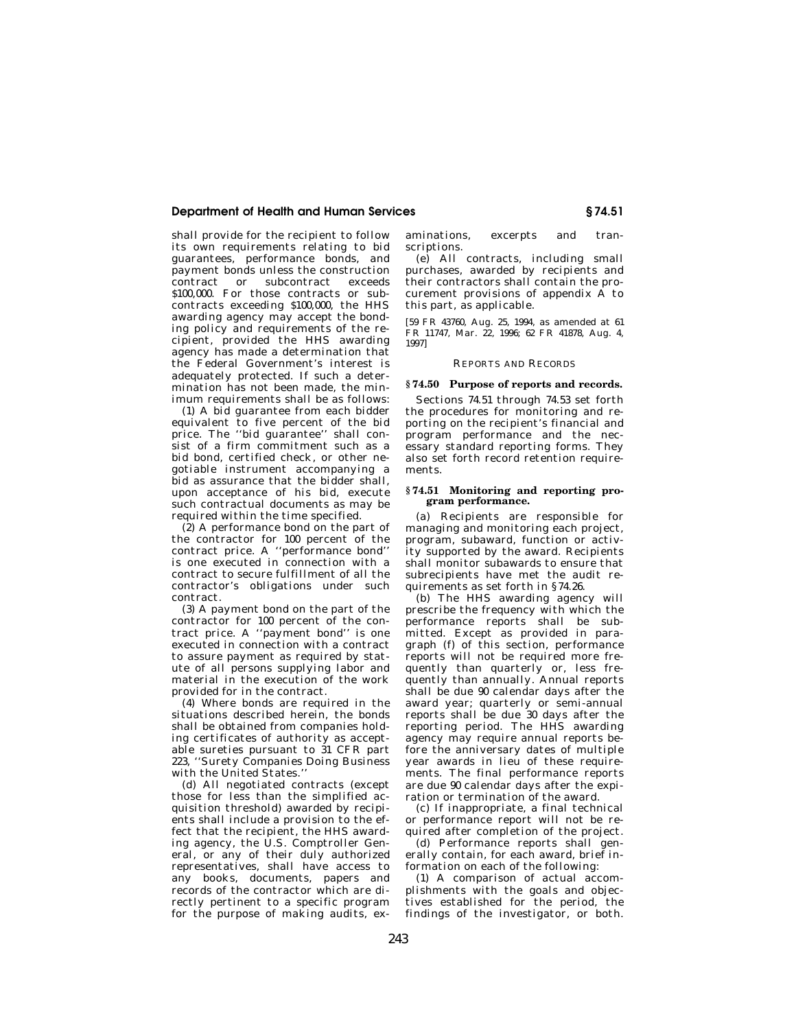shall provide for the recipient to follow its own requirements relating to bid guarantees, performance bonds, and payment bonds unless the construction contract or subcontract exceeds \$100,000. For those contracts or subcontracts exceeding \$100,000, the HHS awarding agency may accept the bonding policy and requirements of the recipient, provided the HHS awarding agency has made a determination that the Federal Government's interest is adequately protected. If such a determination has not been made, the minimum requirements shall be as follows:

(1) A bid guarantee from each bidder equivalent to five percent of the bid price. The "bid guarantee" shall consist of a firm commitment such as a bid bond, certified check, or other negotiable instrument accompanying a bid as assurance that the bidder shall, upon acceptance of his bid, execute such contractual documents as may be required within the time specified.

 $(2)$  A performance bond on the part of the contractor for 100 percent of the contract price. A ''performance bond'' is one executed in connection with a contract to secure fulfillment of all the contractor's obligations under such contract.

(3) A payment bond on the part of the contractor for 100 percent of the contract price. A ''payment bond'' is one executed in connection with a contract to assure payment as required by statute of all persons supplying labor and material in the execution of the work provided for in the contract.

(4) Where bonds are required in the situations described herein, the bonds shall be obtained from companies holding certificates of authority as acceptable sureties pursuant to 31 CFR part 223, ''Surety Companies Doing Business with the United States.''

(d) All negotiated contracts (except those for less than the simplified acquisition threshold) awarded by recipients shall include a provision to the effect that the recipient, the HHS awarding agency, the  $\dot{\text{U}}$ .S. Comptroller General, or any of their duly authorized representatives, shall have access to any books, documents, papers and records of the contractor which are directly pertinent to a specific program for the purpose of making audits, examinations, excerpts and transcriptions.

(e) All contracts, including small purchases, awarded by recipients and their contractors shall contain the procurement provisions of appendix A to this part, as applicable.

[59 FR 43760, Aug. 25, 1994, as amended at 61 FR 11747, Mar. 22, 1996; 62 FR 41878, Aug. 4, 1997]

#### REPORTS AND RECORDS

## **§ 74.50 Purpose of reports and records.**

Sections 74.51 through 74.53 set forth the procedures for monitoring and reporting on the recipient's financial and program performance and the necessary standard reporting forms. They also set forth record retention requirements.

#### **§ 74.51 Monitoring and reporting program performance.**

(a) Recipients are responsible for managing and monitoring each project, program, subaward, function or activity supported by the award. Recipients shall monitor subawards to ensure that subrecipients have met the audit requirements as set forth in §74.26.

(b) The HHS awarding agency will prescribe the frequency with which the performance reports shall be submitted. Except as provided in paragraph (f) of this section, performance reports will not be required more frequently than quarterly or, less frequently than annually. Annual reports shall be due 90 calendar days after the award year; quarterly or semi-annual reports shall be due 30 days after the reporting period. The HHS awarding agency may require annual reports before the anniversary dates of multiple year awards in lieu of these requirements. The final performance reports are due 90 calendar days after the expiration or termination of the award.

(c) If inappropriate, a final technical or performance report will not be required after completion of the project.

(d) Performance reports shall generally contain, for each award, brief information on each of the following:

(1) A comparison of actual accomplishments with the goals and objectives established for the period, the findings of the investigator, or both.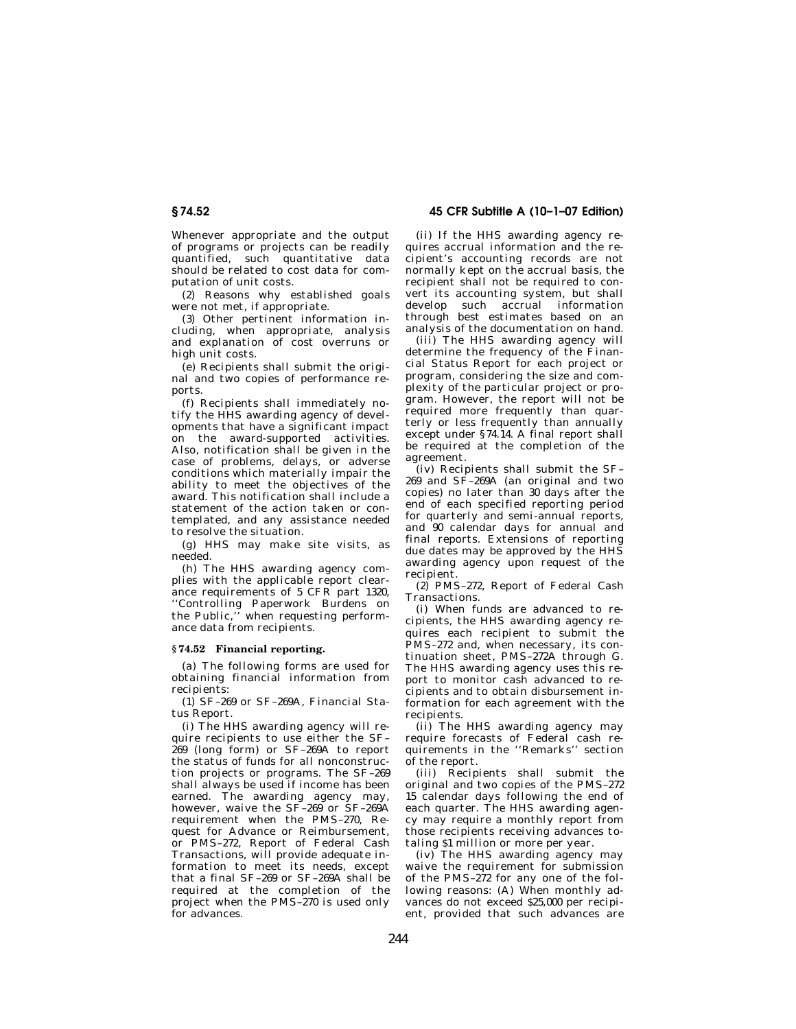Whenever appropriate and the output of programs or projects can be readily quantified, such quantitative data should be related to cost data for computation of unit costs.

(2) Reasons why established goals were not met, if appropriate.

(3) Other pertinent information including, when appropriate, analysis and explanation of cost overruns or high unit costs.

(e) Recipients shall submit the original and two copies of performance reports.

(f) Recipients shall immediately notify the HHS awarding agency of developments that have a significant impact on the award-supported activities. Also, notification shall be given in the case of problems, delays, or adverse conditions which materially impair the ability to meet the objectives of the award. This notification shall include a statement of the action taken or contemplated, and any assistance needed to resolve the situation.

(g) HHS may make site visits, as needed.

(h) The HHS awarding agency complies with the applicable report clearance requirements of 5 CFR part 1320, ''Controlling Paperwork Burdens on the Public,'' when requesting performance data from recipients.

## **§ 74.52 Financial reporting.**

(a) The following forms are used for obtaining financial information from recipients:

(1) SF–269 or SF–269A, Financial Status Report.

(i) The HHS awarding agency will require recipients to use either the SF– 269 (long form) or SF–269A to report the status of funds for all nonconstruction projects or programs. The SF–269 shall always be used if income has been earned. The awarding agency may, however, waive the SF–269 or SF–269A requirement when the PMS–270, Request for Advance or Reimbursement, or PMS–272, Report of Federal Cash Transactions, will provide adequate information to meet its needs, except that a final SF–269 or SF–269A shall be required at the completion of the project when the PMS–270 is used only for advances.

**§ 74.52 45 CFR Subtitle A (10–1–07 Edition)** 

(ii) If the HHS awarding agency requires accrual information and the recipient's accounting records are not normally kept on the accrual basis, the recipient shall not be required to convert its accounting system, but shall develop such accrual information through best estimates based on an analysis of the documentation on hand.

(iii) The HHS awarding agency will determine the frequency of the Financial Status Report for each project or program, considering the size and complexity of the particular project or program. However, the report will not be required more frequently than quarterly or less frequently than annually except under §74.14. A final report shall be required at the completion of the agreement.

(iv) Recipients shall submit the SF– 269 and SF–269A (an original and two copies) no later than 30 days after the end of each specified reporting period for quarterly and semi-annual reports, and 90 calendar days for annual and final reports. Extensions of reporting due dates may be approved by the HHS awarding agency upon request of the recipient.

(2) PMS–272, Report of Federal Cash Transactions.

(i) When funds are advanced to recipients, the HHS awarding agency requires each recipient to submit the PMS–272 and, when necessary, its continuation sheet, PMS–272A through G. The HHS awarding agency uses this report to monitor cash advanced to recipients and to obtain disbursement information for each agreement with the recipients.

(ii) The HHS awarding agency may require forecasts of Federal cash requirements in the ''Remarks'' section of the report.

(iii) Recipients shall submit the original and two copies of the PMS–272 15 calendar days following the end of each quarter. The HHS awarding agency may require a monthly report from those recipients receiving advances totaling \$1 million or more per year.

(iv) The HHS awarding agency may waive the requirement for submission of the PMS–272 for any one of the following reasons: (A) When monthly advances do not exceed \$25,000 per recipient, provided that such advances are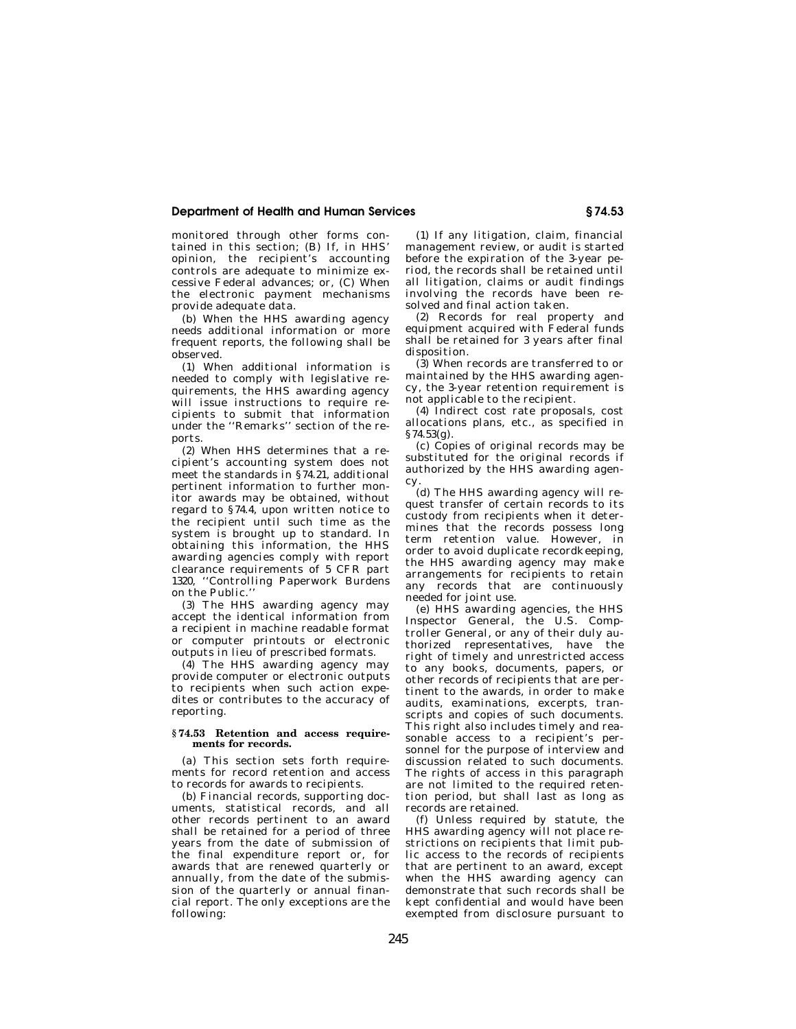monitored through other forms contained in this section; (B) If, in HHS' opinion, the recipient's accounting controls are adequate to minimize excessive Federal advances; or, (C) When the electronic payment mechanisms provide adequate data.

(b) When the HHS awarding agency needs additional information or more frequent reports, the following shall be observed.

(1) When additional information is needed to comply with legislative requirements, the HHS awarding agency will issue instructions to require recipients to submit that information under the ''Remarks'' section of the reports.

(2) When HHS determines that a recipient's accounting system does not meet the standards in §74.21, additional pertinent information to further monitor awards may be obtained, without regard to §74.4, upon written notice to the recipient until such time as the system is brought up to standard. In obtaining this information, the HHS awarding agencies comply with report clearance requirements of 5 CFR part 1320, ''Controlling Paperwork Burdens on the Public.''

(3) The HHS awarding agency may accept the identical information from a recipient in machine readable format or computer printouts or electronic outputs in lieu of prescribed formats.

(4) The HHS awarding agency may provide computer or electronic outputs to recipients when such action expedites or contributes to the accuracy of reporting.

### **§ 74.53 Retention and access requirements for records.**

(a) This section sets forth requirements for record retention and access to records for awards to recipients.

(b) Financial records, supporting documents, statistical records, and all other records pertinent to an award shall be retained for a period of three years from the date of submission of the final expenditure report or, for awards that are renewed quarterly or annually, from the date of the submission of the quarterly or annual financial report. The only exceptions are the following:

(1) If any litigation, claim, financial management review, or audit is started before the expiration of the 3-year period, the records shall be retained until all litigation, claims or audit findings involving the records have been resolved and final action taken.

(2) Records for real property and equipment acquired with Federal funds shall be retained for 3 years after final disposition.

(3) When records are transferred to or maintained by the HHS awarding agency, the 3-year retention requirement is not applicable to the recipient.

(4) Indirect cost rate proposals, cost allocations plans, etc., as specified in  $§74.53(g).$ 

(c) Copies of original records may be substituted for the original records if authorized by the HHS awarding agency.

(d) The HHS awarding agency will request transfer of certain records to its custody from recipients when it determines that the records possess long term retention value. However, in order to avoid duplicate recordkeeping, the HHS awarding agency may make arrangements for recipients to retain any records that are continuously needed for joint use.

(e) HHS awarding agencies, the HHS Inspector General, the U.S. Comptroller General, or any of their duly authorized representatives, have the right of timely and unrestricted access to any books, documents, papers, or other records of recipients that are pertinent to the awards, in order to make audits, examinations, excerpts, transcripts and copies of such documents. This right also includes timely and reasonable access to a recipient's personnel for the purpose of interview and discussion related to such documents. The rights of access in this paragraph are not limited to the required retention period, but shall last as long as records are retained.

(f) Unless required by statute, the HHS awarding agency will not place restrictions on recipients that limit public access to the records of recipients that are pertinent to an award, except when the HHS awarding agency can demonstrate that such records shall be kept confidential and would have been exempted from disclosure pursuant to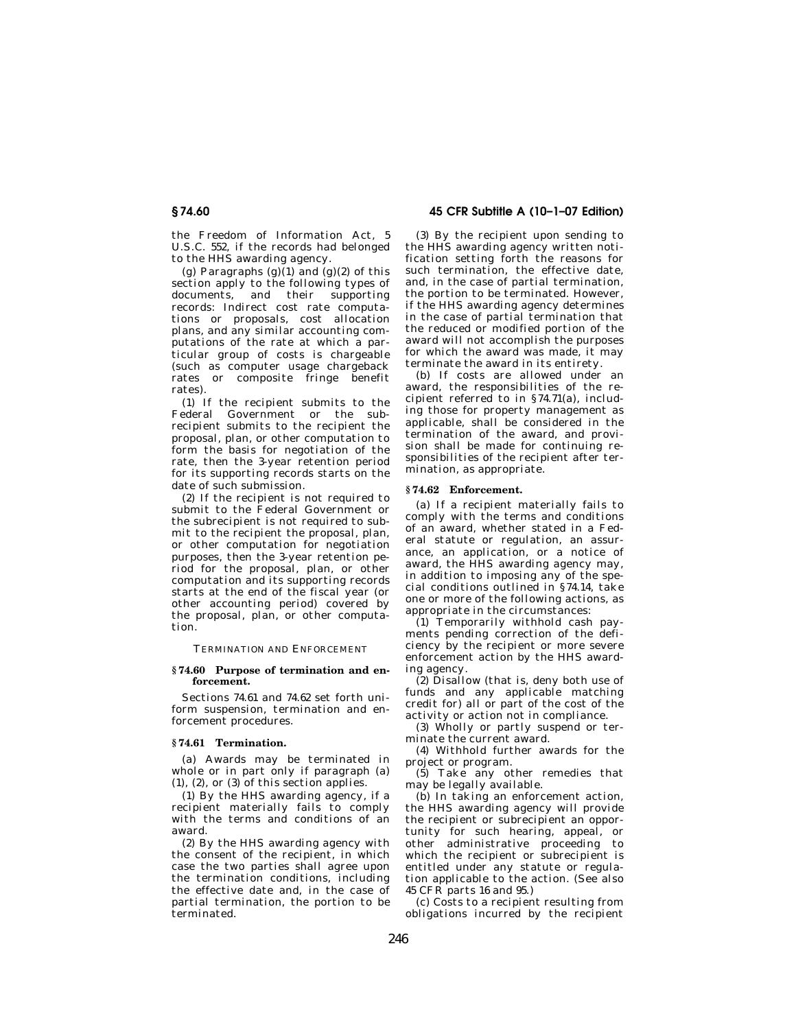the Freedom of Information Act, 5 U.S.C. 552, if the records had belonged to the HHS awarding agency.

(g) Paragraphs  $(g)(1)$  and  $(g)(2)$  of this section apply to the following types of documents, and their supporting records: Indirect cost rate computations or proposals, cost allocation plans, and any similar accounting computations of the rate at which a particular group of costs is chargeable (such as computer usage chargeback rates or composite fringe benefit rates).

(1) If the recipient submits to the Federal Government or the subrecipient submits to the recipient the proposal, plan, or other computation to form the basis for negotiation of the rate, then the 3-year retention period for its supporting records starts on the date of such submission.

(2) If the recipient is not required to submit to the Federal Government or the subrecipient is not required to submit to the recipient the proposal, plan, or other computation for negotiation purposes, then the 3-year retention period for the proposal, plan, or other computation and its supporting records starts at the end of the fiscal year (or other accounting period) covered by the proposal, plan, or other computation.

TERMINATION AND ENFORCEMENT

#### **§ 74.60 Purpose of termination and enforcement.**

Sections 74.61 and 74.62 set forth uniform suspension, termination and enforcement procedures.

#### **§ 74.61 Termination.**

(a) Awards may be terminated in whole or in part only if paragraph (a) (1), (2), or (3) of this section applies.

(1) By the HHS awarding agency, if a recipient materially fails to comply with the terms and conditions of an award.

(2) By the HHS awarding agency with the consent of the recipient, in which case the two parties shall agree upon the termination conditions, including the effective date and, in the case of partial termination, the portion to be .<br>terminated

**§ 74.60 45 CFR Subtitle A (10–1–07 Edition)** 

(3) By the recipient upon sending to the HHS awarding agency written notification setting forth the reasons for such termination, the effective date, and, in the case of partial termination, the portion to be terminated. However, if the HHS awarding agency determines in the case of partial termination that the reduced or modified portion of the award will not accomplish the purposes for which the award was made, it may terminate the award in its entirety.

(b) If costs are allowed under an award, the responsibilities of the recipient referred to in §74.71(a), including those for property management as applicable, shall be considered in the termination of the award, and provision shall be made for continuing responsibilities of the recipient after termination, as appropriate.

#### **§ 74.62 Enforcement.**

(a) If a recipient materially fails to comply with the terms and conditions of an award, whether stated in a Federal statute or regulation, an assurance, an application, or a notice of award, the HHS awarding agency may, in addition to imposing any of the special conditions outlined in §74.14, take one or more of the following actions, as appropriate in the circumstances:

(1) Temporarily withhold cash payments pending correction of the deficiency by the recipient or more severe enforcement action by the HHS awarding agency.

(2) Disallow (that is, deny both use of funds and any applicable matching credit for) all or part of the cost of the activity or action not in compliance.

(3) Wholly or partly suspend or terminate the current award.

(4) Withhold further awards for the project or program.

(5) Take any other remedies that may be legally available.

(b) In taking an enforcement action, the HHS awarding agency will provide the recipient or subrecipient an opportunity for such hearing, appeal, or other administrative proceeding to which the recipient or subrecipient is entitled under any statute or regulation applicable to the action. (See also 45 CFR parts 16 and 95.)

(c) Costs to a recipient resulting from obligations incurred by the recipient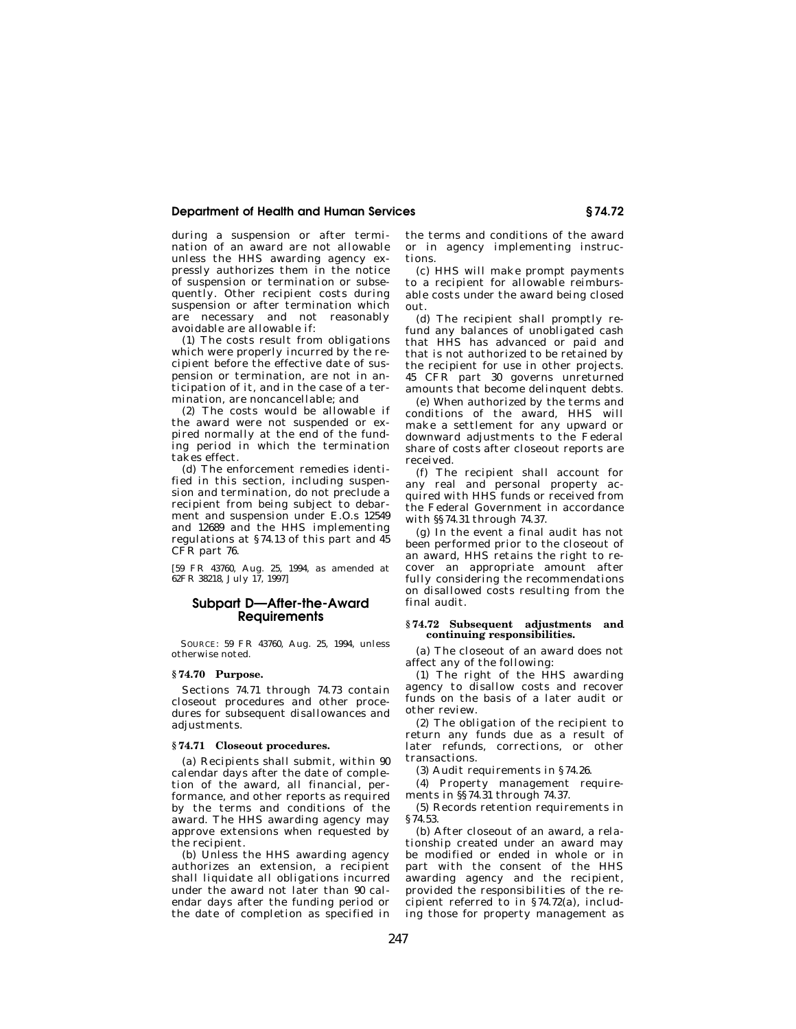during a suspension or after termination of an award are not allowable unless the HHS awarding agency expressly authorizes them in the notice of suspension or termination or subsequently. Other recipient costs during suspension or after termination which are necessary and not reasonably avoidable are allowable if:

(1) The costs result from obligations which were properly incurred by the recipient before the effective date of suspension or termination, are not in anticipation of it, and in the case of a termination, are noncancellable; and

(2) The costs would be allowable if the award were not suspended or expired normally at the end of the funding period in which the termination takes effect.

(d) The enforcement remedies identified in this section, including suspension and termination, do not preclude a recipient from being subject to debarment and suspension under E.O.s 12549 and 12689 and the HHS implementing regulations at §74.13 of this part and 45 CFR part 76.

[59 FR 43760, Aug. 25, 1994, as amended at 62FR 38218, July 17, 1997]

## **Subpart D—After-the-Award Requirements**

SOURCE: 59 FR 43760, Aug. 25, 1994, unless otherwise noted.

#### **§ 74.70 Purpose.**

Sections 74.71 through 74.73 contain closeout procedures and other procedures for subsequent disallowances and adjustments.

#### **§ 74.71 Closeout procedures.**

(a) Recipients shall submit, within 90 calendar days after the date of completion of the award, all financial, performance, and other reports as required by the terms and conditions of the award. The HHS awarding agency may approve extensions when requested by the recipient.

(b) Unless the HHS awarding agency authorizes an extension, a recipient shall liquidate all obligations incurred under the award not later than 90 calendar days after the funding period or the date of completion as specified in

the terms and conditions of the award or in agency implementing instructions.

(c) HHS will make prompt payments to a recipient for allowable reimbursable costs under the award being closed out.

(d) The recipient shall promptly refund any balances of unobligated cash that HHS has advanced or paid and that is not authorized to be retained by the recipient for use in other projects. 45 CFR part 30 governs unreturned amounts that become delinquent debts.

(e) When authorized by the terms and conditions of the award, HHS will make a settlement for any upward or downward adjustments to the Federal share of costs after closeout reports are received.

(f) The recipient shall account for any real and personal property acquired with HHS funds or received from the Federal Government in accordance with §§74.31 through 74.37.

(g) In the event a final audit has not been performed prior to the closeout of an award, HHS retains the right to recover an appropriate amount after fully considering the recommendations on disallowed costs resulting from the final audit.

### **§ 74.72 Subsequent adjustments and continuing responsibilities.**

(a) The closeout of an award does not affect any of the following:

(1) The right of the HHS awarding agency to disallow costs and recover funds on the basis of a later audit or other review.

(2) The obligation of the recipient to return any funds due as a result of later refunds, corrections, or other transactions.

(3) Audit requirements in §74.26.

(4) Property management requirements in §§74.31 through 74.37.

(5) Records retention requirements in §74.53.

(b) After closeout of an award, a relationship created under an award may be modified or ended in whole or in part with the consent of the HHS awarding agency and the recipient, provided the responsibilities of the recipient referred to in §74.72(a), including those for property management as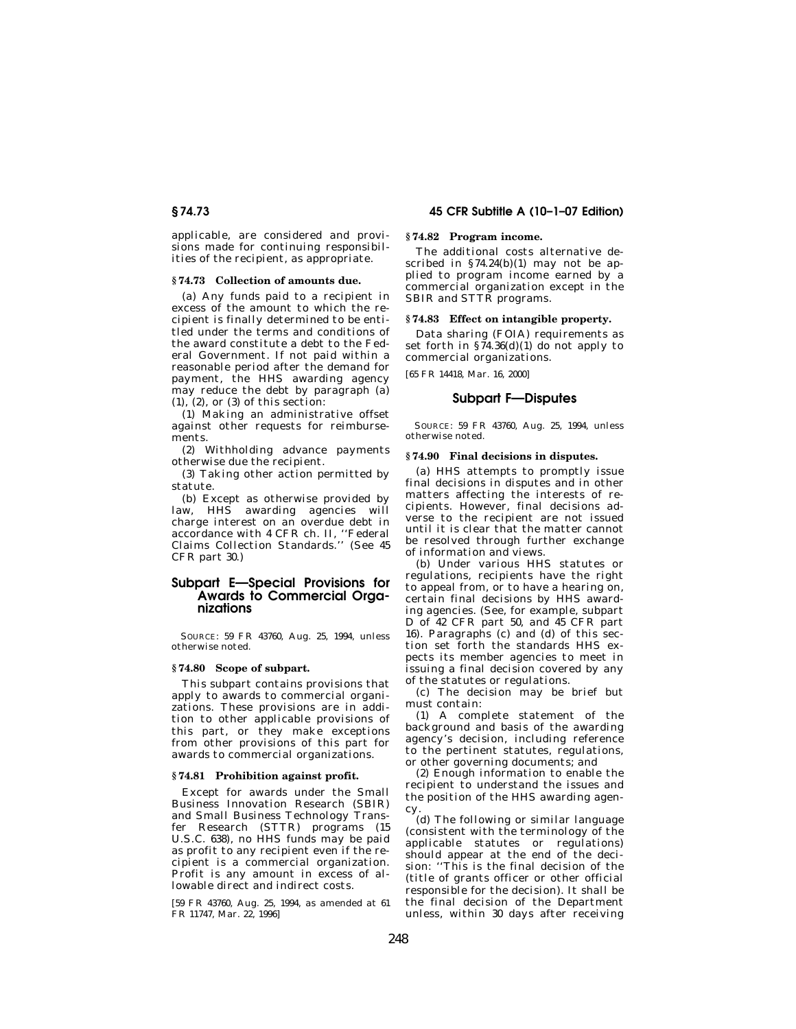applicable, are considered and provisions made for continuing responsibilities of the recipient, as appropriate.

#### **§ 74.73 Collection of amounts due.**

(a) Any funds paid to a recipient in excess of the amount to which the recipient is finally determined to be entitled under the terms and conditions of the award constitute a debt to the Federal Government. If not paid within a reasonable period after the demand for payment, the HHS awarding agency may reduce the debt by paragraph (a)  $(1)$ ,  $(2)$ , or  $(3)$  of this section:

(1) Making an administrative offset against other requests for reimbursements.

(2) Withholding advance payments otherwise due the recipient.

(3) Taking other action permitted by statute.

(b) Except as otherwise provided by law, HHS awarding agencies will charge interest on an overdue debt in accordance with 4 CFR ch. II, ''Federal Claims Collection Standards.'' (See 45 CFR part 30.)

# **Subpart E—Special Provisions for Awards to Commercial Organizations**

SOURCE: 59 FR 43760, Aug. 25, 1994, unless otherwise noted.

#### **§ 74.80 Scope of subpart.**

This subpart contains provisions that apply to awards to commercial organizations. These provisions are in addition to other applicable provisions of this part, or they make exceptions from other provisions of this part for awards to commercial organizations.

#### **§ 74.81 Prohibition against profit.**

Except for awards under the Small Business Innovation Research (SBIR) and Small Business Technology Transfer Research (STTR) programs (15 U.S.C. 638), no HHS funds may be paid as profit to any recipient even if the recipient is a commercial organization. Profit is any amount in excess of allowable direct and indirect costs.

[59 FR 43760, Aug. 25, 1994, as amended at 61 FR 11747, Mar. 22, 1996]

## **§ 74.73 45 CFR Subtitle A (10–1–07 Edition)**

## **§ 74.82 Program income.**

The additional costs alternative described in §74.24(b)(1) may not be applied to program income earned by a commercial organization except in the SBIR and STTR programs.

## **§ 74.83 Effect on intangible property.**

Data sharing (FOIA) requirements as set forth in  $\S$ 74.36(d)(1) do not apply to commercial organizations.

[65 FR 14418, Mar. 16, 2000]

## **Subpart F—Disputes**

SOURCE: 59 FR 43760, Aug. 25, 1994, unless otherwise noted.

#### **§ 74.90 Final decisions in disputes.**

(a) HHS attempts to promptly issue final decisions in disputes and in other matters affecting the interests of recipients. However, final decisions adverse to the recipient are not issued until it is clear that the matter cannot be resolved through further exchange of information and views.

(b) Under various HHS statutes or regulations, recipients have the right to appeal from, or to have a hearing on, certain final decisions by HHS awarding agencies. (See, for example, subpart D of 42 CFR part 50, and 45 CFR part 16). Paragraphs (c) and (d) of this section set forth the standards HHS expects its member agencies to meet in issuing a final decision covered by any of the statutes or regulations.

(c) The decision may be brief but must contain:

(1) A complete statement of the background and basis of the awarding agency's decision, including reference to the pertinent statutes, regulations, or other governing documents; and

(2) Enough information to enable the recipient to understand the issues and the position of the HHS awarding agency.

(d) The following or similar language (consistent with the terminology of the applicable statutes or regulations) should appear at the end of the decision: ''This is the final decision of the (title of grants officer or other official responsible for the decision). It shall be the final decision of the Department unless, within 30 days after receiving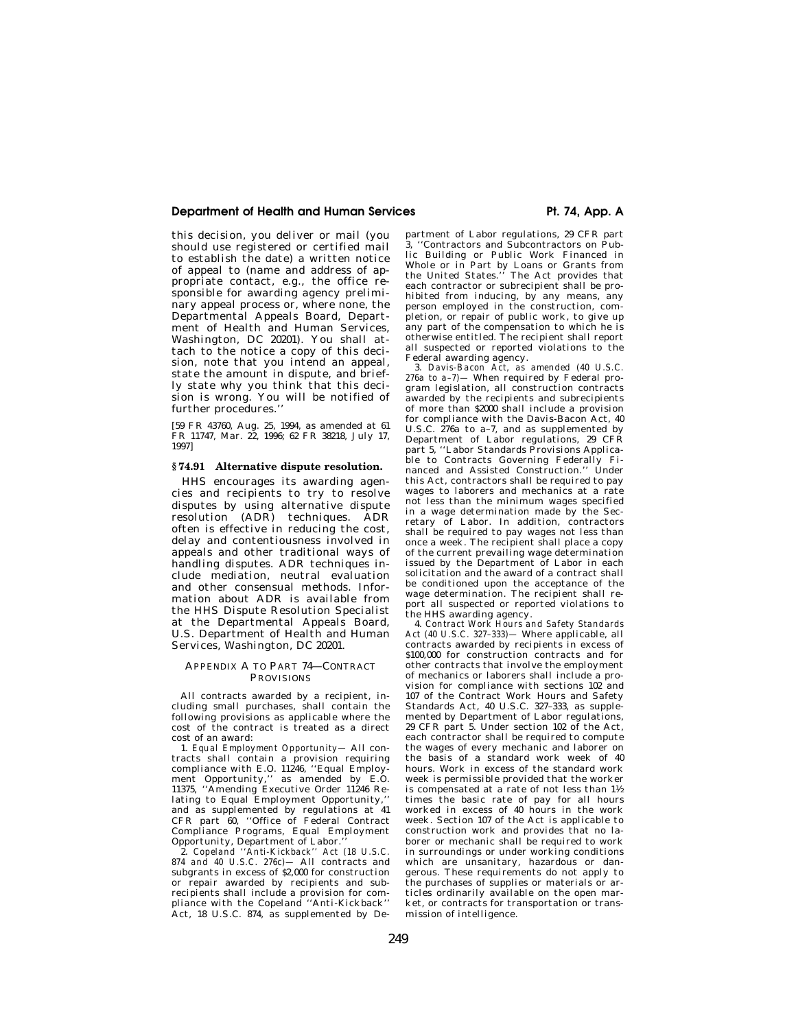## **Department of Health and Human Services The Constant Pt. 74, App. A**

this decision, you deliver or mail (you should use registered or certified mail to establish the date) a written notice of appeal to (name and address of appropriate contact, e.g., the office responsible for awarding agency preliminary appeal process or, where none, the Departmental Appeals Board, Department of Health and Human Services, Washington, DC 20201). You shall attach to the notice a copy of this decision, note that you intend an appeal, state the amount in dispute, and briefly state why you think that this decision is wrong. You will be notified of further procedures.''

[59 FR 43760, Aug. 25, 1994, as amended at 61 FR 11747, Mar. 22, 1996; 62 FR 38218, July 17, 1997]

### **§ 74.91 Alternative dispute resolution.**

HHS encourages its awarding agencies and recipients to try to resolve disputes by using alternative dispute resolution (ADR) techniques. ADR often is effective in reducing the cost, delay and contentiousness involved in appeals and other traditional ways of handling disputes. ADR techniques include mediation, neutral evaluation and other consensual methods. Information about ADR is available from the HHS Dispute Resolution Specialist at the Departmental Appeals Board, U.S. Department of Health and Human Services, Washington, DC 20201.

## APPENDIX A TO PART 74—CONTRACT PROVISIONS

All contracts awarded by a recipient, including small purchases, shall contain the following provisions as applicable where the cost of the contract is treated as a direct cost of an award:

1. *Equal Employment Opportunity—* All contracts shall contain a provision requiring compliance with E.O. 11246, ''Equal Employment Opportunity,'' as amended by E.O. 11375, ''Amending Executive Order 11246 Relating to Equal Employment Opportunity,'' and as supplemented by regulations at 41 CFR part 60, ''Office of Federal Contract Compliance Programs, Equal Employment

Opportunity, Department of Labor.'' 2. *Copeland ''Anti-Kickback'' Act (18 U.S.C. 874 and 40 U.S.C. 276c)—* All contracts and subgrants in excess of \$2,000 for construction or repair awarded by recipients and subrecipients shall include a provision for compliance with the Copeland ''Anti-Kickback'' Act, 18 U.S.C. 874, as supplemented by Department of Labor regulations, 29 CFR part 3, ''Contractors and Subcontractors on Public Building or Public Work Financed in Whole or in Part by Loans or Grants from the United States.'' The Act provides that each contractor or subrecipient shall be prohibited from inducing, by any means, any person employed in the construction, completion, or repair of public work, to give up any part of the compensation to which he is otherwise entitled. The recipient shall report all suspected or reported violations to the Federal awarding agency.

3. *Davis-Bacon Act, as amended (40 U.S.C. 276a to a–7)—* When required by Federal program legislation, all construction contracts awarded by the recipients and subrecipients of more than \$2000 shall include a provision for compliance with the Davis-Bacon Act, 40 U.S.C.  $276a$  to a-7, and as supplemented by Department of Labor regulations, 29 CFR part 5, ''Labor Standards Provisions Applicable to Contracts Governing Federally Financed and Assisted Construction.'' Under this Act, contractors shall be required to pay wages to laborers and mechanics at a rate not less than the minimum wages specified in a wage determination made by the Secretary of Labor. In addition, contractors shall be required to pay wages not less than once a week. The recipient shall place a copy of the current prevailing wage determination issued by the Department of Labor in each solicitation and the award of a contract shall be conditioned upon the acceptance of the wage determination. The recipient shall report all suspected or reported violations to

the HHS awarding agency. 4. *Contract Work Hours and Safety Standards Act (40 U.S.C. 327–333)—* Where applicable, all contracts awarded by recipients in excess of \$100,000 for construction contracts and for other contracts that involve the employment of mechanics or laborers shall include a provision for compliance with sections 102 and 107 of the Contract Work Hours and Safety Standards Act, 40 U.S.C. 327–333, as supplemented by Department of Labor regulations, 29 CFR part 5. Under section 102 of the Act, each contractor shall be required to compute the wages of every mechanic and laborer on the basis of a standard work week of 40 hours. Work in excess of the standard work week is permissible provided that the worker is compensated at a rate of not less than  $1\frac{1}{2}$ times the basic rate of pay for all hours worked in excess of 40 hours in the work week. Section 107 of the Act is applicable to construction work and provides that no laborer or mechanic shall be required to work in surroundings or under working conditions which are unsanitary, hazardous or dangerous. These requirements do not apply to the purchases of supplies or materials or articles ordinarily available on the open market, or contracts for transportation or transmission of intelligence.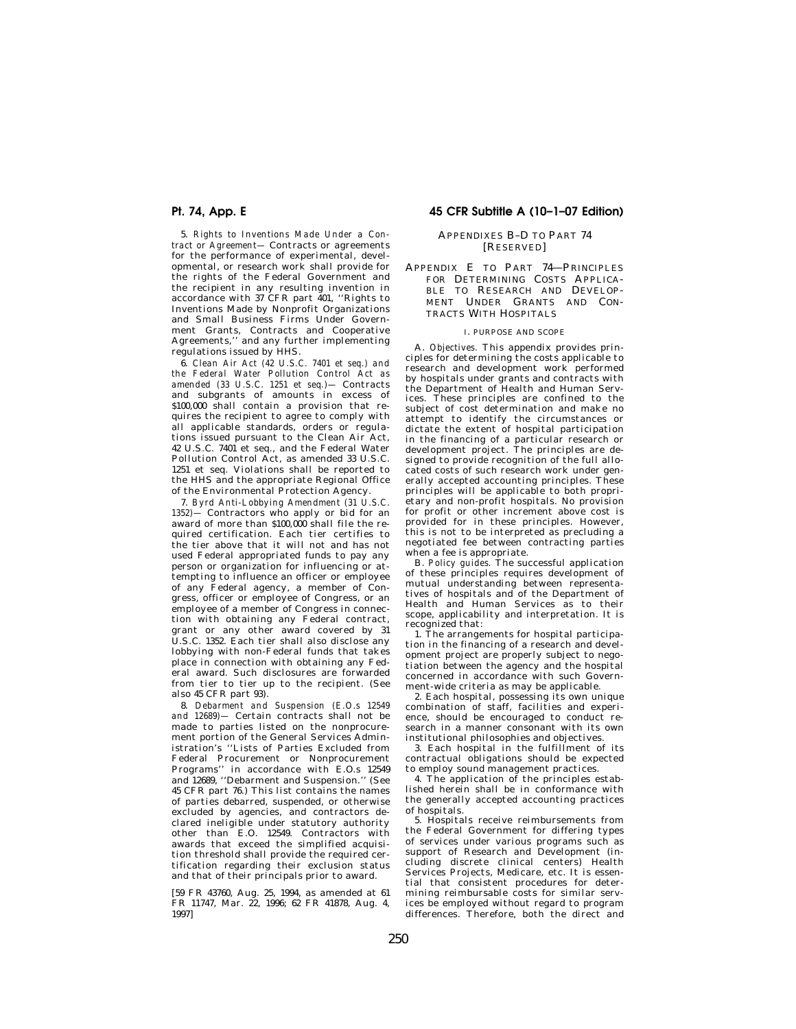5. *Rights to Inventions Made Under a Contract or Agreement—* Contracts or agreements for the performance of experimental, developmental, or research work shall provide for the rights of the Federal Government and the recipient in any resulting invention in accordance with 37 CFR part 401, ''Rights to Inventions Made by Nonprofit Organizations and Small Business Firms Under Government Grants, Contracts and Cooperative Agreements,'' and any further implementing regulations issued by HHS.

6. *Clean Air Act (42 U.S.C. 7401 et seq.) and the Federal Water Pollution Control Act as amended (33 U.S.C. 1251 et seq.)—* Contracts and subgrants of amounts in excess of \$100,000 shall contain a provision that requires the recipient to agree to comply with all applicable standards, orders or regulations issued pursuant to the Clean Air Act, 42 U.S.C. 7401 et seq., and the Federal Water Pollution Control Act, as amended 33 U.S.C. 1251 et seq. Violations shall be reported to the HHS and the appropriate Regional Office of the Environmental Protection Agency.

7. *Byrd Anti-Lobbying Amendment (31 U.S.C. 1352)—* Contractors who apply or bid for an award of more than \$100,000 shall file the required certification. Each tier certifies to the tier above that it will not and has not used Federal appropriated funds to pay any person or organization for influencing or attempting to influence an officer or employee of any Federal agency, a member of Congress, officer or employee of Congress, or an employee of a member of Congress in connection with obtaining any Federal contract, grant or any other award covered by 31 U.S.C. 1352. Each tier shall also disclose any lobbying with non-Federal funds that takes place in connection with obtaining any Federal award. Such disclosures are forwarded from tier to tier up to the recipient. (See also 45 CFR part 93).

8. *Debarment and Suspension (E.O.s 12549 and 12689)—* Certain contracts shall not be made to parties listed on the nonprocurement portion of the General Services Administration's ''Lists of Parties Excluded from Federal Procurement or Nonprocurement Programs'' in accordance with E.O.s 12549 and 12689, ''Debarment and Suspension.'' (See 45 CFR part 76.) This list contains the names of parties debarred, suspended, or otherwise excluded by agencies, and contractors declared ineligible under statutory authority other than E.O. 12549. Contractors with awards that exceed the simplified acquisition threshold shall provide the required certification regarding their exclusion status and that of their principals prior to award.

[59 FR 43760, Aug. 25, 1994, as amended at 61 FR 11747, Mar. 22, 1996; 62 FR 41878, Aug. 4, 1997]

## **Pt. 74, App. E 45 CFR Subtitle A (10–1–07 Edition)**

### APPENDIXES B–D TO PART 74 [RESERVED]

APPENDIX E TO PART 74—PRINCIPLES FOR DETERMINING COSTS APPLICA-BLE TO RESEARCH AND DEVELOP-MENT UNDER GRANTS AND CON-TRACTS WITH HOSPITALS

#### I. PURPOSE AND SCOPE

A. *Objectives.* This appendix provides prin-ciples for determining the costs applicable to research and development work performed by hospitals under grants and contracts with the Department of Health and Human Services. These principles are confined to the subject of cost determination and make no attempt to identify the circumstances or dictate the extent of hospital participation in the financing of a particular research or development project. The principles are designed to provide recognition of the full allocated costs of such research work under generally accepted accounting principles. These principles will be applicable to both proprietary and non-profit hospitals. No provision for profit or other increment above cost is provided for in these principles. However, this is not to be interpreted as precluding a negotiated fee between contracting parties when a fee is appropriate.

B. *Policy guides.* The successful application of these principles requires development of mutual understanding between representatives of hospitals and of the Department of Health and Human Services as to their scope, applicability and interpretation. It is recognized that:

1. The arrangements for hospital participation in the financing of a research and development project are properly subject to negotiation between the agency and the hospital concerned in accordance with such Government-wide criteria as may be applicable.

2. Each hospital, possessing its own unique combination of staff, facilities and experience, should be encouraged to conduct research in a manner consonant with its own institutional philosophies and objectives.

3. Each hospital in the fulfillment of its contractual obligations should be expected to employ sound management practices.

4. The application of the principles established herein shall be in conformance with the generally accepted accounting practices of hospitals.

5. Hospitals receive reimbursements from the Federal Government for differing types of services under various programs such as support of Research and Development (including discrete clinical centers) Health Services Projects, Medicare, etc. It is essential that consistent procedures for determining reimbursable costs for similar services be employed without regard to program differences. Therefore, both the direct and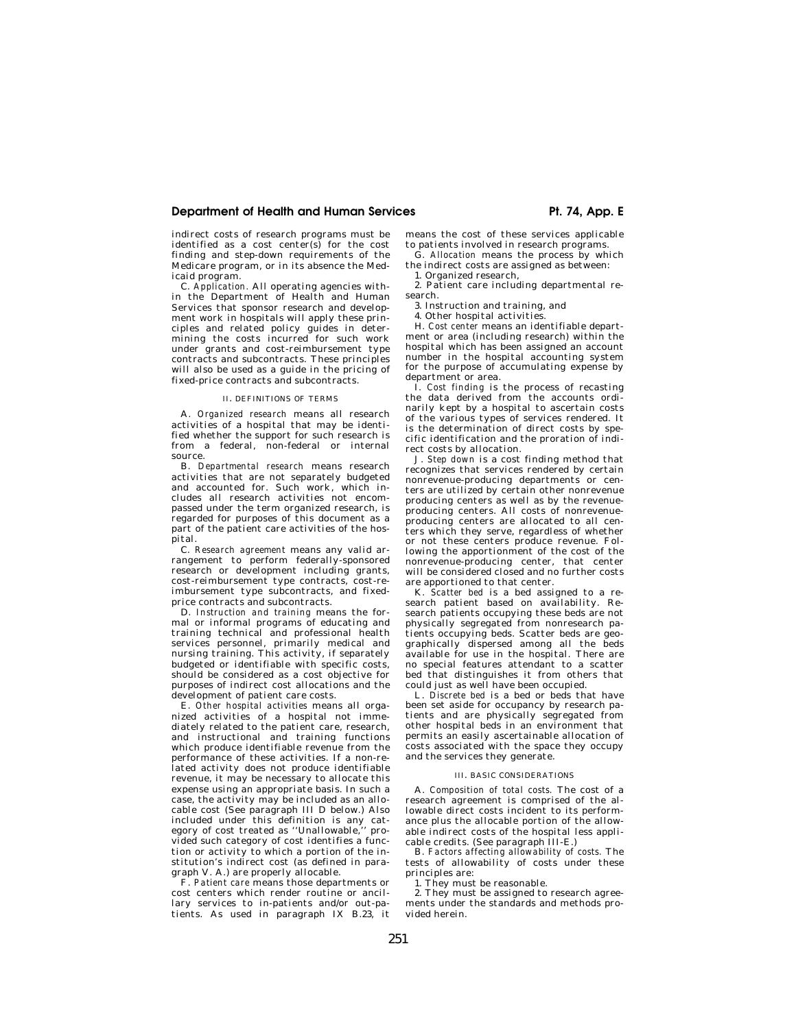## **Department of Health and Human Services The Constant Pt. 74, App. E**

indirect costs of research programs must be identified as a cost center(s) for the cost finding and step-down requirements of the Medicare program, or in its absence the Medicaid program.

C. *Application.* All operating agencies within the Department of Health and Human Services that sponsor research and development work in hospitals will apply these principles and related policy guides in determining the costs incurred for such work under grants and cost-reimbursement type contracts and subcontracts. These principles will also be used as a guide in the pricing of fixed-price contracts and subcontracts.

### II. DEFINITIONS OF TERMS

A. *Organized research* means all research activities of a hospital that may be identified whether the support for such research is from a federal, non-federal or internal source.

B. *Departmental research* means research activities that are not separately budgeted and accounted for. Such work, which includes all research activities not encompassed under the term organized research, is regarded for purposes of this document as a part of the patient care activities of the hospital.

C. *Research agreement* means any valid arrangement to perform federally-sponsored research or development including grants, cost-reimbursement type contracts, cost-reimbursement type subcontracts, and fixedprice contracts and subcontracts.

D. *Instruction and training* means the formal or informal programs of educating and training technical and professional health services personnel, primarily medical and nursing training. This activity, if separately budgeted or identifiable with specific costs, should be considered as a cost objective for purposes of indirect cost allocations and the development of patient care costs.

E. *Other hospital activities* means all organized activities of a hospital not immediately related to the patient care, research, and instructional and training functions which produce identifiable revenue from the performance of these activities. If a non-related activity does not produce identifiable revenue, it may be necessary to allocate this expense using an appropriate basis. In such a case, the activity may be included as an allocable cost (See paragraph III D below.) Also included under this definition is any category of cost treated as ''Unallowable,'' provided such category of cost identifies a function or activity to which a portion of the institution's indirect cost (as defined in paragraph V. A.) are properly allocable.

F. *Patient care* means those departments or cost centers which render routine or ancillary services to in-patients and/or out-patients. As used in paragraph IX B.23, it

means the cost of these services applicable to patients involved in research programs. G. *Allocation* means the process by which

the indirect costs are assigned as between: 1. Organized research,

2. Patient care including departmental research.

3. Instruction and training, and

4. Other hospital activities.

H. *Cost center* means an identifiable department or area (including research) within the hospital which has been assigned an account number in the hospital accounting system for the purpose of accumulating expense by department or area.

I. *Cost finding* is the process of recasting the data derived from the accounts ordinarily kept by a hospital to ascertain costs of the various types of services rendered. It is the determination of direct costs by specific identification and the proration of indirect costs by allocation.

J. *Step down* is a cost finding method that recognizes that services rendered by certain nonrevenue-producing departments or centers are utilized by certain other nonrevenue producing centers as well as by the revenueproducing centers. All costs of nonrevenueproducing centers are allocated to all centers which they serve, regardless of whether or not these centers produce revenue. Following the apportionment of the cost of the nonrevenue-producing center, that center will be considered closed and no further costs are apportioned to that center.

K. *Scatter bed* is a bed assigned to a research patient based on availability. Research patients occupying these beds are not physically segregated from nonresearch patients occupying beds. Scatter beds are geographically dispersed among all the beds available for use in the hospital. There are no special features attendant to a scatter bed that distinguishes it from others that could just as well have been occupied.

L. *Discrete bed* is a bed or beds that have been set aside for occupancy by research patients and are physically segregated from other hospital beds in an environment that permits an easily ascertainable allocation of costs associated with the space they occupy and the services they generate.

#### III. BASIC CONSIDERATIONS

A. *Composition of total costs.* The cost of a research agreement is comprised of the allowable direct costs incident to its performance plus the allocable portion of the allowable indirect costs of the hospital less applicable credits. (See paragraph III-E.)

B. *Factors affecting allowability of costs.* The tests of allowability of costs under these principles are:

1. They must be reasonable.

2. They must be assigned to research agreements under the standards and methods provided herein.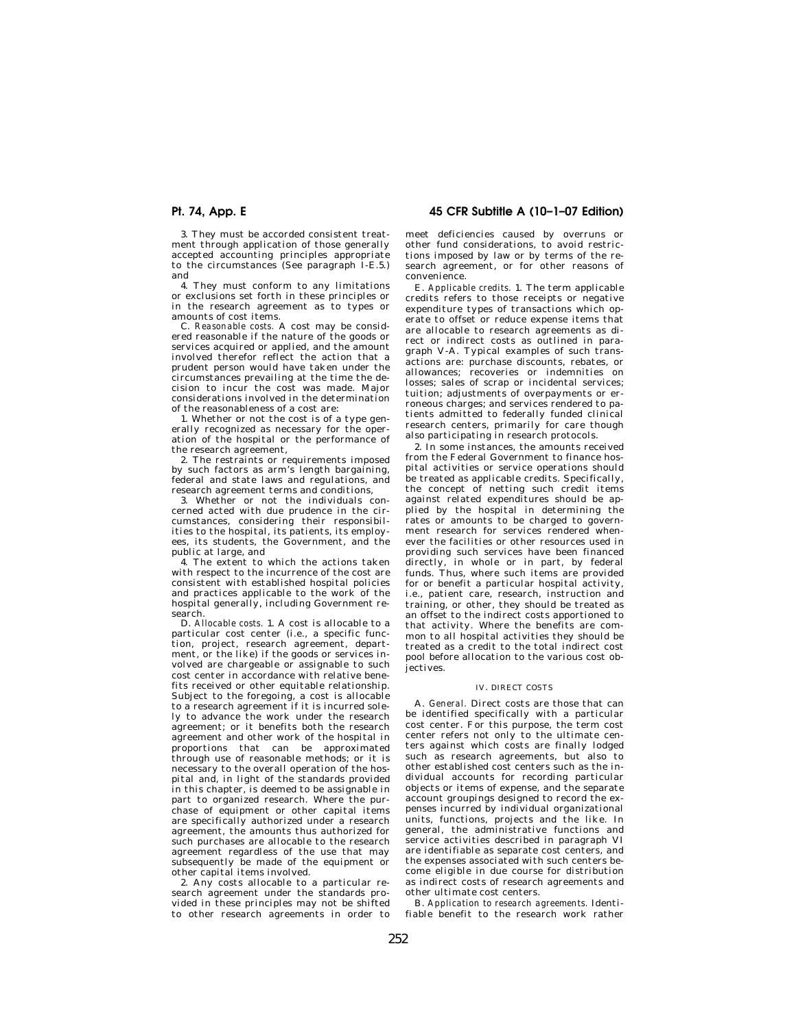**Pt. 74, App. E 45 CFR Subtitle A (10–1–07 Edition)** 

3. They must be accorded consistent treatment through application of those generally accepted accounting principles appropriate to the circumstances (See paragraph I-E.5.) and

4. They must conform to any limitations or exclusions set forth in these principles or in the research agreement as to types or amounts of cost items.

C. *Reasonable costs.* A cost may be considered reasonable if the nature of the goods or services acquired or applied, and the amount involved therefor reflect the action that a prudent person would have taken under the circumstances prevailing at the time the decision to incur the cost was made. Major considerations involved in the determination of the reasonableness of a cost are:

1. Whether or not the cost is of a type generally recognized as necessary for the operation of the hospital or the performance of the research agreement,

2. The restraints or requirements imposed by such factors as arm's length bargaining, federal and state laws and regulations, and research agreement terms and conditions,

3. Whether or not the individuals concerned acted with due prudence in the circumstances, considering their responsibilities to the hospital, its patients, its employees, its students, the Government, and the public at large, and

4. The extent to which the actions taken with respect to the incurrence of the cost are consistent with established hospital policies and practices applicable to the work of the hospital generally, including Government research.

D. *Allocable costs.* 1. A cost is allocable to a particular cost center (i.e., a specific function, project, research agreement, department, or the like) if the goods or services involved are chargeable or assignable to such cost center in accordance with relative benefits received or other equitable relationship. Subject to the foregoing, a cost is allocable to a research agreement if it is incurred solely to advance the work under the research agreement; or it benefits both the research agreement and other work of the hospital in proportions that can be approximated through use of reasonable methods; or it is necessary to the overall operation of the hospital and, in light of the standards provided in this chapter, is deemed to be assignable in part to organized research. Where the purchase of equipment or other capital items are specifically authorized under a research agreement, the amounts thus authorized for such purchases are allocable to the research agreement regardless of the use that may subsequently be made of the equipment or other capital items involved.

2. Any costs allocable to a particular research agreement under the standards provided in these principles may not be shifted to other research agreements in order to

meet deficiencies caused by overruns or other fund considerations, to avoid restrictions imposed by law or by terms of the research agreement, or for other reasons of convenience.

E. *Applicable credits.* 1. The term applicable credits refers to those receipts or negative expenditure types of transactions which operate to offset or reduce expense items that are allocable to research agreements as direct or indirect costs as outlined in paragraph V-A. Typical examples of such transactions are: purchase discounts, rebates, or allowances; recoveries or indemnities on losses; sales of scrap or incidental services; tuition; adjustments of overpayments or erroneous charges; and services rendered to patients admitted to federally funded clinical research centers, primarily for care though also participating in research protocols.

2. In some instances, the amounts received from the Federal Government to finance hospital activities or service operations should be treated as applicable credits. Specifically, the concept of netting such credit items against related expenditures should be applied by the hospital in determining the rates or amounts to be charged to government research for services rendered whenever the facilities or other resources used in providing such services have been financed directly, in whole or in part, by federal funds. Thus, where such items are provided for or benefit a particular hospital activity, i.e., patient care, research, instruction and training, or other, they should be treated as an offset to the indirect costs apportioned to that activity. Where the benefits are common to all hospital activities they should be treated as a credit to the total indirect cost pool before allocation to the various cost objectives.

#### IV. DIRECT COSTS

A. *General.* Direct costs are those that can be identified specifically with a particular cost center. For this purpose, the term cost center refers not only to the ultimate centers against which costs are finally lodged such as research agreements, but also to other established cost centers such as the individual accounts for recording particular objects or items of expense, and the separate account groupings designed to record the expenses incurred by individual organizational units, functions, projects and the like. In general, the administrative functions and service activities described in paragraph VI are identifiable as separate cost centers, and the expenses associated with such centers become eligible in due course for distribution as indirect costs of research agreements and other ultimate cost centers.

B. *Application to research agreements.* Identifiable benefit to the research work rather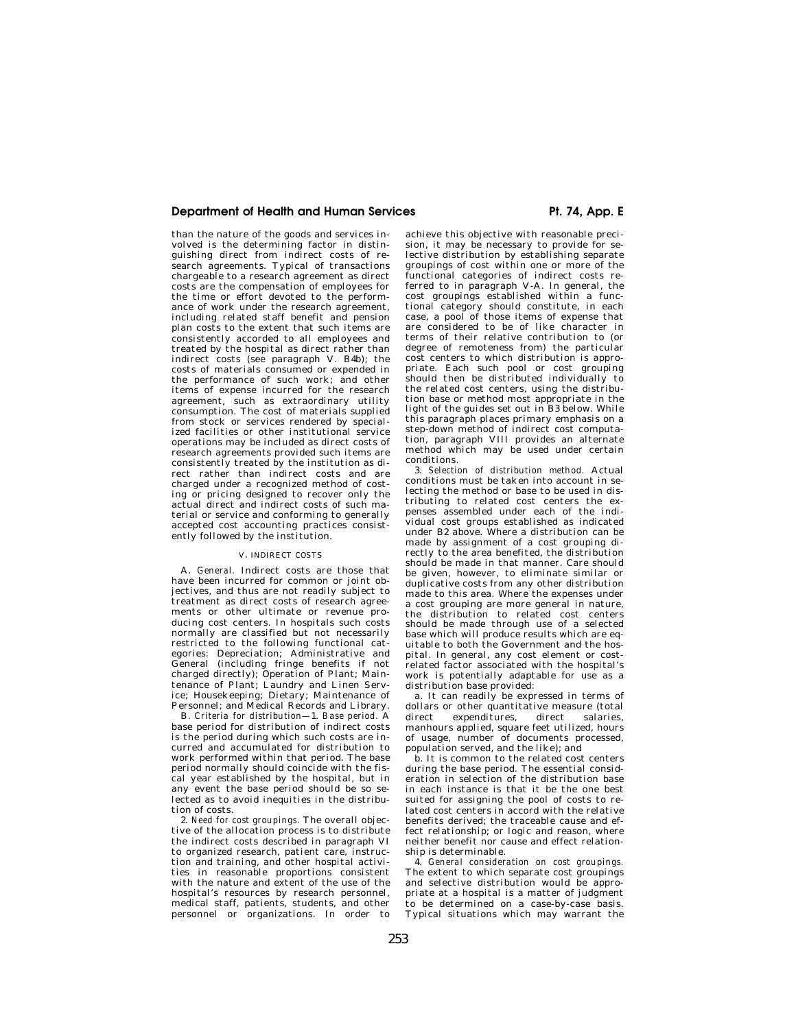## **Department of Health and Human Services The Constant Pt. 74, App. E**

than the nature of the goods and services involved is the determining factor in distinguishing direct from indirect costs of research agreements. Typical of transactions chargeable to a research agreement as direct costs are the compensation of employees for the time or effort devoted to the performance of work under the research agreement, including related staff benefit and pension plan costs to the extent that such items are consistently accorded to all employees and treated by the hospital as direct rather than indirect costs (see paragraph V. B4b); the costs of materials consumed or expended in the performance of such work; and other items of expense incurred for the research agreement, such as extraordinary utility consumption. The cost of materials supplied from stock or services rendered by specialized facilities or other institutional service operations may be included as direct costs of research agreements provided such items are consistently treated by the institution as direct rather than indirect costs and are charged under a recognized method of costing or pricing designed to recover only the actual direct and indirect costs of such material or service and conforming to generally accepted cost accounting practices consistently followed by the institution.

### V. INDIRECT COSTS

A. *General.* Indirect costs are those that have been incurred for common or joint objectives, and thus are not readily subject to treatment as direct costs of research agreements or other ultimate or revenue producing cost centers. In hospitals such costs normally are classified but not necessarily restricted to the following functional categories: Depreciation; Administrative and General (including fringe benefits if not charged directly); Operation of Plant; Maintenance of Plant; Laundry and Linen Service; Housekeeping; Dietary; Maintenance of Personnel; and Medical Records and Library.

B. *Criteria for distribution—*1. *Base period.* A base period for distribution of indirect costs is the period during which such costs are incurred and accumulated for distribution to work performed within that period. The base period normally should coincide with the fiscal year established by the hospital, but in any event the base period should be so selected as to avoid inequities in the distribution of costs.

2. *Need for cost groupings.* The overall objective of the allocation process is to distribute the indirect costs described in paragraph VI to organized research, patient care, instruction and training, and other hospital activities in reasonable proportions consistent with the nature and extent of the use of the hospital's resources by research personnel, medical staff, patients, students, and other personnel or organizations. In order to

achieve this objective with reasonable precision, it may be necessary to provide for selective distribution by establishing separate groupings of cost within one or more of the functional categories of indirect costs referred to in paragraph V-A. In general, the cost groupings established within a functional category should constitute, in each case, a pool of those items of expense that are considered to be of like character in terms of their relative contribution to (or degree of remoteness from) the particular cost centers to which distribution is appropriate. Each such pool or cost grouping should then be distributed individually to the related cost centers, using the distribution base or method most appropriate in the light of the guides set out in B3 below. While this paragraph places primary emphasis on a step-down method of indirect cost computation, paragraph VIII provides an alternate method which may be used under certain conditions.

3. *Selection of distribution method.* Actual conditions must be taken into account in selecting the method or base to be used in distributing to related cost centers the expenses assembled under each of the individual cost groups established as indicated under B2 above. Where a distribution can be made by assignment of a cost grouping directly to the area benefited, the distribution should be made in that manner. Care should be given, however, to eliminate similar or duplicative costs from any other distribution made to this area. Where the expenses under a cost grouping are more general in nature, the distribution to related cost centers should be made through use of a selected base which will produce results which are equitable to both the Government and the hospital. In general, any cost element or costrelated factor associated with the hospital's work is potentially adaptable for use as a distribution base provided:

a. It can readily be expressed in terms of dollars or other quantitative measure (total<br>direct expenditures, direct salaries, expenditures, manhours applied, square feet utilized, hours of usage, number of documents processed, population served, and the like); and

b. It is common to the related cost centers during the base period. The essential consideration in selection of the distribution base in each instance is that it be the one best suited for assigning the pool of costs to related cost centers in accord with the relative benefits derived; the traceable cause and effect relationship; or logic and reason, where neither benefit nor cause and effect relationship is determinable.

4. *General consideration on cost groupings.*  The extent to which separate cost groupings and selective distribution would be appropriate at a hospital is a matter of judgment to be determined on a case-by-case basis. Typical situations which may warrant the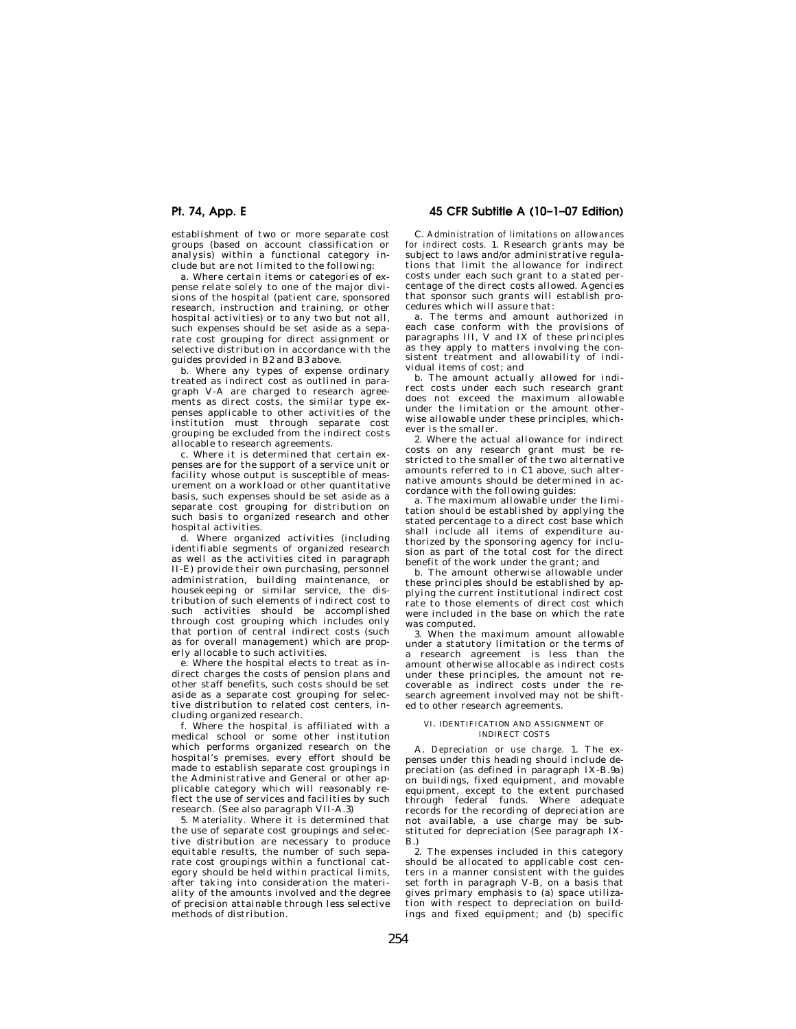establishment of two or more separate cost groups (based on account classification or analysis) within a functional category include but are not limited to the following:

a. Where certain items or categories of expense relate solely to one of the major divisions of the hospital (patient care, sponsored research, instruction and training, or other hospital activities) or to any two but not all, such expenses should be set aside as a separate cost grouping for direct assignment or selective distribution in accordance with the guides provided in B2 and B3 above.

b. Where any types of expense ordinary treated as indirect cost as outlined in paragraph V-A are charged to research agreements as direct costs, the similar type expenses applicable to other activities of the institution must through separate cost grouping be excluded from the indirect costs allocable to research agreements.

c. Where it is determined that certain expenses are for the support of a service unit or facility whose output is susceptible of measurement on a workload or other quantitative basis, such expenses should be set aside as a separate cost grouping for distribution on such basis to organized research and other hospital activities.

d. Where organized activities (including identifiable segments of organized research as well as the activities cited in paragraph II-E) provide their own purchasing, personnel administration, building maintenance, or housekeeping or similar service, the distribution of such elements of indirect cost to such activities should be accomplished through cost grouping which includes only that portion of central indirect costs (such as for overall management) which are properly allocable to such activities.

e. Where the hospital elects to treat as indirect charges the costs of pension plans and other staff benefits, such costs should be set aside as a separate cost grouping for selective distribution to related cost centers, including organized research.

f. Where the hospital is affiliated with a medical school or some other institution which performs organized research on the hospital's premises, every effort should be made to establish separate cost groupings in the Administrative and General or other applicable category which will reasonably reflect the use of services and facilities by such research. (See also paragraph VII-A.3)

5. *Materiality.* Where it is determined that the use of separate cost groupings and selective distribution are necessary to produce equitable results, the number of such separate cost groupings within a functional category should be held within practical limits, after taking into consideration the materiality of the amounts involved and the degree of precision attainable through less selective methods of distribution.

**Pt. 74, App. E 45 CFR Subtitle A (10–1–07 Edition)** 

C. *Administration of limitations on allowances for indirect costs.* 1. Research grants may be subject to laws and/or administrative regulations that limit the allowance for indirect costs under each such grant to a stated percentage of the direct costs allowed. Agencies that sponsor such grants will establish procedures which will assure that:

a. The terms and amount authorized in each case conform with the provisions of paragraphs III, V and IX of these principles as they apply to matters involving the consistent treatment and allowability of individual items of cost; and

b. The amount actually allowed for indirect costs under each such research grant does not exceed the maximum allowable under the limitation or the amount otherwise allowable under these principles, whichever is the smaller.

2. Where the actual allowance for indirect costs on any research grant must be re-stricted to the smaller of the two alternative amounts referred to in C1 above, such alternative amounts should be determined in accordance with the following guides:

a. The maximum allowable under the limitation should be established by applying the stated percentage to a direct cost base which shall include all items of expenditure authorized by the sponsoring agency for inclusion as part of the total cost for the direct benefit of the work under the grant; and

b. The amount otherwise allowable under these principles should be established by applying the current institutional indirect cost rate to those elements of direct cost which were included in the base on which the rate was computed.

3. When the maximum amount allowable under a statutory limitation or the terms of a research agreement is less than the amount otherwise allocable as indirect costs under these principles, the amount not recoverable as indirect costs under the research agreement involved may not be shifted to other research agreements.

#### VI. IDENTIFICATION AND ASSIGNMENT OF INDIRECT COSTS

A. *Depreciation or use charge.* 1. The expenses under this heading should include depreciation (as defined in paragraph IX-B.9a) on buildings, fixed equipment, and movable equipment, except to the extent purchased through federal funds. Where adequate records for the recording of depreciation are not available, a use charge may be substituted for depreciation (See paragraph IX-B.)

2. The expenses included in this category should be allocated to applicable cost centers in a manner consistent with the guides set forth in paragraph V-B, on a basis that gives primary emphasis to (a) space utilization with respect to depreciation on buildings and fixed equipment; and (b) specific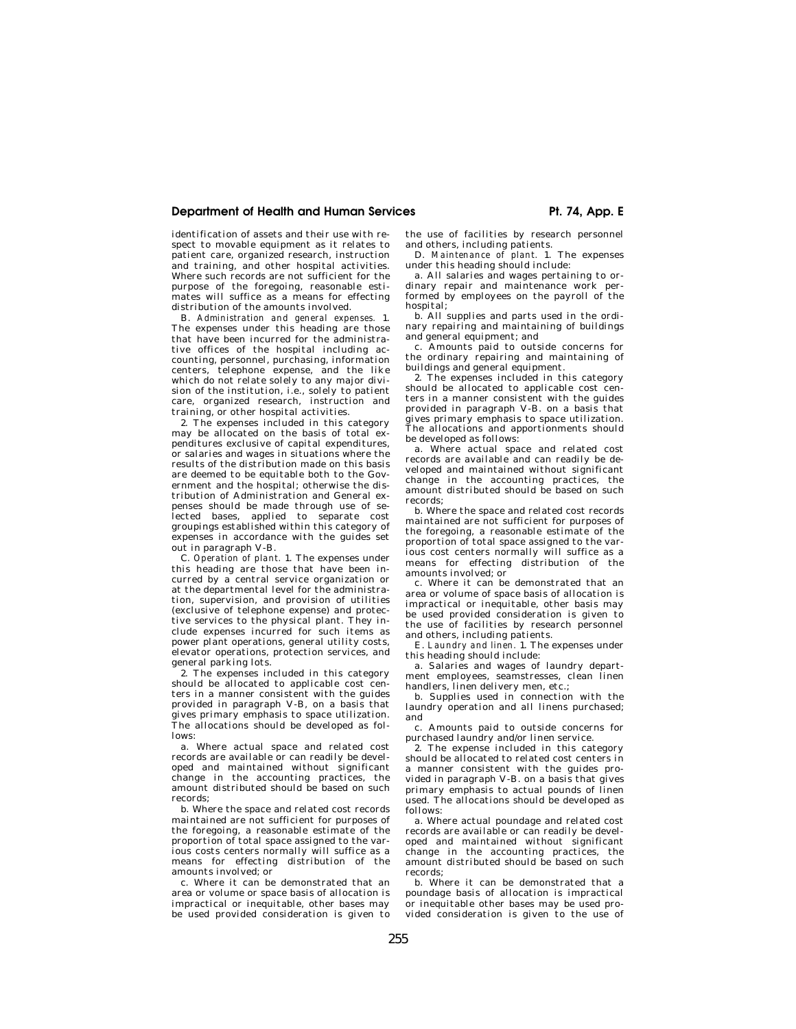## **Department of Health and Human Services The Constant Pt. 74, App. E**

identification of assets and their use with respect to movable equipment as it relates to patient care, organized research, instruction and training, and other hospital activities. Where such records are not sufficient for the purpose of the foregoing, reasonable estimates will suffice as a means for effecting distribution of the amounts involved.

B. *Administration and general expenses.* 1. The expenses under this heading are those that have been incurred for the administrative offices of the hospital including accounting, personnel, purchasing, information centers, telephone expense, and the like which do not relate solely to any major division of the institution, i.e., solely to patient care, organized research, instruction and training, or other hospital activities.

2. The expenses included in this category may be allocated on the basis of total expenditures exclusive of capital expenditures, or salaries and wages in situations where the results of the distribution made on this basis are deemed to be equitable both to the Government and the hospital; otherwise the distribution of Administration and General expenses should be made through use of selected bases, applied to separate cost groupings established within this category of expenses in accordance with the guides set out in paragraph V-B.

C. *Operation of plant.* 1. The expenses under this heading are those that have been incurred by a central service organization or at the departmental level for the administration, supervision, and provision of utilities (exclusive of telephone expense) and protective services to the physical plant. They include expenses incurred for such items as power plant operations, general utility costs, elevator operations, protection services, and general parking lots.

2. The expenses included in this category should be allocated to applicable cost centers in a manner consistent with the guides provided in paragraph V-B, on a basis that gives primary emphasis to space utilization. The allocations should be developed as follows:

a. Where actual space and related cost records are available or can readily be developed and maintained without significant change in the accounting practices, the amount distributed should be based on such records;

b. Where the space and related cost records maintained are not sufficient for purposes of the foregoing, a reasonable estimate of the proportion of total space assigned to the various costs centers normally will suffice as a means for effecting distribution of the amounts involved; or

c. Where it can be demonstrated that an area or volume or space basis of allocation is impractical or inequitable, other bases may be used provided consideration is given to

the use of facilities by research personnel and others, including patients.

D. *Maintenance of plant.* 1. The expenses under this heading should include:

a. All salaries and wages pertaining to ordinary repair and maintenance work performed by employees on the payroll of the hospital;

b. All supplies and parts used in the ordinary repairing and maintaining of buildings and general equipment; and

c. Amounts paid to outside concerns for the ordinary repairing and maintaining of buildings and general equipment.

2. The expenses included in this category should be allocated to applicable cost centers in a manner consistent with the guides provided in paragraph V-B. on a basis that gives primary emphasis to space utilization. The allocations and apportionments should be developed as follows:

a. Where actual space and related cost records are available and can readily be developed and maintained without significant change in the accounting practices, the amount distributed should be based on such records;

b. Where the space and related cost records maintained are not sufficient for purposes of the foregoing, a reasonable estimate of the proportion of total space assigned to the various cost centers normally will suffice as a means for effecting distribution of the amounts involved; or

c. Where it can be demonstrated that an area or volume of space basis of allocation is impractical or inequitable, other basis may be used provided consideration is given to the use of facilities by research personnel and others, including patients.

E. *Laundry and linen.* 1. The expenses under this heading should include:

a. Salaries and wages of laundry department employees, seamstresses, clean linen handlers, linen delivery men, etc.;

b. Supplies used in connection with the laundry operation and all linens purchased; and

c. Amounts paid to outside concerns for purchased laundry and/or linen service.

2. The expense included in this category should be allocated to related cost centers in a manner consistent with the guides provided in paragraph V-B. on a basis that gives primary emphasis to actual pounds of linen used. The allocations should be developed as follows:

a. Where actual poundage and related cost records are available or can readily be developed and maintained without significant change in the accounting practices, the amount distributed should be based on such records;

b. Where it can be demonstrated that a poundage basis of allocation is impractical or inequitable other bases may be used provided consideration is given to the use of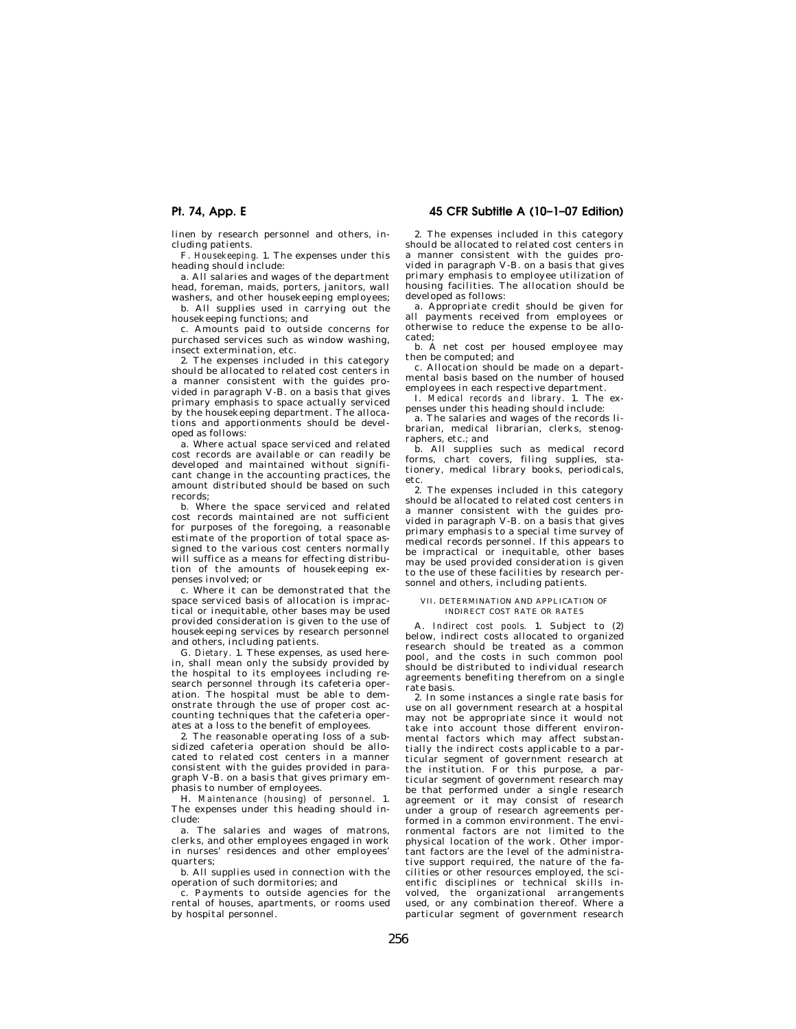**Pt. 74, App. E 45 CFR Subtitle A (10–1–07 Edition)** 

linen by research personnel and others, including patients.

F. *Housekeeping.* 1. The expenses under this heading should include:

a. All salaries and wages of the department head, foreman, maids, porters, janitors, wall washers, and other housekeeping employees; b. All supplies used in carrying out the

housekeeping functions; and c. Amounts paid to outside concerns for

purchased services such as window washing, .<br>insect extermination, etc.

2. The expenses included in this category should be allocated to related cost centers in a manner consistent with the guides provided in paragraph V-B. on a basis that gives primary emphasis to space actually serviced by the housekeeping department. The allocations and apportionments should be developed as follows:

a. Where actual space serviced and related cost records are available or can readily be developed and maintained without significant change in the accounting practices, the amount distributed should be based on such records;

b. Where the space serviced and related cost records maintained are not sufficient for purposes of the foregoing, a reasonable estimate of the proportion of total space assigned to the various cost centers normally will suffice as a means for effecting distribution of the amounts of housekeeping expenses involved; or

c. Where it can be demonstrated that the space serviced basis of allocation is impractical or inequitable, other bases may be used provided consideration is given to the use of housekeeping services by research personnel and others, including patients.

G. *Dietary.* 1. These expenses, as used herein, shall mean only the subsidy provided by the hospital to its employees including research personnel through its cafeteria operation. The hospital must be able to demonstrate through the use of proper cost accounting techniques that the cafeteria operates at a loss to the benefit of employees.

2. The reasonable operating loss of a subsidized cafeteria operation should be allocated to related cost centers in a manner consistent with the guides provided in paragraph V-B. on a basis that gives primary emphasis to number of employees.

H. *Maintenance (housing) of personnel.* 1. The expenses under this heading should include:

a. The salaries and wages of matrons, clerks, and other employees engaged in work in nurses' residences and other employees' quarters;

b. All supplies used in connection with the operation of such dormitories; and

c. Payments to outside agencies for the rental of houses, apartments, or rooms used by hospital personnel.

2. The expenses included in this category should be allocated to related cost centers in a manner consistent with the guides provided in paragraph V-B. on a basis that gives primary emphasis to employee utilization of housing facilities. The allocation should be developed as follows:

a. Appropriate credit should be given for all payments received from employees or otherwise to reduce the expense to be allocated;

b. A net cost per housed employee may then be computed; and

c. Allocation should be made on a departmental basis based on the number of housed employees in each respective department.

I. *Medical records and library.* 1. The expenses under this heading should include:

a. The salaries and wages of the records librarian, medical librarian, clerks, stenographers, etc.; and

b. All supplies such as medical record forms, chart covers, filing supplies, sta-tionery, medical library books, periodicals, etc.

2. The expenses included in this category should be allocated to related cost centers in a manner consistent with the guides provided in paragraph V-B. on a basis that gives primary emphasis to a special time survey of n<br>medical records personnel. If this appears to be impractical or inequitable, other bases may be used provided consideration is given to the use of these facilities by research personnel and others, including patients.

#### VII. DETERMINATION AND APPLICATION OF INDIRECT COST RATE OR RATES

A. *Indirect cost pools.* 1. Subject to (2) below, indirect costs allocated to organized research should be treated as a common pool, and the costs in such common pool should be distributed to individual research agreements benefiting therefrom on a single rate basis.

2. In some instances a single rate basis for use on all government research at a hospital may not be appropriate since it would not take into account those different environmental factors which may affect substantially the indirect costs applicable to a particular segment of government research at the institution. For this purpose, a particular segment of government research may be that performed under a single research agreement or it may consist of research under a group of research agreements performed in a common environment. The environmental factors are not limited to the physical location of the work. Other important factors are the level of the administrative support required, the nature of the facilities or other resources employed, the scientific disciplines or technical skills involved, the organizational arrangements used, or any combination thereof. Where a particular segment of government research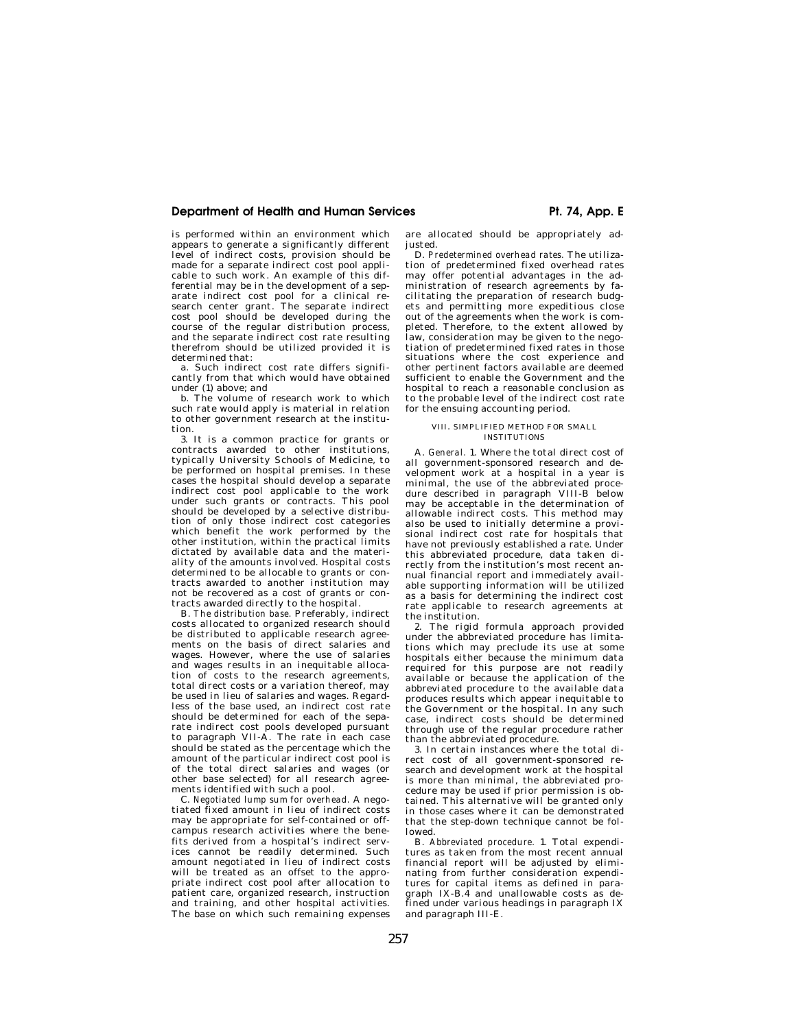## **Department of Health and Human Services The Constant Pt. 74, App. E**

is performed within an environment which appears to generate a significantly different level of indirect costs, provision should be made for a separate indirect cost pool applicable to such work. An example of this differential may be in the development of a separate indirect cost pool for a clinical research center grant. The separate indirect cost pool should be developed during the course of the regular distribution process, and the separate indirect cost rate resulting therefrom should be utilized provided it is determined that:

a. Such indirect cost rate differs significantly from that which would have obtained under (1) above; and

b. The volume of research work to which such rate would apply is material in relation to other government research at the institution.

3. It is a common practice for grants or contracts awarded to other institutions, typically University Schools of Medicine, to be performed on hospital premises. In these cases the hospital should develop a separate indirect cost pool applicable to the work under such grants or contracts. This pool should be developed by a selective distribution of only those indirect cost categories which benefit the work performed by the other institution, within the practical limits dictated by available data and the materiality of the amounts involved. Hospital costs determined to be allocable to grants or contracts awarded to another institution may not be recovered as a cost of grants or contracts awarded directly to the hospital.

B. *The distribution base.* Preferably, indirect costs allocated to organized research should be distributed to applicable research agreements on the basis of direct salaries and wages. However, where the use of salaries and wages results in an inequitable allocation of costs to the research agreements, total direct costs or a variation thereof, may be used in lieu of salaries and wages. Regardless of the base used, an indirect cost rate should be determined for each of the separate indirect cost pools developed pursuant to paragraph VII-A. The rate in each case should be stated as the percentage which the amount of the particular indirect cost pool is of the total direct salaries and wages (or other base selected) for all research agreements identified with such a pool.

C. *Negotiated lump sum for overhead.* A negotiated fixed amount in lieu of indirect costs may be appropriate for self-contained or offcampus research activities where the benefits derived from a hospital's indirect services cannot be readily determined. Such amount negotiated in lieu of indirect costs will be treated as an offset to the appropriate indirect cost pool after allocation to patient care, organized research, instruction and training, and other hospital activities. The base on which such remaining expenses

are allocated should be appropriately adjusted.

D. *Predetermined overhead rates.* The utilization of predetermined fixed overhead rates may offer potential advantages in the administration of research agreements by facilitating the preparation of research budgets and permitting more expeditious close out of the agreements when the work is completed. Therefore, to the extent allowed by law, consideration may be given to the negotiation of predetermined fixed rates in those situations where the cost experience and other pertinent factors available are deemed sufficient to enable the Government and the hospital to reach a reasonable conclusion as to the probable level of the indirect cost rate for the ensuing accounting period.

#### VIII. SIMPLIFIED METHOD FOR SMALL INSTITUTIONS

A. *General.* 1. Where the total direct cost of all government-sponsored research and development work at a hospital in a year is minimal, the use of the abbreviated procedure described in paragraph VIII-B below may be acceptable in the determination of allowable indirect costs. This method may also be used to initially determine a provisional indirect cost rate for hospitals that have not previously established a rate. Under this abbreviated procedure, data taken directly from the institution's most recent annual financial report and immediately available supporting information will be utilized as a basis for determining the indirect cost rate applicable to research agreements at the institution.

2. The rigid formula approach provided under the abbreviated procedure has limitations which may preclude its use at some hospitals either because the minimum data required for this purpose are not readily available or because the application of the abbreviated procedure to the available data produces results which appear inequitable to the Government or the hospital. In any such case, indirect costs should be determined through use of the regular procedure rather than the abbreviated procedure.

3. In certain instances where the total direct cost of all government-sponsored research and development work at the hospital is more than minimal, the abbreviated procedure may be used if prior permission is obtained. This alternative will be granted only in those cases where it can be demonstrated that the step-down technique cannot be followed.

B. *Abbreviated procedure.* 1. Total expenditures as taken from the most recent annual financial report will be adjusted by eliminating from further consideration expenditures for capital items as defined in paragraph IX-B.4 and unallowable costs as defined under various headings in paragraph IX and paragraph III-E.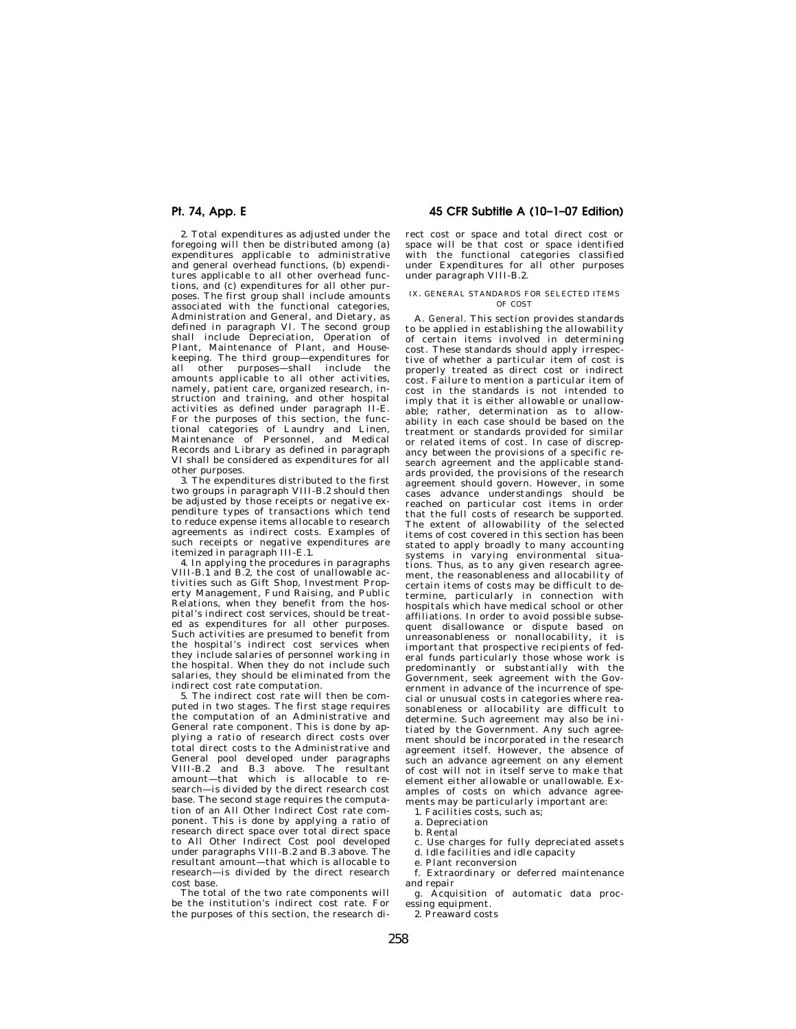2. Total expenditures as adjusted under the foregoing will then be distributed among (a) expenditures applicable to administrative and general overhead functions, (b) expenditures applicable to all other overhead functions, and (c) expenditures for all other purposes. The first group shall include amounts associated with the functional categories. Administration and General, and Dietary, as defined in paragraph VI. The second group shall include Depreciation, Operation of Plant, Maintenance of Plant, and Housekeeping. The third group—expenditures for all other purposes—shall include the amounts applicable to all other activities, namely, patient care, organized research, instruction and training, and other hospital activities as defined under paragraph II-E. For the purposes of this section, the functional categories of Laundry and Linen, Maintenance of Personnel, and Medical Records and Library as defined in paragraph VI shall be considered as expenditures for all other purposes.

3. The expenditures distributed to the first two groups in paragraph VIII-B.2 should then be adjusted by those receipts or negative expenditure types of transactions which tend to reduce expense items allocable to research agreements as indirect costs. Examples of such receipts or negative expenditures are itemized in paragraph III-E.1.

4. In applying the procedures in paragraphs VIII-B.1 and B.2, the cost of unallowable activities such as Gift Shop, Investment Property Management, Fund Raising, and Public Relations, when they benefit from the hospital's indirect cost services, should be treated as expenditures for all other purposes. Such activities are presumed to benefit from the hospital's indirect cost services when they include salaries of personnel working in the hospital. When they do not include such salaries, they should be eliminated from the indirect cost rate computation.

5. The indirect cost rate will then be computed in two stages. The first stage requires the computation of an Administrative and General rate component. This is done by applying a ratio of research direct costs over total direct costs to the Administrative and General pool developed under paragraphs VIII-B.2 and B.3 above. The resultant amount—that which is allocable to research—is divided by the direct research cost base. The second stage requires the computation of an All Other Indirect Cost rate component. This is done by applying a ratio of research direct space over total direct space to All Other Indirect Cost pool developed under paragraphs VIII-B.2 and B.3 above. The resultant amount—that which is allocable to research—is divided by the direct research cost base.

The total of the two rate components will be the institution's indirect cost rate. For the purposes of this section, the research di-

**Pt. 74, App. E 45 CFR Subtitle A (10–1–07 Edition)** 

rect cost or space and total direct cost or space will be that cost or space identified with the functional categories classified under Expenditures for all other purposes under paragraph VIII-B.2.

#### IX. GENERAL STANDARDS FOR SELECTED ITEMS OF COST

A. *General.* This section provides standards to be applied in establishing the allowability of certain items involved in determining cost. These standards should apply irrespective of whether a particular item of cost is properly treated as direct cost or indirect cost. Failure to mention a particular item of cost in the standards is not intended to imply that it is either allowable or unallowable; rather, determination as to allowability in each case should be based on the treatment or standards provided for similar or related items of cost. In case of discrepancy between the provisions of a specific research agreement and the applicable standards provided, the provisions of the research agreement should govern. However, in some cases advance understandings should be reached on particular cost items in order that the full costs of research be supported. The extent of allowability of the selected items of cost covered in this section has been stated to apply broadly to many accounting systems in varying environmental situations. Thus, as to any given research agreement, the reasonableness and allocability of certain items of costs may be difficult to determine, particularly in connection with hospitals which have medical school or other affiliations. In order to avoid possible subsequent disallowance or dispute based on unreasonableness or nonallocability, it is important that prospective recipients of federal funds particularly those whose work is predominantly or substantially with the Government, seek agreement with the Government in advance of the incurrence of special or unusual costs in categories where reasonableness or allocability are difficult to determine. Such agreement may also be initiated by the Government. Any such agreement should be incorporated in the research agreement itself. However, the absence of such an advance agreement on any element of cost will not in itself serve to make that element either allowable or unallowable. Examples of costs on which advance agreements may be particularly important are:

1. Facilities costs, such as;

a. Depreciation

b. Rental

c. Use charges for fully depreciated assets

d. Idle facilities and idle capacity

e. Plant reconversion

f. Extraordinary or deferred maintenance and repair g. Acquisition of automatic data proc-

essing equipment.

2. Preaward costs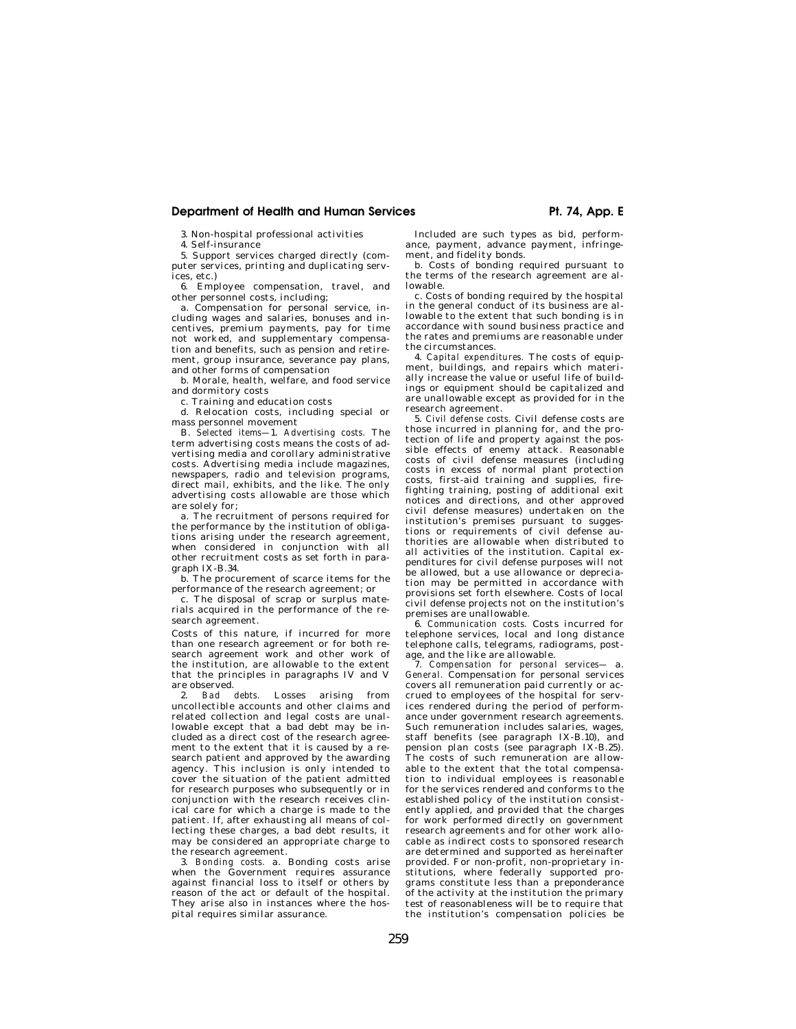## **Department of Health and Human Services The Constant Pt. 74, App. E**

3. Non-hospital professional activities

4. Self-insurance

5. Support services charged directly (computer services, printing and duplicating services, etc.)

6. Employee compensation, travel, and other personnel costs, including;

a. Compensation for personal service, including wages and salaries, bonuses and incentives, premium payments, pay for time not worked, and supplementary compensation and benefits, such as pension and retirement, group insurance, severance pay plans, and other forms of compensation

b. Morale, health, welfare, and food service and dormitory costs

c. Training and education costs

d. Relocation costs, including special or mass personnel movement

B. *Selected items—*1. *Advertising costs.* The term advertising costs means the costs of advertising media and corollary administrative costs. Advertising media include magazines, newspapers, radio and television programs, direct mail, exhibits, and the like. The only advertising costs allowable are those which are solely for;

a. The recruitment of persons required for the performance by the institution of obligations arising under the research agreement, when considered in conjunction with all other recruitment costs as set forth in paragraph IX-B.34.

b. The procurement of scarce items for the performance of the research agreement; or

c. The disposal of scrap or surplus materials acquired in the performance of the research agreement.

Costs of this nature, if incurred for more than one research agreement or for both research agreement work and other work of the institution, are allowable to the extent that the principles in paragraphs IV and V are observed.<br> $\frac{1}{2}$   $\frac{1}{2}$   $\frac{1}{2}$ 

2. *Bad debts.* Losses arising from uncollectible accounts and other claims and related collection and legal costs are unallowable except that a bad debt may be included as a direct cost of the research agreement to the extent that it is caused by a research patient and approved by the awarding agency. This inclusion is only intended to cover the situation of the patient admitted for research purposes who subsequently or in conjunction with the research receives clinical care for which a charge is made to the patient. If, after exhausting all means of collecting these charges, a bad debt results, it may be considered an appropriate charge to the research agreement.

3. *Bonding costs.* a. Bonding costs arise when the Government requires assurance against financial loss to itself or others by reason of the act or default of the hospital. They arise also in instances where the hospital requires similar assurance.

Included are such types as bid, performance, payment, advance payment, infringement, and fidelity bonds.

b. Costs of bonding required pursuant to the terms of the research agreement are allowable.

c. Costs of bonding required by the hospital in the general conduct of its business are allowable to the extent that such bonding is in accordance with sound business practice and the rates and premiums are reasonable under the circumstances.

4. *Capital expenditures.* The costs of equipment, buildings, and repairs which materially increase the value or useful life of buildings or equipment should be capitalized and are unallowable except as provided for in the research agreement.

5. *Civil defense costs.* Civil defense costs are those incurred in planning for, and the protection of life and property against the possible effects of enemy attack. Reasonable costs of civil defense measures (including costs in excess of normal plant protection costs, first-aid training and supplies, firefighting training, posting of additional exit notices and directions, and other approved civil defense measures) undertaken on the institution's premises pursuant to suggestions or requirements of civil defense authorities are allowable when distributed to all activities of the institution. Capital expenditures for civil defense purposes will not be allowed, but a use allowance or depreciation may be permitted in accordance with provisions set forth elsewhere. Costs of local civil defense projects not on the institution's premises are unallowable.

6. *Communication costs.* Costs incurred for telephone services, local and long distance telephone calls, telegrams, radiograms, postage, and the like are allowable.

7. *Compensation for personal services—* a. *General.* Compensation for personal services covers all remuneration paid currently or accrued to employees of the hospital for services rendered during the period of performance under government research agreements. Such remuneration includes salaries, wages, staff benefits (see paragraph IX-B.10), and pension plan costs (see paragraph IX-B.25). The costs of such remuneration are allowable to the extent that the total compensation to individual employees is reasonable for the services rendered and conforms to the established policy of the institution consistently applied, and provided that the charges for work performed directly on government research agreements and for other work allocable as indirect costs to sponsored research are determined and supported as hereinafter provided. For non-profit, non-proprietary institutions, where federally supported programs constitute less than a preponderance of the activity at the institution the primary test of reasonableness will be to require that the institution's compensation policies be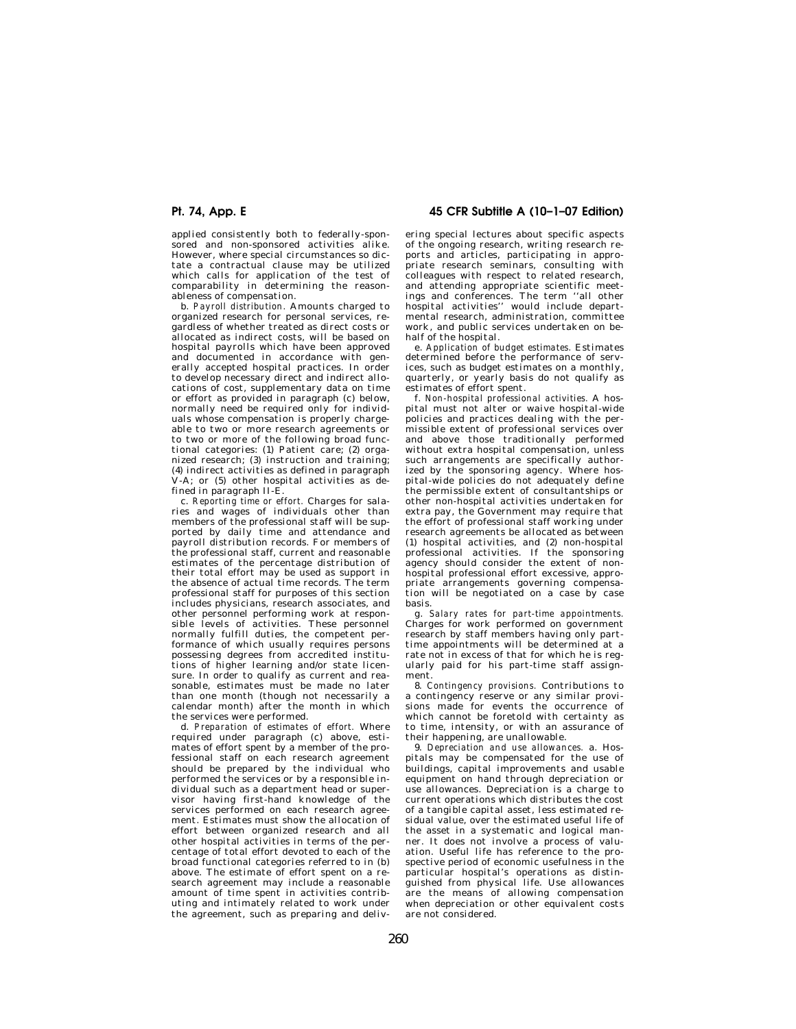applied consistently both to federally-sponsored and non-sponsored activities alike. However, where special circumstances so dictate a contractual clause may be utilized which calls for application of the test of comparability in determining the reasonableness of compensation.

b. *Payroll distribution.* Amounts charged to organized research for personal services, regardless of whether treated as direct costs or allocated as indirect costs, will be based on hospital payrolls which have been approved and documented in accordance with generally accepted hospital practices. In order to develop necessary direct and indirect allocations of cost, supplementary data on time or effort as provided in paragraph (c) below, normally need be required only for individuals whose compensation is properly chargeable to two or more research agreements or to two or more of the following broad functional categories: (1) Patient care; (2) organized research; (3) instruction and training; (4) indirect activities as defined in paragraph V-A; or (5) other hospital activities as defined in paragraph II-E.

c. *Reporting time or effort.* Charges for salaries and wages of individuals other than members of the professional staff will be supported by daily time and attendance and payroll distribution records. For members of the professional staff, current and reasonable estimates of the percentage distribution of their total effort may be used as support in the absence of actual time records. The term professional staff for purposes of this section includes physicians, research associates, and other personnel performing work at respon-sible levels of activities. These personnel normally fulfill duties, the competent performance of which usually requires persons possessing degrees from accredited institutions of higher learning and/or state licensure. In order to qualify as current and reasonable, estimates must be made no later than one month (though not necessarily a calendar month) after the month in which the services were performed.

d. *Preparation of estimates of effort.* Where required under paragraph (c) above, estimates of effort spent by a member of the professional staff on each research agreement should be prepared by the individual who performed the services or by a responsible individual such as a department head or supervisor having first-hand knowledge of the services performed on each research agreement. Estimates must show the allocation of effort between organized research and all other hospital activities in terms of the percentage of total effort devoted to each of the broad functional categories referred to in (b) above. The estimate of effort spent on a research agreement may include a reasonable amount of time spent in activities contributing and intimately related to work under the agreement, such as preparing and deliv-

## **Pt. 74, App. E 45 CFR Subtitle A (10–1–07 Edition)**

ering special lectures about specific aspects of the ongoing research, writing research reports and articles, participating in appropriate research seminars, consulting with colleagues with respect to related research, and attending appropriate scientific meet-ings and conferences. The term ''all other hospital activities'' would include departmental research, administration, committee work, and public services undertaken on behalf of the hospital.

e. *Application of budget estimates.* Estimates determined before the performance of services, such as budget estimates on a monthly, quarterly, or yearly basis do not qualify as estimates of effort spent.

f. *Non-hospital professional activities.* A hospital must not alter or waive hospital-wide policies and practices dealing with the permissible extent of professional services over and above those traditionally performed without extra hospital compensation, unless such arrangements are specifically authorized by the sponsoring agency. Where hospital-wide policies do not adequately define the permissible extent of consultantships or other non-hospital activities undertaken for extra pay, the Government may require that the effort of professional staff working under research agreements be allocated as between (1) hospital activities, and (2) non-hospital professional activities. If the sponsoring agency should consider the extent of nonhospital professional effort excessive, appropriate arrangements governing compensa-tion will be negotiated on a case by case basis.

g. *Salary rates for part-time appointments.*  Charges for work performed on government research by staff members having only parttime appointments will be determined at a rate not in excess of that for which he is regularly paid for his part-time staff assignment.

8. *Contingency provisions.* Contributions to a contingency reserve or any similar provisions made for events the occurrence of which cannot be foretold with certainty as to time, intensity, or with an assurance of their happening, are unallowable.

9. *Depreciation and use allowances.* a. Hospitals may be compensated for the use of buildings, capital improvements and usable equipment on hand through depreciation or use allowances. Depreciation is a charge to current operations which distributes the cost of a tangible capital asset, less estimated residual value, over the estimated useful life of the asset in a systematic and logical manner. It does not involve a process of valuation. Useful life has reference to the prospective period of economic usefulness in the particular hospital's operations as distinguished from physical life. Use allowances are the means of allowing compensation when depreciation or other equivalent costs are not considered.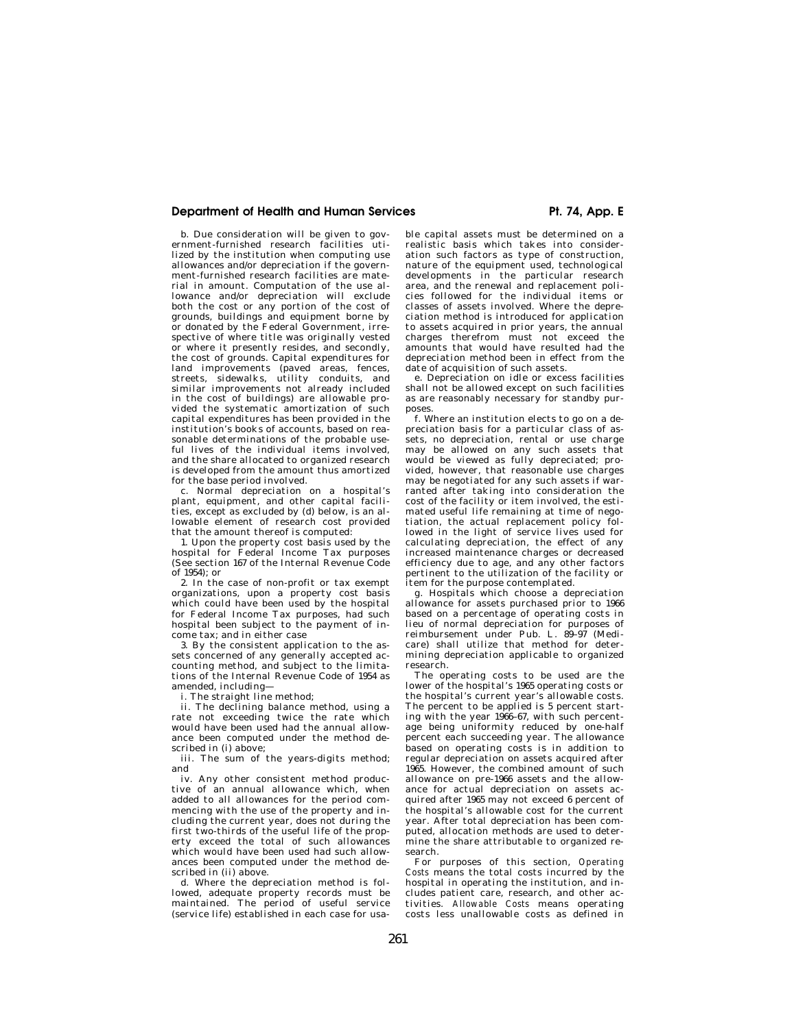## **Department of Health and Human Services The Constant Pt. 74, App. E**

b. Due consideration will be given to government-furnished research facilities utilized by the institution when computing use allowances and/or depreciation if the government-furnished research facilities are material in amount. Computation of the use allowance and/or depreciation will exclude both the cost or any portion of the cost of grounds, buildings and equipment borne by or donated by the Federal Government, irrespective of where title was originally vested or where it presently resides, and secondly, the cost of grounds. Capital expenditures for land improvements (paved areas, fences, streets, sidewalks, utility conduits, and similar improvements not already included in the cost of buildings) are allowable provided the systematic amortization of such capital expenditures has been provided in the institution's books of accounts, based on reasonable determinations of the probable useful lives of the individual items involved, and the share allocated to organized research is developed from the amount thus amortized for the base period involved. c. Normal depreciation on a hospital's

plant, equipment, and other capital facilities, except as excluded by (d) below, is an allowable element of research cost provided that the amount thereof is computed:

1. Upon the property cost basis used by the hospital for Federal Income Tax purposes (See section 167 of the Internal Revenue Code of 1954); or

2. In the case of non-profit or tax exempt organizations, upon a property cost basis which could have been used by the hospital for Federal Income Tax purposes, had such hospital been subject to the payment of income tax; and in either case

3. By the consistent application to the assets concerned of any generally accepted accounting method, and subject to the limitations of the Internal Revenue Code of 1954 as amended, including—

i. The straight line method;

ii. The declining balance method, using a rate not exceeding twice the rate which would have been used had the annual allowance been computed under the method described in (i) above;

iii. The sum of the years-digits method; and

iv. Any other consistent method productive of an annual allowance which, when added to all allowances for the period commencing with the use of the property and including the current year, does not during the first two-thirds of the useful life of the property exceed the total of such allowances which would have been used had such allowances been computed under the method described in (ii) above.

d. Where the depreciation method is followed, adequate property records must be maintained. The period of useful service (service life) established in each case for usable capital assets must be determined on a realistic basis which takes into consideration such factors as type of construction, nature of the equipment used, technological developments in the particular research area, and the renewal and replacement policies followed for the individual items or classes of assets involved. Where the depreciation method is introduced for application to assets acquired in prior years, the annual charges therefrom must not exceed the amounts that would have resulted had the depreciation method been in effect from the date of acquisition of such assets.

e. Depreciation on idle or excess facilities shall not be allowed except on such facilities as are reasonably necessary for standby purposes.

f. Where an institution elects to go on a depreciation basis for a particular class of assets, no depreciation, rental or use charge may be allowed on any such assets that would be viewed as fully depreciated; provided, however, that reasonable use charges may be negotiated for any such assets if warranted after taking into consideration the cost of the facility or item involved, the estimated useful life remaining at time of negotiation, the actual replacement policy followed in the light of service lives used for calculating depreciation, the effect of any increased maintenance charges or decreased efficiency due to age, and any other factors pertinent to the utilization of the facility or item for the purpose contemplated.

g. Hospitals which choose a depreciation allowance for assets purchased prior to 1966 based on a percentage of operating costs in lieu of normal depreciation for purposes of reimbursement under Pub. L. 89–97 (Medicare) shall utilize that method for determining depreciation applicable to organized research.

The operating costs to be used are the lower of the hospital's 1965 operating costs or the hospital's current year's allowable costs. The percent to be applied is 5 percent starting with the year 1966–67, with such percentage being uniformity reduced by one-half percent each succeeding year. The allowance based on operating costs is in addition to regular depreciation on assets acquired after 1965. However, the combined amount of such allowance on pre-1966 assets and the allowance for actual depreciation on assets acquired after 1965 may not exceed 6 percent of the hospital's allowable cost for the current year. After total depreciation has been computed, allocation methods are used to determine the share attributable to organized research.

For purposes of this section, *Operating Costs* means the total costs incurred by the hospital in operating the institution, and includes patient care, research, and other activities. *Allowable Costs* means operating costs less unallowable costs as defined in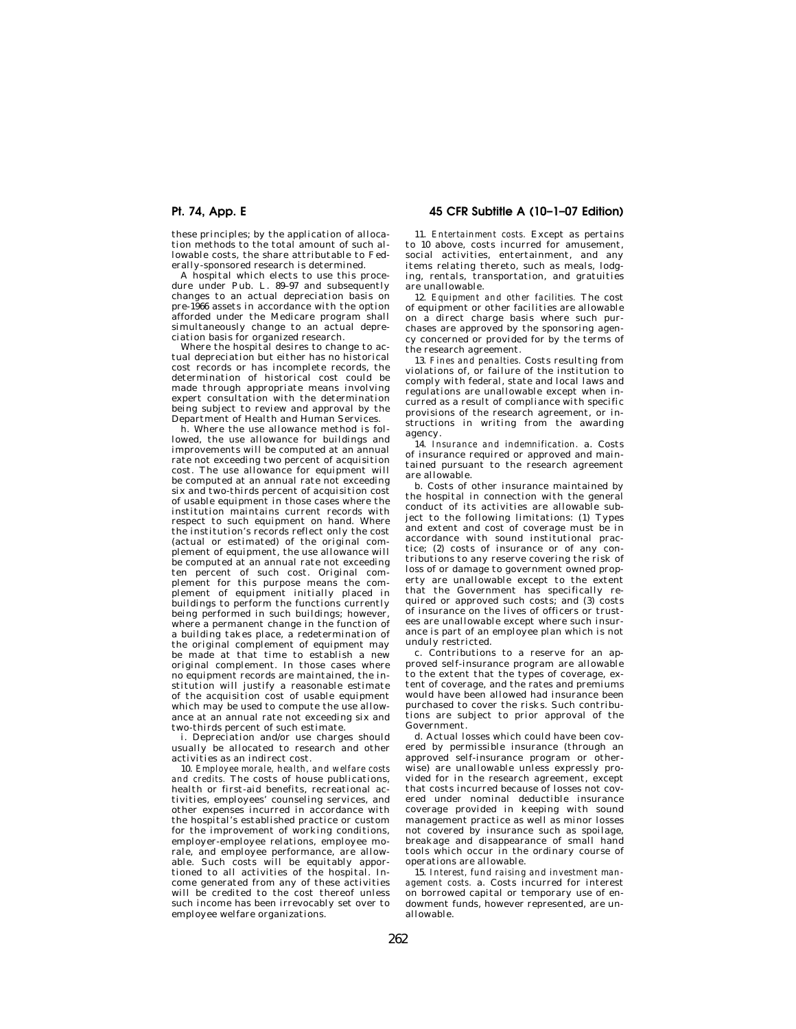these principles; by the application of allocation methods to the total amount of such allowable costs, the share attributable to Federally-sponsored research is determined.

A hospital which elects to use this procedure under Pub. L. 89–97 and subsequently changes to an actual depreciation basis on pre-1966 assets in accordance with the option afforded under the Medicare program shall simultaneously change to an actual depreciation basis for organized research.

Where the hospital desires to change to actual depreciation but either has no historical cost records or has incomplete records, the determination of historical cost could be made through appropriate means involving expert consultation with the determination being subject to review and approval by the Department of Health and Human Services.

h. Where the use allowance method is followed, the use allowance for buildings and improvements will be computed at an annual rate not exceeding two percent of acquisition cost. The use allowance for equipment will be computed at an annual rate not exceeding six and two-thirds percent of acquisition cost of usable equipment in those cases where the institution maintains current records with respect to such equipment on hand. Where the institution's records reflect only the cost (actual or estimated) of the original complement of equipment, the use allowance will be computed at an annual rate not exceeding ten percent of such cost. Original complement for this purpose means the complement of equipment initially placed in buildings to perform the functions currently being performed in such buildings; however, where a permanent change in the function of a building takes place, a redetermination of the original complement of equipment may be made at that time to establish a new original complement. In those cases where no equipment records are maintained, the institution will justify a reasonable estimate of the acquisition cost of usable equipment which may be used to compute the use allowance at an annual rate not exceeding six and two-thirds percent of such estimate.

i. Depreciation and/or use charges should usually be allocated to research and other activities as an indirect cost.

10. *Employee morale, health, and welfare costs and credits.* The costs of house publications, health or first-aid benefits, recreational activities, employees' counseling services, and other expenses incurred in accordance with the hospital's established practice or custom for the improvement of working conditions, employer-employee relations, employee morale, and employee performance, are allowable. Such costs will be equitably apportioned to all activities of the hospital. Income generated from any of these activities will be credited to the cost thereof unless such income has been irrevocably set over to employee welfare organizations.

## **Pt. 74, App. E 45 CFR Subtitle A (10–1–07 Edition)**

11. *Entertainment costs.* Except as pertains to 10 above, costs incurred for amusement, social activities, entertainment, and any items relating thereto, such as meals, lodging, rentals, transportation, and gratuities are unallowable.

12. *Equipment and other facilities.* The cost of equipment or other facilities are allowable on a direct charge basis where such purchases are approved by the sponsoring agency concerned or provided for by the terms of the research agreement.

13. *Fines and penalties.* Costs resulting from violations of, or failure of the institution to comply with federal, state and local laws and regulations are unallowable except when incurred as a result of compliance with specific provisions of the research agreement, or instructions in writing from the awarding agency.

14. *Insurance and indemnification.* a. Costs of insurance required or approved and maintained pursuant to the research agreement are allowable.

b. Costs of other insurance maintained by the hospital in connection with the general conduct of its activities are allowable subject to the following limitations: (1) Types and extent and cost of coverage must be in accordance with sound institutional practice; (2) costs of insurance or of any contributions to any reserve covering the risk of loss of or damage to government owned property are unallowable except to the extent that the Government has specifically required or approved such costs; and (3) costs of insurance on the lives of officers or trustees are unallowable except where such insurance is part of an employee plan which is not unduly restricted.

c. Contributions to a reserve for an approved self-insurance program are allowable to the extent that the types of coverage, extent of coverage, and the rates and premiums would have been allowed had insurance been purchased to cover the risks. Such contributions are subject to prior approval of the Government.

d. Actual losses which could have been covered by permissible insurance (through an approved self-insurance program or otherwise) are unallowable unless expressly provided for in the research agreement, except that costs incurred because of losses not covered under nominal deductible insurance coverage provided in keeping with sound management practice as well as minor losses not covered by insurance such as spoilage, breakage and disappearance of small hand tools which occur in the ordinary course of operations are allowable.

15. *Interest, fund raising and investment management costs.* a. Costs incurred for interest on borrowed capital or temporary use of endowment funds, however represented, are unallowable.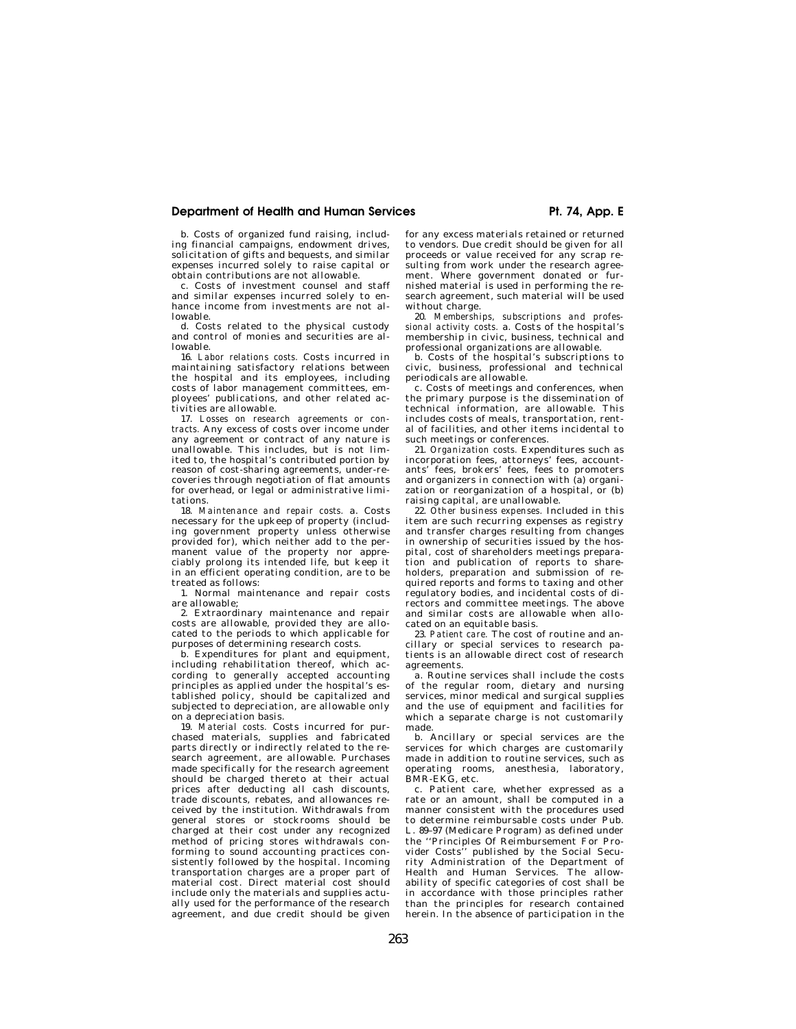## **Department of Health and Human Services The Constant Pt. 74, App. E**

b. Costs of organized fund raising, including financial campaigns, endowment drives, solicitation of gifts and bequests, and similar expenses incurred solely to raise capital or obtain contributions are not allowable.

c. Costs of investment counsel and staff and similar expenses incurred solely to enhance income from investments are not allowable.

d. Costs related to the physical custody and control of monies and securities are allowable.

16. *Labor relations costs.* Costs incurred in maintaining satisfactory relations between the hospital and its employees, including costs of labor management committees, employees' publications, and other related activities are allowable.

17. *Losses on research agreements or contracts.* Any excess of costs over income under any agreement or contract of any nature is unallowable. This includes, but is not limited to, the hospital's contributed portion by reason of cost-sharing agreements, under-recoveries through negotiation of flat amounts for overhead, or legal or administrative limitations.

18. *Maintenance and repair costs.* a. Costs necessary for the upkeep of property (including government property unless otherwise provided for), which neither add to the permanent value of the property nor appreciably prolong its intended life, but keep it in an efficient operating condition, are to be treated as follows:

1. Normal maintenance and repair costs are allowable;

2. Extraordinary maintenance and repair costs are allowable, provided they are allocated to the periods to which applicable for purposes of determining research costs.

b. Expenditures for plant and equipment, including rehabilitation thereof, which according to generally accepted accounting principles as applied under the hospital's established policy, should be capitalized and subjected to depreciation, are allowable only on a depreciation basis.

19. *Material costs.* Costs incurred for purchased materials, supplies and fabricated parts directly or indirectly related to the research agreement, are allowable. Purchases made specifically for the research agreement should be charged thereto at their actual prices after deducting all cash discounts, trade discounts, rebates, and allowances received by the institution. Withdrawals from general stores or stockrooms should be charged at their cost under any recognized method of pricing stores withdrawals conforming to sound accounting practices consistently followed by the hospital. Incoming transportation charges are a proper part of material cost. Direct material cost should include only the materials and supplies actually used for the performance of the research agreement, and due credit should be given

for any excess materials retained or returned to vendors. Due credit should be given for all proceeds or value received for any scrap resulting from work under the research agreement. Where government donated or furnished material is used in performing the research agreement, such material will be used without charge.

20. *Memberships, subscriptions and professional activity costs.* a. Costs of the hospital's membership in civic, business, technical and professional organizations are allowable.

b. Costs of the hospital's subscriptions to civic, business, professional and technical periodicals are allowable.

c. Costs of meetings and conferences, when the primary purpose is the dissemination of technical information, are allowable. This includes costs of meals, transportation, rental of facilities, and other items incidental to such meetings or conferences.

21. *Organization costs.* Expenditures such as incorporation fees, attorneys' fees, accountants' fees, brokers' fees, fees to promoters and organizers in connection with (a) organization or reorganization of a hospital, or (b) raising capital, are unallowable.

22. *Other business expenses.* Included in this item are such recurring expenses as registry and transfer charges resulting from changes in ownership of securities issued by the hospital, cost of shareholders meetings preparation and publication of reports to shareholders, preparation and submission of required reports and forms to taxing and other regulatory bodies, and incidental costs of directors and committee meetings. The above and similar costs are allowable when allocated on an equitable basis.

23. *Patient care.* The cost of routine and ancillary or special services to research patients is an allowable direct cost of research agreements.

a. Routine services shall include the costs of the regular room, dietary and nursing services, minor medical and surgical supplies and the use of equipment and facilities for which a separate charge is not customarily made.

b. Ancillary or special services are the services for which charges are customarily made in addition to routine services, such as operating rooms, anesthesia, laboratory, BMR-EKG, etc.

c. Patient care, whether expressed as a rate or an amount, shall be computed in a manner consistent with the procedures used to determine reimbursable costs under Pub. L. 89–97 (Medicare Program) as defined under the ''Principles Of Reimbursement For Provider Costs'' published by the Social Security Administration of the Department of Health and Human Services. The allowability of specific categories of cost shall be in accordance with those principles rather than the principles for research contained herein. In the absence of participation in the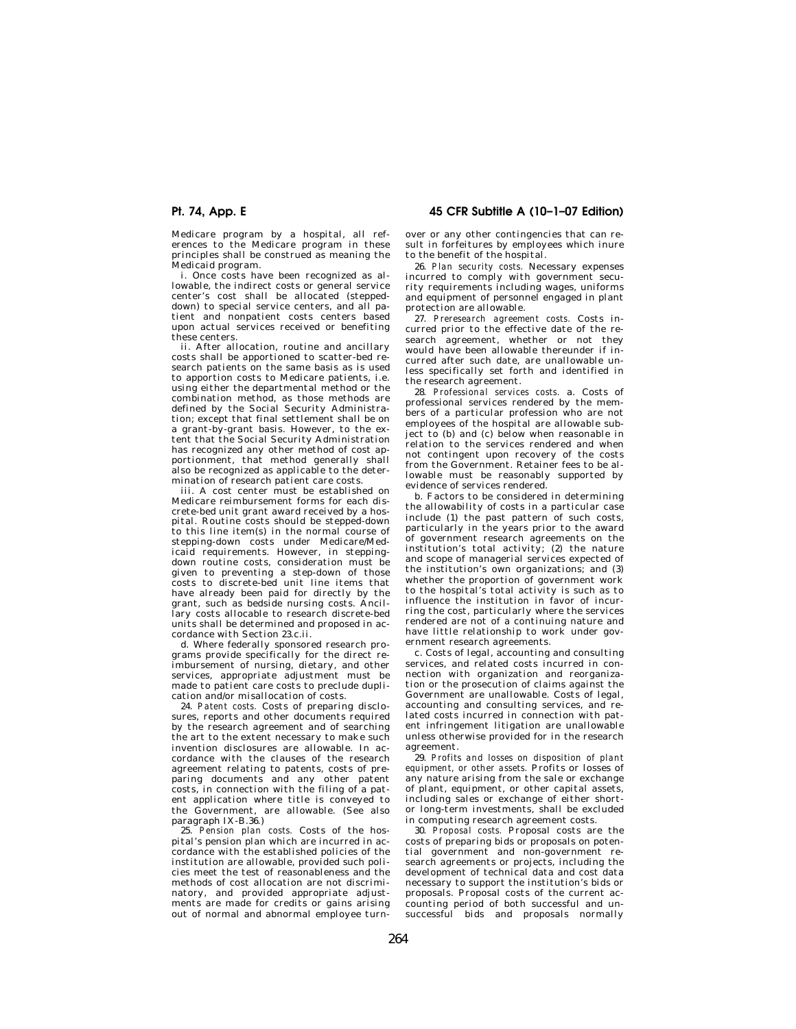**Pt. 74, App. E 45 CFR Subtitle A (10–1–07 Edition)** 

Medicare program by a hospital, all references to the Medicare program in these principles shall be construed as meaning the Medicaid program.

i. Once costs have been recognized as allowable, the indirect costs or general service center's cost shall be allocated (steppeddown) to special service centers, and all patient and nonpatient costs centers based upon actual services received or benefiting these centers.

ii. After allocation, routine and ancillary costs shall be apportioned to scatter-bed research patients on the same basis as is used to apportion costs to Medicare patients, i.e. using either the departmental method or the combination method, as those methods are defined by the Social Security Administration; except that final settlement shall be on a grant-by-grant basis. However, to the extent that the Social Security Administration has recognized any other method of cost apportionment, that method generally shall also be recognized as applicable to the determination of research patient care costs.

iii. A cost center must be established on Medicare reimbursement forms for each discrete-bed unit grant award received by a hospital. Routine costs should be stepped-down to this line item(s) in the normal course of stepping-down costs under Medicare/Medicaid requirements. However, in steppingdown routine costs, consideration must be given to preventing a step-down of those costs to discrete-bed unit line items that have already been paid for directly by the grant, such as bedside nursing costs. Ancillary costs allocable to research discrete-bed units shall be determined and proposed in accordance with Section 23.c.ii.

d. Where federally sponsored research programs provide specifically for the direct reimbursement of nursing, dietary, and other services, appropriate adjustment must be made to patient care costs to preclude duplication and/or misallocation of costs.

24. *Patent costs.* Costs of preparing disclosures, reports and other documents required by the research agreement and of searching the art to the extent necessary to make such invention disclosures are allowable. In accordance with the clauses of the research agreement relating to patents, costs of preparing documents and any other patent costs, in connection with the filing of a patent application where title is conveyed to the Government, are allowable. (See also paragraph IX-B.36.)

25. *Pension plan costs.* Costs of the hospital's pension plan which are incurred in accordance with the established policies of the institution are allowable, provided such policies meet the test of reasonableness and the methods of cost allocation are not discriminatory, and provided appropriate adjustments are made for credits or gains arising out of normal and abnormal employee turnover or any other contingencies that can result in forfeitures by employees which inure to the benefit of the hospital.

26. *Plan security costs.* Necessary expenses incurred to comply with government security requirements including wages, uniforms and equipment of personnel engaged in plant protection are allowable.

27. *Preresearch agreement costs.* Costs incurred prior to the effective date of the research agreement, whether or not they would have been allowable thereunder if incurred after such date, are unallowable unless specifically set forth and identified in the research agreement.

28. *Professional services costs.* a. Costs of professional services rendered by the members of a particular profession who are not employees of the hospital are allowable subject to (b) and (c) below when reasonable in relation to the services rendered and when not contingent upon recovery of the costs from the Government. Retainer fees to be allowable must be reasonably supported by evidence of services rendered.

b. Factors to be considered in determining the allowability of costs in a particular case include (1) the past pattern of such costs, particularly in the years prior to the award of government research agreements on the institution's total activity; (2) the nature and scope of managerial services expected of the institution's own organizations; and (3) whether the proportion of government work to the hospital's total activity is such as to influence the institution in favor of incurring the cost, particularly where the services rendered are not of a continuing nature and have little relationship to work under government research agreements.

c. Costs of legal, accounting and consulting services, and related costs incurred in connection with organization and reorganization or the prosecution of claims against the Government are unallowable. Costs of legal, accounting and consulting services, and related costs incurred in connection with patent infringement litigation are unallowable unless otherwise provided for in the research agreement.

29. *Profits and losses on disposition of plant equipment, or other assets.* Profits or losses of any nature arising from the sale or exchange of plant, equipment, or other capital assets, including sales or exchange of either shortor long-term investments, shall be excluded in computing research agreement costs.

30. *Proposal costs.* Proposal costs are the costs of preparing bids or proposals on potential government and non-government research agreements or projects, including the development of technical data and cost data necessary to support the institution's bids or proposals. Proposal costs of the current accounting period of both successful and unsuccessful bids and proposals normally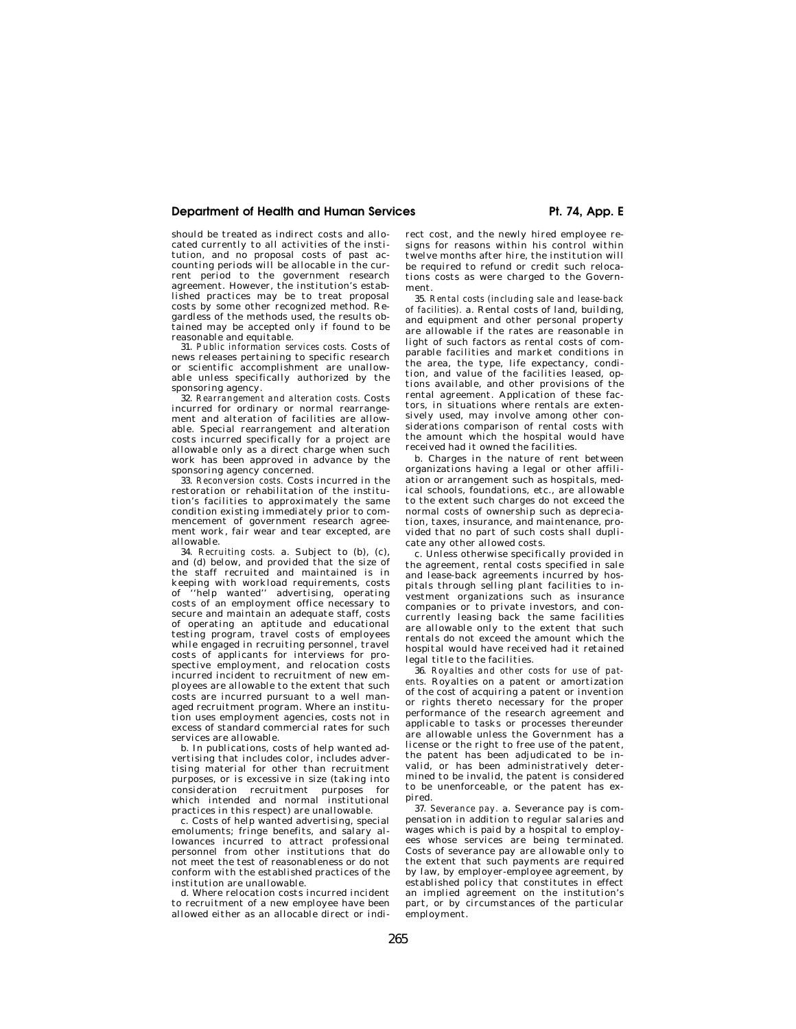## **Department of Health and Human Services The Constant Pt. 74, App. E**

should be treated as indirect costs and allocated currently to all activities of the institution, and no proposal costs of past accounting periods will be allocable in the current period to the government research agreement. However, the institution's established practices may be to treat proposal costs by some other recognized method. Regardless of the methods used, the results obtained may be accepted only if found to be reasonable and equitable.

31. *Public information services costs.* Costs of news releases pertaining to specific research or scientific accomplishment are unallowable unless specifically authorized by the sponsoring agency.

32. *Rearrangement and alteration costs.* Costs incurred for ordinary or normal rearrange-ment and alteration of facilities are allowable. Special rearrangement and alteration costs incurred specifically for a project are allowable only as a direct charge when such work has been approved in advance by the sponsoring agency concerned.

33. *Reconversion costs.* Costs incurred in the restoration or rehabilitation of the institution's facilities to approximately the same condition existing immediately prior to commencement of government research agree-ment work, fair wear and tear excepted, are allowable.

34. *Recruiting costs.* a. Subject to (b), (c), and (d) below, and provided that the size of the staff recruited and maintained is in keeping with workload requirements, costs 'help wanted'' advertising, operating costs of an employment office necessary to secure and maintain an adequate staff, costs of operating an aptitude and educational testing program, travel costs of employees while engaged in recruiting personnel, travel costs of applicants for interviews for prospective employment, and relocation costs incurred incident to recruitment of new employees are allowable to the extent that such costs are incurred pursuant to a well managed recruitment program. Where an institution uses employment agencies, costs not in excess of standard commercial rates for such services are allowable.

b. In publications, costs of help wanted advertising that includes color, includes advertising material for other than recruitment purposes, or is excessive in size (taking into consideration recruitment purposes for which intended and normal institutional practices in this respect) are unallowable.

c. Costs of help wanted advertising, special emoluments; fringe benefits, and salary allowances incurred to attract professional personnel from other institutions that do not meet the test of reasonableness or do not conform with the established practices of the institution are unallowable.

d. Where relocation costs incurred incident to recruitment of a new employee have been allowed either as an allocable direct or indirect cost, and the newly hired employee resigns for reasons within his control within twelve months after hire, the institution will be required to refund or credit such relocations costs as were charged to the Government.

35. *Rental costs (including sale and lease-back of facilities).* a. Rental costs of land, building, and equipment and other personal property are allowable if the rates are reasonable in light of such factors as rental costs of comparable facilities and market conditions in the area, the type, life expectancy, condition, and value of the facilities leased, options available, and other provisions of the rental agreement. Application of these factors, in situations where rentals are extensively used, may involve among other considerations comparison of rental costs with the amount which the hospital would have received had it owned the facilities.

b. Charges in the nature of rent between organizations having a legal or other affiliation or arrangement such as hospitals, medical schools, foundations, etc., are allowable to the extent such charges do not exceed the normal costs of ownership such as depreciation, taxes, insurance, and maintenance, provided that no part of such costs shall duplicate any other allowed costs.

c. Unless otherwise specifically provided in the agreement, rental costs specified in sale and lease-back agreements incurred by hospitals through selling plant facilities to investment organizations such as insurance companies or to private investors, and concurrently leasing back the same facilities are allowable only to the extent that such rentals do not exceed the amount which the hospital would have received had it retained legal title to the facilities.

36. *Royalties and other costs for use of patents.* Royalties on a patent or amortization of the cost of acquiring a patent or invention or rights thereto necessary for the proper performance of the research agreement and applicable to tasks or processes thereunder are allowable unless the Government has a license or the right to free use of the patent, the patent has been adjudicated to be invalid, or has been administratively determined to be invalid, the patent is considered to be unenforceable, or the patent has expired.

37. *Severance pay.* a. Severance pay is compensation in addition to regular salaries and wages which is paid by a hospital to employees whose services are being terminated. Costs of severance pay are allowable only to the extent that such payments are required by law, by employer-employee agreement, by established policy that constitutes in effect an implied agreement on the institution's part, or by circumstances of the particular employment.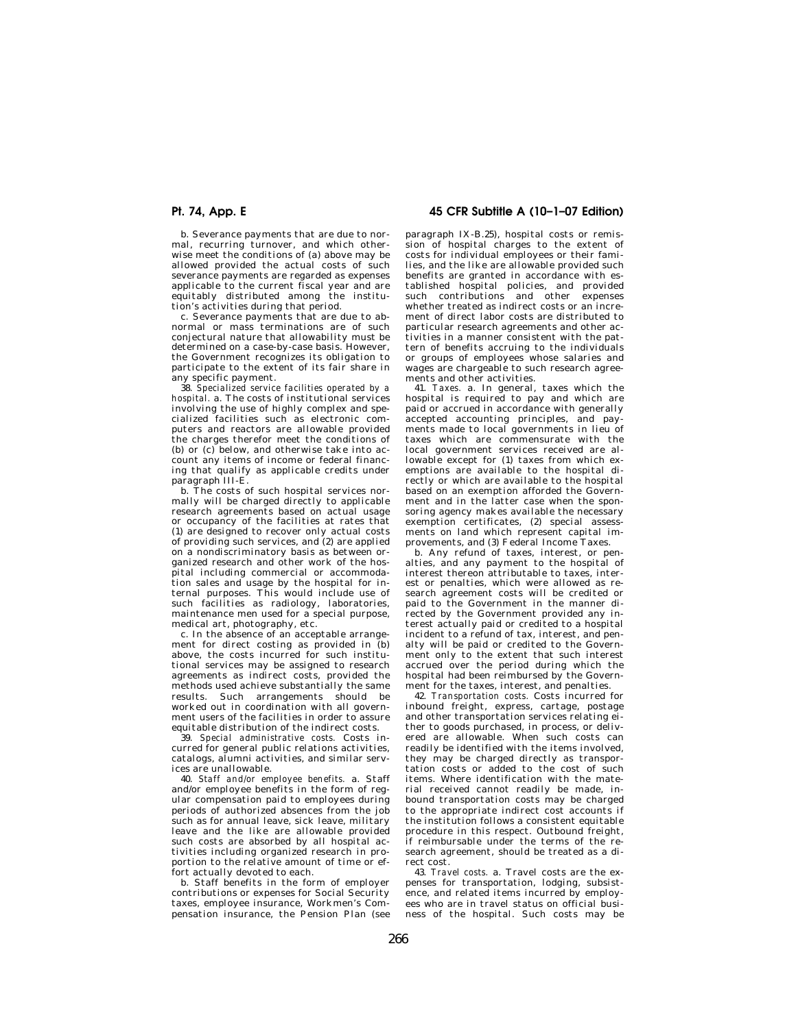b. Severance payments that are due to normal, recurring turnover, and which otherwise meet the conditions of (a) above may be allowed provided the actual costs of such severance payments are regarded as expenses applicable to the current fiscal year and are equitably distributed among the institution's activities during that period.

c. Severance payments that are due to abnormal or mass terminations are of such conjectural nature that allowability must be determined on a case-by-case basis. However, the Government recognizes its obligation to participate to the extent of its fair share in any specific payment.

38. *Specialized service facilities operated by a hospital.* a. The costs of institutional services involving the use of highly complex and specialized facilities such as electronic computers and reactors are allowable provided the charges therefor meet the conditions of (b) or (c) below, and otherwise take into account any items of income or federal financing that qualify as applicable credits under paragraph III-E.

b. The costs of such hospital services normally will be charged directly to applicable research agreements based on actual usage or occupancy of the facilities at rates that (1) are designed to recover only actual costs of providing such services, and (2) are applied on a nondiscriminatory basis as between organized research and other work of the hospital including commercial or accommodation sales and usage by the hospital for internal purposes. This would include use of such facilities as radiology, laboratories, maintenance men used for a special purpose, medical art, photography, etc.

c. In the absence of an acceptable arrangement for direct costing as provided in (b) above, the costs incurred for such institutional services may be assigned to research agreements as indirect costs, provided the methods used achieve substantially the same results. Such arrangements should be worked out in coordination with all government users of the facilities in order to assure equitable distribution of the indirect costs.

39. *Special administrative costs.* Costs incurred for general public relations activities, catalogs, alumni activities, and similar services are unallowable.

40. *Staff and/or employee benefits.* a. Staff and/or employee benefits in the form of regular compensation paid to employees during periods of authorized absences from the job such as for annual leave, sick leave, military leave and the like are allowable provided such costs are absorbed by all hospital activities including organized research in proportion to the relative amount of time or effort actually devoted to each.

b. Staff benefits in the form of employer contributions or expenses for Social Security taxes, employee insurance, Workmen's Compensation insurance, the Pension Plan (see

**Pt. 74, App. E 45 CFR Subtitle A (10–1–07 Edition)** 

paragraph IX-B.25), hospital costs or remission of hospital charges to the extent of costs for individual employees or their families, and the like are allowable provided such benefits are granted in accordance with established hospital policies, and provided such contributions and other expenses whether treated as indirect costs or an increment of direct labor costs are distributed to particular research agreements and other activities in a manner consistent with the pattern of benefits accruing to the individuals or groups of employees whose salaries and wages are chargeable to such research agreements and other activities.

41. *Taxes.* a. In general, taxes which the hospital is required to pay and which are paid or accrued in accordance with generally accepted accounting principles, and payments made to local governments in lieu of taxes which are commensurate with the local government services received are allowable except for (1) taxes from which exemptions are available to the hospital directly or which are available to the hospital based on an exemption afforded the Government and in the latter case when the sponsoring agency makes available the necessary exemption certificates, (2) special assessments on land which represent capital improvements, and (3) Federal Income Taxes.

b. Any refund of taxes, interest, or penalties, and any payment to the hospital of interest thereon attributable to taxes, interest or penalties, which were allowed as research agreement costs will be credited or paid to the Government in the manner directed by the Government provided any interest actually paid or credited to a hospital incident to a refund of tax, interest, and penalty will be paid or credited to the Government only to the extent that such interest accrued over the period during which the hospital had been reimbursed by the Government for the taxes, interest, and penalties.

42. *Transportation costs.* Costs incurred for inbound freight, express, cartage, postage and other transportation services relating either to goods purchased, in process, or delivered are allowable. When such costs can readily be identified with the items involved, they may be charged directly as transportation costs or added to the cost of such items. Where identification with the material received cannot readily be made, inbound transportation costs may be charged to the appropriate indirect cost accounts if the institution follows a consistent equitable procedure in this respect. Outbound freight, if reimbursable under the terms of the research agreement, should be treated as a direct cost.

43. *Travel costs.* a. Travel costs are the expenses for transportation, lodging, subsistence, and related items incurred by employees who are in travel status on official business of the hospital. Such costs may be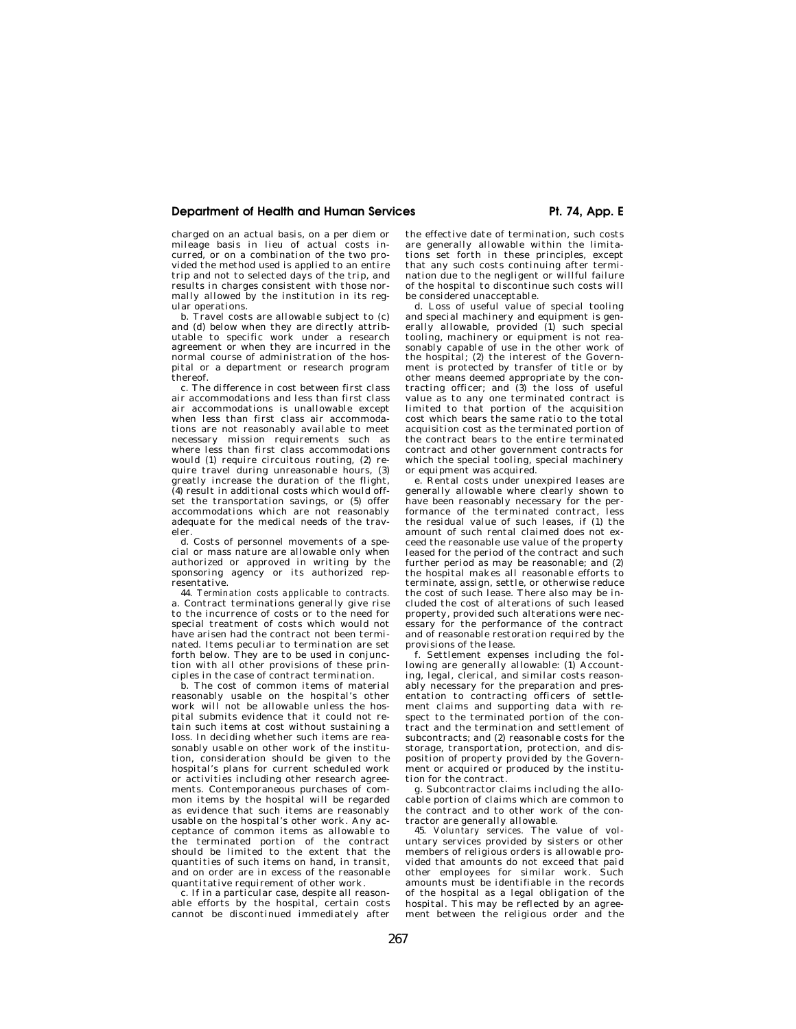## **Department of Health and Human Services The Constant Pt. 74, App. E**

charged on an actual basis, on a per diem or mileage basis in lieu of actual costs incurred, or on a combination of the two provided the method used is applied to an entire trip and not to selected days of the trip, and results in charges consistent with those normally allowed by the institution in its regular operations.

b. Travel costs are allowable subject to (c) and (d) below when they are directly attributable to specific work under a research agreement or when they are incurred in the normal course of administration of the hospital or a department or research program .<br>thereof

c. The difference in cost between first class air accommodations and less than first class air accommodations is unallowable except when less than first class air accommodations are not reasonably available to meet necessary mission requirements such as where less than first class accommodations would (1) require circuitous routing, (2) require travel during unreasonable hours, (3) greatly increase the duration of the flight, (4) result in additional costs which would offset the transportation savings, or (5) offer accommodations which are not reasonably adequate for the medical needs of the traveler.

d. Costs of personnel movements of a special or mass nature are allowable only when authorized or approved in writing by the sponsoring agency or its authorized representative.

44. *Termination costs applicable to contracts.*  a. Contract terminations generally give rise to the incurrence of costs or to the need for special treatment of costs which would not have arisen had the contract not been terminated. Items peculiar to termination are set forth below. They are to be used in conjunction with all other provisions of these principles in the case of contract termination.

b. The cost of common items of material reasonably usable on the hospital's other work will not be allowable unless the hospital submits evidence that it could not re-.<br>tain such items at cost without sustaining a loss. In deciding whether such items are reasonably usable on other work of the institution, consideration should be given to the hospital's plans for current scheduled work or activities including other research agreements. Contemporaneous purchases of common items by the hospital will be regarded as evidence that such items are reasonably usable on the hospital's other work. Any acceptance of common items as allowable to the terminated portion of the contract should be limited to the extent that the quantities of such items on hand, in transit, and on order are in excess of the reasonable quantitative requirement of other work.

c. If in a particular case, despite all reasonable efforts by the hospital, certain costs cannot be discontinued immediately after

the effective date of termination, such costs are generally allowable within the limitations set forth in these principles, except that any such costs continuing after termination due to the negligent or willful failure of the hospital to discontinue such costs will be considered unacceptable.

d. Loss of useful value of special tooling and special machinery and equipment is generally allowable, provided (1) such special tooling, machinery or equipment is not reasonably capable of use in the other work of the hospital; (2) the interest of the Government is protected by transfer of title or by other means deemed appropriate by the contracting officer; and  $(3)$  the loss of useful value as to any one terminated contract is limited to that portion of the acquisition cost which bears the same ratio to the total acquisition cost as the terminated portion of the contract bears to the entire terminated contract and other government contracts for which the special tooling, special machinery or equipment was acquired.

e. Rental costs under unexpired leases are generally allowable where clearly shown to have been reasonably necessary for the performance of the terminated contract, less the residual value of such leases, if (1) the amount of such rental claimed does not exceed the reasonable use value of the property leased for the period of the contract and such further period as may be reasonable; and  $(2)$ the hospital makes all reasonable efforts to terminate, assign, settle, or otherwise reduce the cost of such lease. There also may be included the cost of alterations of such leased property, provided such alterations were necessary for the performance of the contract and of reasonable restoration required by the provisions of the lease.

f. Settlement expenses including the following are generally allowable: (1) Accounting, legal, clerical, and similar costs reasonably necessary for the preparation and presentation to contracting officers of settlement claims and supporting data with respect to the terminated portion of the contract and the termination and settlement of subcontracts; and (2) reasonable costs for the storage, transportation, protection, and disposition of property provided by the Government or acquired or produced by the institution for the contract.

g. Subcontractor claims including the allocable portion of claims which are common to the contract and to other work of the contractor are generally allowable.

45. *Voluntary services.* The value of voluntary services provided by sisters or other members of religious orders is allowable provided that amounts do not exceed that paid other employees for similar work. Such amounts must be identifiable in the records of the hospital as a legal obligation of the hospital. This may be reflected by an agreement between the religious order and the